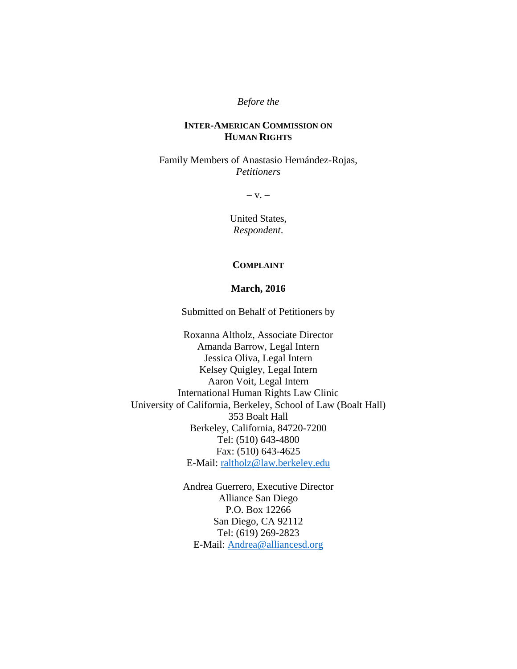#### *Before the*

## **INTER-AMERICAN COMMISSION ON HUMAN RIGHTS**

Family Members of Anastasio Hernández-Rojas, *Petitioners* 

 $-V. -$ 

United States, *Respondent*.

#### **COMPLAINT**

#### **March, 2016**

Submitted on Behalf of Petitioners by

Roxanna Altholz, Associate Director Amanda Barrow, Legal Intern Jessica Oliva, Legal Intern Kelsey Quigley, Legal Intern Aaron Voit, Legal Intern International Human Rights Law Clinic University of California, Berkeley, School of Law (Boalt Hall) 353 Boalt Hall Berkeley, California, 84720-7200 Tel: (510) 643-4800 Fax: (510) 643-4625 E-Mail: raltholz@law.berkeley.edu

> Andrea Guerrero, Executive Director Alliance San Diego P.O. Box 12266 San Diego, CA 92112 Tel: (619) 269-2823 E-Mail: Andrea@alliancesd.org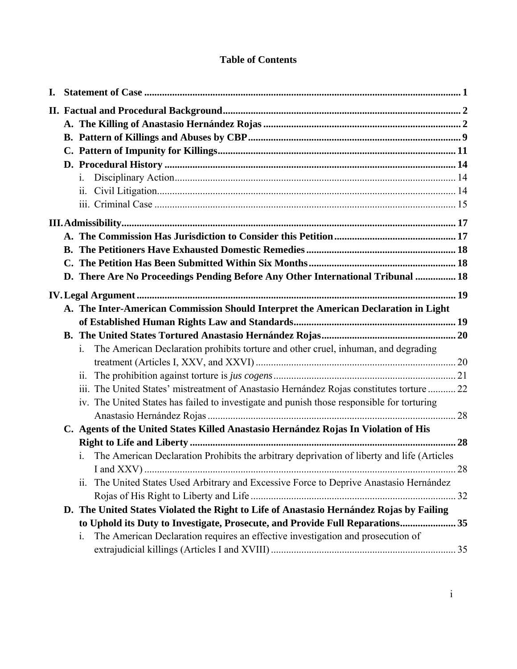# **Table of Contents**

|  | $\mathbf{i}$ .                                                                                               |  |
|--|--------------------------------------------------------------------------------------------------------------|--|
|  | ii.                                                                                                          |  |
|  |                                                                                                              |  |
|  |                                                                                                              |  |
|  |                                                                                                              |  |
|  |                                                                                                              |  |
|  |                                                                                                              |  |
|  | D. There Are No Proceedings Pending Before Any Other International Tribunal  18                              |  |
|  |                                                                                                              |  |
|  | A. The Inter-American Commission Should Interpret the American Declaration in Light                          |  |
|  |                                                                                                              |  |
|  |                                                                                                              |  |
|  | The American Declaration prohibits torture and other cruel, inhuman, and degrading<br>$\mathbf{i}$ .         |  |
|  |                                                                                                              |  |
|  | 11.                                                                                                          |  |
|  | iii. The United States' mistreatment of Anastasio Hernández Rojas constitutes torture 22                     |  |
|  | iv. The United States has failed to investigate and punish those responsible for torturing                   |  |
|  |                                                                                                              |  |
|  | C. Agents of the United States Killed Anastasio Hernández Rojas In Violation of His                          |  |
|  |                                                                                                              |  |
|  | i. The American Declaration Prohibits the arbitrary deprivation of liberty and life (Articles                |  |
|  |                                                                                                              |  |
|  | The United States Used Arbitrary and Excessive Force to Deprive Anastasio Hernández<br>$\ddot{\mathbf{i}}$ . |  |
|  |                                                                                                              |  |
|  | D. The United States Violated the Right to Life of Anastasio Hernández Rojas by Failing                      |  |
|  | to Uphold its Duty to Investigate, Prosecute, and Provide Full Reparations 35                                |  |
|  | The American Declaration requires an effective investigation and prosecution of<br>1.                        |  |
|  |                                                                                                              |  |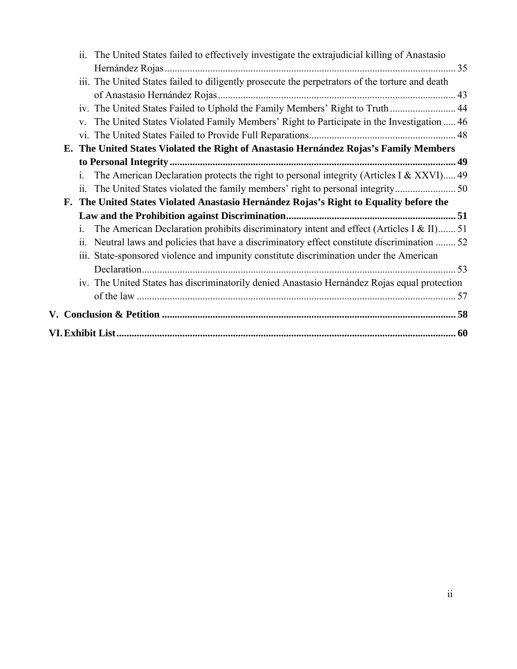| 11.          | The United States failed to effectively investigate the extrajudicial killing of Anastasio      |  |
|--------------|-------------------------------------------------------------------------------------------------|--|
|              |                                                                                                 |  |
|              | iii. The United States failed to diligently prosecute the perpetrators of the torture and death |  |
|              |                                                                                                 |  |
|              | iv. The United States Failed to Uphold the Family Members' Right to Truth 44                    |  |
| $V_{-}$      | The United States Violated Family Members' Right to Participate in the Investigation  46        |  |
|              |                                                                                                 |  |
|              | E. The United States Violated the Right of Anastasio Hernández Rojas's Family Members           |  |
|              |                                                                                                 |  |
| $\mathbf{1}$ | The American Declaration protects the right to personal integrity (Articles I & XXVI) 49        |  |
| 11.          |                                                                                                 |  |
|              | F. The United States Violated Anastasio Hernández Rojas's Right to Equality before the          |  |
|              |                                                                                                 |  |
| 1.           | The American Declaration prohibits discriminatory intent and effect (Articles I & II) 51        |  |
| 11.          | Neutral laws and policies that have a discriminatory effect constitute discrimination  52       |  |
|              | iii. State-sponsored violence and impunity constitute discrimination under the American         |  |
|              |                                                                                                 |  |
|              | iv. The United States has discriminatorily denied Anastasio Hernández Rojas equal protection    |  |
|              |                                                                                                 |  |
|              |                                                                                                 |  |
|              |                                                                                                 |  |
|              |                                                                                                 |  |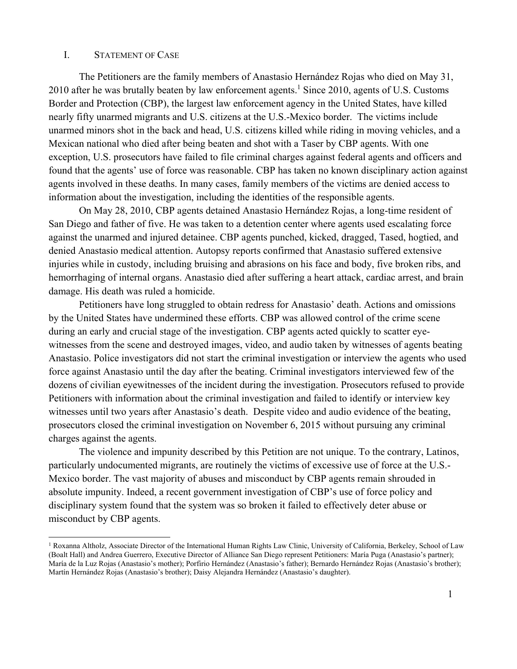#### I. STATEMENT OF CASE

The Petitioners are the family members of Anastasio Hernández Rojas who died on May 31, 2010 after he was brutally beaten by law enforcement agents.<sup>1</sup> Since 2010, agents of U.S. Customs Border and Protection (CBP), the largest law enforcement agency in the United States, have killed nearly fifty unarmed migrants and U.S. citizens at the U.S.-Mexico border. The victims include unarmed minors shot in the back and head, U.S. citizens killed while riding in moving vehicles, and a Mexican national who died after being beaten and shot with a Taser by CBP agents. With one exception, U.S. prosecutors have failed to file criminal charges against federal agents and officers and found that the agents' use of force was reasonable. CBP has taken no known disciplinary action against agents involved in these deaths. In many cases, family members of the victims are denied access to information about the investigation, including the identities of the responsible agents.

On May 28, 2010, CBP agents detained Anastasio Hernández Rojas, a long-time resident of San Diego and father of five. He was taken to a detention center where agents used escalating force against the unarmed and injured detainee. CBP agents punched, kicked, dragged, Tased, hogtied, and denied Anastasio medical attention. Autopsy reports confirmed that Anastasio suffered extensive injuries while in custody, including bruising and abrasions on his face and body, five broken ribs, and hemorrhaging of internal organs. Anastasio died after suffering a heart attack, cardiac arrest, and brain damage. His death was ruled a homicide.

Petitioners have long struggled to obtain redress for Anastasio' death. Actions and omissions by the United States have undermined these efforts. CBP was allowed control of the crime scene during an early and crucial stage of the investigation. CBP agents acted quickly to scatter eyewitnesses from the scene and destroyed images, video, and audio taken by witnesses of agents beating Anastasio. Police investigators did not start the criminal investigation or interview the agents who used force against Anastasio until the day after the beating. Criminal investigators interviewed few of the dozens of civilian eyewitnesses of the incident during the investigation. Prosecutors refused to provide Petitioners with information about the criminal investigation and failed to identify or interview key witnesses until two years after Anastasio's death. Despite video and audio evidence of the beating, prosecutors closed the criminal investigation on November 6, 2015 without pursuing any criminal charges against the agents.

The violence and impunity described by this Petition are not unique. To the contrary, Latinos, particularly undocumented migrants, are routinely the victims of excessive use of force at the U.S.- Mexico border. The vast majority of abuses and misconduct by CBP agents remain shrouded in absolute impunity. Indeed, a recent government investigation of CBP's use of force policy and disciplinary system found that the system was so broken it failed to effectively deter abuse or misconduct by CBP agents.

<sup>1</sup> Roxanna Altholz, Associate Director of the International Human Rights Law Clinic, University of California, Berkeley, School of Law (Boalt Hall) and Andrea Guerrero, Executive Director of Alliance San Diego represent Petitioners: María Puga (Anastasio's partner); María de la Luz Rojas (Anastasio's mother); Porfirio Hernández (Anastasio's father); Bernardo Hernández Rojas (Anastasio's brother); Martín Hernández Rojas (Anastasio's brother); Daisy Alejandra Hernández (Anastasio's daughter).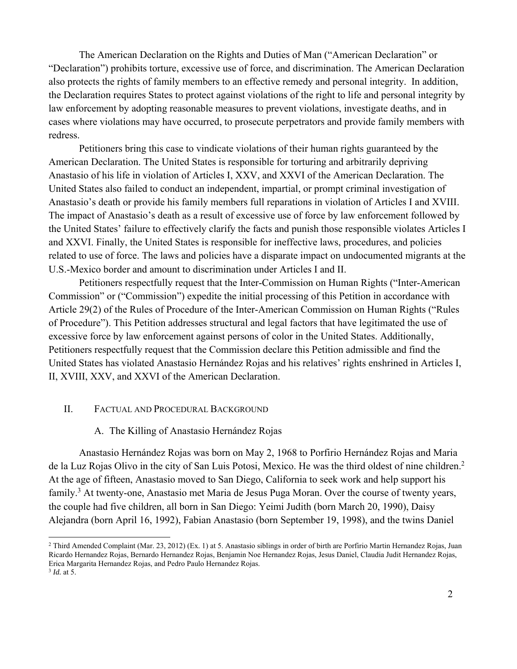The American Declaration on the Rights and Duties of Man ("American Declaration" or "Declaration") prohibits torture, excessive use of force, and discrimination. The American Declaration also protects the rights of family members to an effective remedy and personal integrity. In addition, the Declaration requires States to protect against violations of the right to life and personal integrity by law enforcement by adopting reasonable measures to prevent violations, investigate deaths, and in cases where violations may have occurred, to prosecute perpetrators and provide family members with redress.

Petitioners bring this case to vindicate violations of their human rights guaranteed by the American Declaration. The United States is responsible for torturing and arbitrarily depriving Anastasio of his life in violation of Articles I, XXV, and XXVI of the American Declaration. The United States also failed to conduct an independent, impartial, or prompt criminal investigation of Anastasio's death or provide his family members full reparations in violation of Articles I and XVIII. The impact of Anastasio's death as a result of excessive use of force by law enforcement followed by the United States' failure to effectively clarify the facts and punish those responsible violates Articles I and XXVI. Finally, the United States is responsible for ineffective laws, procedures, and policies related to use of force. The laws and policies have a disparate impact on undocumented migrants at the U.S.-Mexico border and amount to discrimination under Articles I and II.

Petitioners respectfully request that the Inter-Commission on Human Rights ("Inter-American Commission" or ("Commission") expedite the initial processing of this Petition in accordance with Article 29(2) of the Rules of Procedure of the Inter-American Commission on Human Rights ("Rules of Procedure"). This Petition addresses structural and legal factors that have legitimated the use of excessive force by law enforcement against persons of color in the United States. Additionally, Petitioners respectfully request that the Commission declare this Petition admissible and find the United States has violated Anastasio Hernández Rojas and his relatives' rights enshrined in Articles I, II, XVIII, XXV, and XXVI of the American Declaration.

## II. FACTUAL AND PROCEDURAL BACKGROUND

#### A. The Killing of Anastasio Hernández Rojas

Anastasio Hernández Rojas was born on May 2, 1968 to Porfirio Hernández Rojas and Maria de la Luz Rojas Olivo in the city of San Luis Potosi, Mexico. He was the third oldest of nine children.2 At the age of fifteen, Anastasio moved to San Diego, California to seek work and help support his family.<sup>3</sup> At twenty-one, Anastasio met Maria de Jesus Puga Moran. Over the course of twenty years, the couple had five children, all born in San Diego: Yeimi Judith (born March 20, 1990), Daisy Alejandra (born April 16, 1992), Fabian Anastasio (born September 19, 1998), and the twins Daniel

<sup>2</sup> Third Amended Complaint (Mar. 23, 2012) (Ex. 1) at 5. Anastasio siblings in order of birth are Porfirio Martin Hernandez Rojas, Juan Ricardo Hernandez Rojas, Bernardo Hernandez Rojas, Benjamin Noe Hernandez Rojas, Jesus Daniel, Claudia Judit Hernandez Rojas, Erica Margarita Hernandez Rojas, and Pedro Paulo Hernandez Rojas. <sup>3</sup> *Id.* at 5.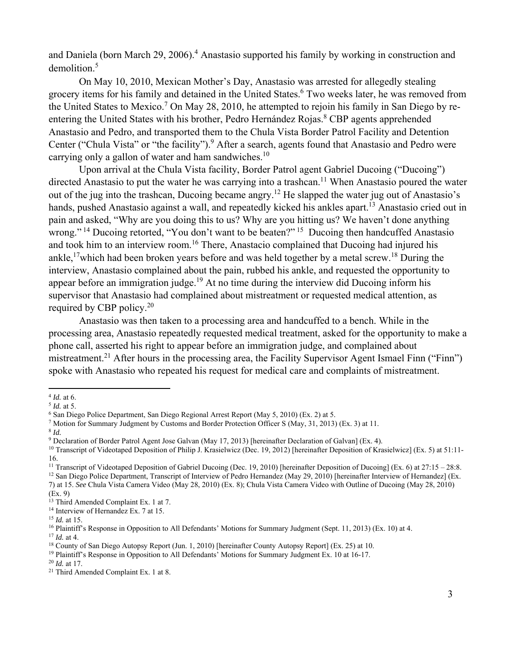and Daniela (born March 29, 2006).<sup>4</sup> Anastasio supported his family by working in construction and demolition.<sup>5</sup>

On May 10, 2010, Mexican Mother's Day, Anastasio was arrested for allegedly stealing grocery items for his family and detained in the United States.<sup>6</sup> Two weeks later, he was removed from the United States to Mexico.<sup>7</sup> On May 28, 2010, he attempted to rejoin his family in San Diego by reentering the United States with his brother, Pedro Hernández Rojas.<sup>8</sup> CBP agents apprehended Anastasio and Pedro, and transported them to the Chula Vista Border Patrol Facility and Detention Center ("Chula Vista" or "the facility").<sup>9</sup> After a search, agents found that Anastasio and Pedro were carrying only a gallon of water and ham sandwiches. $10$ 

Upon arrival at the Chula Vista facility, Border Patrol agent Gabriel Ducoing ("Ducoing") directed Anastasio to put the water he was carrying into a trashcan.<sup>11</sup> When Anastasio poured the water out of the jug into the trashcan, Ducoing became angry.12 He slapped the water jug out of Anastasio's hands, pushed Anastasio against a wall, and repeatedly kicked his ankles apart.<sup>13</sup> Anastasio cried out in pain and asked, "Why are you doing this to us? Why are you hitting us? We haven't done anything wrong." <sup>14</sup> Ducoing retorted, "You don't want to be beaten?" <sup>15</sup> Ducoing then handcuffed Anastasio and took him to an interview room.<sup>16</sup> There, Anastacio complained that Ducoing had injured his ankle,<sup>17</sup>which had been broken years before and was held together by a metal screw.<sup>18</sup> During the interview, Anastasio complained about the pain, rubbed his ankle, and requested the opportunity to appear before an immigration judge.<sup>19</sup> At no time during the interview did Ducoing inform his supervisor that Anastasio had complained about mistreatment or requested medical attention, as required by CBP policy.20

Anastasio was then taken to a processing area and handcuffed to a bench. While in the processing area, Anastasio repeatedly requested medical treatment, asked for the opportunity to make a phone call, asserted his right to appear before an immigration judge, and complained about mistreatment.<sup>21</sup> After hours in the processing area, the Facility Supervisor Agent Ismael Finn ("Finn") spoke with Anastasio who repeated his request for medical care and complaints of mistreatment.

<sup>&</sup>lt;sup>4</sup> *Id.* at 6.<br>
<sup>5</sup> *Id.* at 5.<br>
<sup>6</sup> San Diego Police Department, San Diego Regional Arrest Report (May 5, 2010) (Ex. 2) at 5.<br>
<sup>7</sup> Motion for Summary Judgment by Customs and Border Protection Officer S (May, 31, 2013) (

<sup>&</sup>lt;sup>10</sup> Transcript of Videotaped Deposition of Philip J. Krasielwicz (Dec. 19, 2012) [hereinafter Deposition of Krasielwicz] (Ex. 5) at 51:11-16.<br><sup>11</sup> Transcript of Videotaped Deposition of Gabriel Ducoing (Dec. 19, 2010) [hereinafter Deposition of Ducoing] (Ex. 6) at 27:15 – 28:8.

<sup>&</sup>lt;sup>12</sup> San Diego Police Department, Transcript of Interview of Pedro Hernandez (May 29, 2010) [hereinafter Interview of Hernandez] (Ex. 7) at 15. *See* Chula Vista Camera Video (May 28, 2010) (Ex. 8); Chula Vista Camera Video with Outline of Ducoing (May 28, 2010) (Ex. 9)

<sup>&</sup>lt;sup>13</sup> Third Amended Complaint Ex. 1 at 7.

<sup>&</sup>lt;sup>14</sup> Interview of Hernandez Ex. 7 at 15.<br><sup>15</sup> *Id.* at 15.

<sup>&</sup>lt;sup>16</sup> Plaintiff's Response in Opposition to All Defendants' Motions for Summary Judgment (Sept. 11, 2013) (Ex. 10) at 4.<br><sup>17</sup> *Id.* at 4.<br><sup>18</sup> County of San Diego Autopsy Report (Jun. 1, 2010) [hereinafter County Autopsy R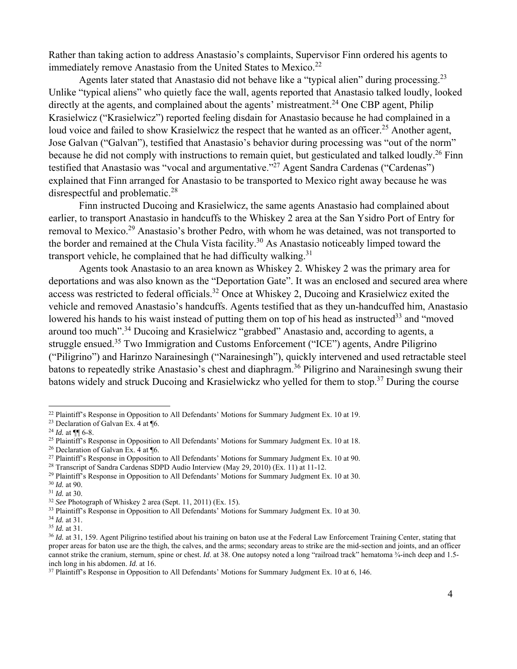Rather than taking action to address Anastasio's complaints, Supervisor Finn ordered his agents to immediately remove Anastasio from the United States to Mexico.<sup>22</sup>

Agents later stated that Anastasio did not behave like a "typical alien" during processing.<sup>23</sup> Unlike "typical aliens" who quietly face the wall, agents reported that Anastasio talked loudly, looked directly at the agents, and complained about the agents' mistreatment.<sup>24</sup> One CBP agent, Philip Krasielwicz ("Krasielwicz") reported feeling disdain for Anastasio because he had complained in a loud voice and failed to show Krasielwicz the respect that he wanted as an officer.<sup>25</sup> Another agent, Jose Galvan ("Galvan"), testified that Anastasio's behavior during processing was "out of the norm" because he did not comply with instructions to remain quiet, but gesticulated and talked loudly.<sup>26</sup> Finn testified that Anastasio was "vocal and argumentative."27 Agent Sandra Cardenas ("Cardenas") explained that Finn arranged for Anastasio to be transported to Mexico right away because he was disrespectful and problematic.<sup>28</sup>

Finn instructed Ducoing and Krasielwicz, the same agents Anastasio had complained about earlier, to transport Anastasio in handcuffs to the Whiskey 2 area at the San Ysidro Port of Entry for removal to Mexico.<sup>29</sup> Anastasio's brother Pedro, with whom he was detained, was not transported to the border and remained at the Chula Vista facility.30 As Anastasio noticeably limped toward the transport vehicle, he complained that he had difficulty walking.<sup>31</sup>

Agents took Anastasio to an area known as Whiskey 2. Whiskey 2 was the primary area for deportations and was also known as the "Deportation Gate". It was an enclosed and secured area where access was restricted to federal officials.32 Once at Whiskey 2, Ducoing and Krasielwicz exited the vehicle and removed Anastasio's handcuffs. Agents testified that as they un-handcuffed him, Anastasio lowered his hands to his waist instead of putting them on top of his head as instructed<sup>33</sup> and "moved" around too much".34 Ducoing and Krasielwicz "grabbed" Anastasio and, according to agents, a struggle ensued.<sup>35</sup> Two Immigration and Customs Enforcement ("ICE") agents, Andre Piligrino ("Piligrino") and Harinzo Narainesingh ("Narainesingh"), quickly intervened and used retractable steel batons to repeatedly strike Anastasio's chest and diaphragm.<sup>36</sup> Piligrino and Narainesingh swung their batons widely and struck Ducoing and Krasielwickz who yelled for them to stop.37 During the course

<sup>&</sup>lt;sup>22</sup> Plaintiff's Response in Opposition to All Defendants' Motions for Summary Judgment Ex. 10 at 19.<br><sup>23</sup> Declaration of Galvan Ex. 4 at ¶6.

<sup>&</sup>lt;sup>24</sup> *Id.* at ¶¶ 6-8.<br><sup>25</sup> Plaintiff's Response in Opposition to All Defendants' Motions for Summary Judgment Ex. 10 at 18.<br><sup>26</sup> Declaration of Galvan Ex. 4 at ¶6.<br><sup>27</sup> Plaintiff's Response in Opposition to All Defendants'

<sup>&</sup>lt;sup>28</sup> Transcript of Sandra Cardenas SDPD Audio Interview (May 29, 2010) (Ex. 11) at 11-12.<br><sup>29</sup> Plaintiff's Response in Opposition to All Defendants' Motions for Summary Judgment Ex. 10 at 30.<br><sup>30</sup> *Id.* at 90.<br><sup>31</sup> *Id.*

<sup>&</sup>lt;sup>34</sup> *Id.* at 31.<br><sup>35</sup> *Id.* at 31.<br><sup>35</sup> *Id.* at 31, 159. Agent Piligrino testified about his training on baton use at the Federal Law Enforcement Training Center, stating that proper areas for baton use are the thigh, the calves, and the arms; secondary areas to strike are the mid-section and joints, and an officer cannot strike the cranium, sternum, spine or chest. *Id.* at 38. One autopsy noted a long "railroad track" hematoma ¾-inch deep and 1.5-<br>inch long in his abdomen. *Id.* at 16.

<sup>&</sup>lt;sup>37</sup> Plaintiff's Response in Opposition to All Defendants' Motions for Summary Judgment Ex. 10 at 6, 146.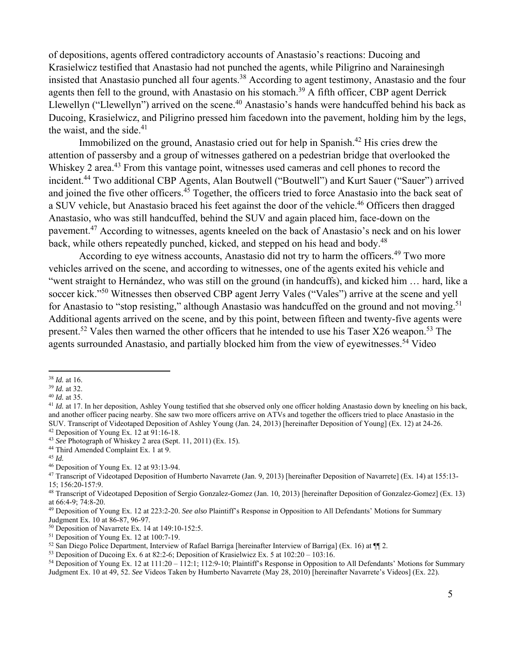of depositions, agents offered contradictory accounts of Anastasio's reactions: Ducoing and Krasielwicz testified that Anastasio had not punched the agents, while Piligrino and Narainesingh insisted that Anastasio punched all four agents.<sup>38</sup> According to agent testimony, Anastasio and the four agents then fell to the ground, with Anastasio on his stomach.<sup>39</sup> A fifth officer, CBP agent Derrick Llewellyn ("Llewellyn") arrived on the scene.<sup>40</sup> Anastasio's hands were handcuffed behind his back as Ducoing, Krasielwicz, and Piligrino pressed him facedown into the pavement, holding him by the legs, the waist, and the side. $41$ 

Immobilized on the ground, Anastasio cried out for help in Spanish.<sup>42</sup> His cries drew the attention of passersby and a group of witnesses gathered on a pedestrian bridge that overlooked the Whiskey 2 area.<sup>43</sup> From this vantage point, witnesses used cameras and cell phones to record the incident.<sup>44</sup> Two additional CBP Agents, Alan Boutwell ("Boutwell") and Kurt Sauer ("Sauer") arrived and joined the five other officers.<sup>45</sup> Together, the officers tried to force Anastasio into the back seat of a SUV vehicle, but Anastasio braced his feet against the door of the vehicle.<sup>46</sup> Officers then dragged Anastasio, who was still handcuffed, behind the SUV and again placed him, face-down on the pavement.47 According to witnesses, agents kneeled on the back of Anastasio's neck and on his lower back, while others repeatedly punched, kicked, and stepped on his head and body.<sup>48</sup>

According to eye witness accounts, Anastasio did not try to harm the officers.<sup>49</sup> Two more vehicles arrived on the scene, and according to witnesses, one of the agents exited his vehicle and "went straight to Hernández, who was still on the ground (in handcuffs), and kicked him … hard, like a soccer kick."<sup>50</sup> Witnesses then observed CBP agent Jerry Vales ("Vales") arrive at the scene and yell for Anastasio to "stop resisting," although Anastasio was handcuffed on the ground and not moving.<sup>51</sup> Additional agents arrived on the scene, and by this point, between fifteen and twenty-five agents were present.<sup>52</sup> Vales then warned the other officers that he intended to use his Taser X26 weapon.<sup>53</sup> The agents surrounded Anastasio, and partially blocked him from the view of eyewitnesses.<sup>54</sup> Video

<sup>&</sup>lt;sup>38</sup> *Id.* at 16.<br><sup>39</sup> *Id.* at 32.<br><sup>40</sup> *Id.* at 35.<br><sup>41</sup> *Id.* at 17. In her deposition. Ashley Young testified that she observed only one officer holding Anastasio down by kneeling on his back. and another officer pacing nearby. She saw two more officers arrive on ATVs and together the officers tried to place Anastasio in the SUV. Transcript of Videotaped Deposition of Ashley Young (Jan. 24, 2013) [hereinafter Deposition of Young] (Ex. 12) at 24-26. 42 Deposition of Young Ex. 12 at 91:16-18.

<sup>43</sup> *See* Photograph of Whiskey 2 area (Sept. 11, 2011) (Ex. 15). 44 Third Amended Complaint Ex. 1 at 9.

<sup>45</sup> *Id.* 46 Deposition of Young Ex. 12 at 93:13-94.

<sup>47</sup> Transcript of Videotaped Deposition of Humberto Navarrete (Jan. 9, 2013) [hereinafter Deposition of Navarrete] (Ex. 14) at 155:13- 15; 156:20-157:9.

<sup>48</sup> Transcript of Videotaped Deposition of Sergio Gonzalez-Gomez (Jan. 10, 2013) [hereinafter Deposition of Gonzalez-Gomez] (Ex. 13) at 66:4-9; 74:8-20.

<sup>49</sup> Deposition of Young Ex. 12 at 223:2-20. *See also* Plaintiff's Response in Opposition to All Defendants' Motions for Summary Judgment Ex. 10 at 86-87, 96-97.

 $50$  Deposition of Navarrete Ex. 14 at 149:10-152:5.

<sup>51</sup> Deposition of Young Ex. 12 at 100:7-19.

<sup>&</sup>lt;sup>52</sup> San Diego Police Department, Interview of Rafael Barriga [hereinafter Interview of Barriga] (Ex. 16) at  $\P$  2.<br><sup>53</sup> Deposition of Ducoing Ex. 6 at 82:2-6; Deposition of Krasielwicz Ex. 5 at 102:20 – 103:16.

<sup>54</sup> Deposition of Young Ex. 12 at 111:20 – 112:1; 112:9-10; Plaintiff's Response in Opposition to All Defendants' Motions for Summary Judgment Ex. 10 at 49, 52. *See* Videos Taken by Humberto Navarrete (May 28, 2010) [hereinafter Navarrete's Videos] (Ex. 22).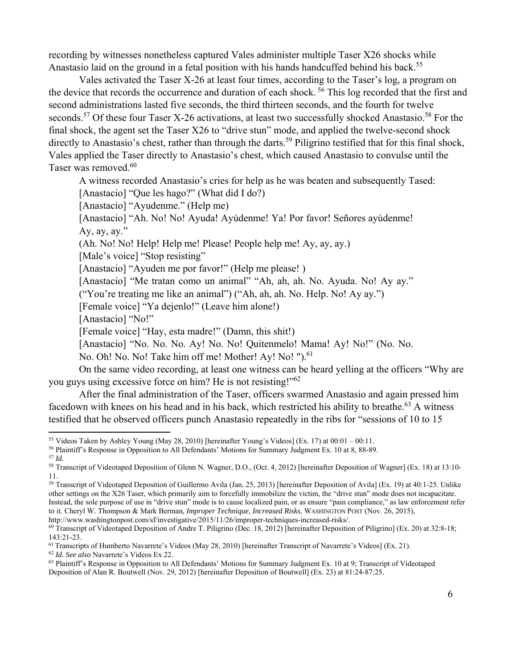recording by witnesses nonetheless captured Vales administer multiple Taser X26 shocks while Anastasio laid on the ground in a fetal position with his hands handcuffed behind his back.<sup>55</sup>

Vales activated the Taser X-26 at least four times, according to the Taser's log, a program on the device that records the occurrence and duration of each shock.<sup>56</sup> This log recorded that the first and second administrations lasted five seconds, the third thirteen seconds, and the fourth for twelve seconds.<sup>57</sup> Of these four Taser X-26 activations, at least two successfully shocked Anastasio.<sup>58</sup> For the final shock, the agent set the Taser X26 to "drive stun" mode, and applied the twelve-second shock directly to Anastasio's chest, rather than through the darts.<sup>59</sup> Piligrino testified that for this final shock, Vales applied the Taser directly to Anastasio's chest, which caused Anastasio to convulse until the Taser was removed.<sup>60</sup>

A witness recorded Anastasio's cries for help as he was beaten and subsequently Tased:

[Anastacio] "Que les hago?" (What did I do?)

[Anastacio] "Ayudenme." (Help me)

[Anastacio] "Ah. No! No! Ayuda! Ayúdenme! Ya! Por favor! Señores ayúdenme! Ay,  $ay, ay,''$ 

(Ah. No! No! Help! Help me! Please! People help me! Ay, ay, ay.)

[Male's voice] "Stop resisting"

[Anastacio] "Ayuden me por favor!" (Help me please!)

[Anastacio] "Me tratan como un animal" "Ah, ah, ah. No. Ayuda. No! Ay ay."

("You're treating me like an animal") ("Ah, ah, ah. No. Help. No! Ay ay.")

[Female voice] "Ya dejenlo!" (Leave him alone!)

[Anastacio] "No!"

[Female voice] "Hay, esta madre!" (Damn, this shit!)

[Anastacio] "No. No. No. Ay! No. No! Quitenmelo! Mama! Ay! No!" (No. No.

No. Oh! No. No! Take him off me! Mother! Ay! No! ").<sup>61</sup>

On the same video recording, at least one witness can be heard yelling at the officers "Why are you guys using excessive force on him? He is not resisting!"62

After the final administration of the Taser, officers swarmed Anastasio and again pressed him facedown with knees on his head and in his back, which restricted his ability to breathe.<sup>63</sup> A witness testified that he observed officers punch Anastasio repeatedly in the ribs for "sessions of 10 to 15

<sup>&</sup>lt;sup>55</sup> Videos Taken by Ashley Young (May 28, 2010) [hereinafter Young's Videos] (Ex. 17) at 00:01 – 00:11.<br><sup>56</sup> Plaintiff's Response in Opposition to All Defendants' Motions for Summary Judgment Ex. 10 at 8, 88-89.<br><sup>57</sup> Id.

<sup>11.</sup> 

<sup>59</sup> Transcript of Videotaped Deposition of Guillermo Avila (Jan. 25, 2013) [hereinafter Deposition of Avila] (Ex. 19) at 40:1-25. Unlike other settings on the X26 Taser, which primarily aim to forcefully immobilize the victim, the "drive stun" mode does not incapacitate. Instead, the sole purpose of use in "drive stun" mode is to cause localized pain, or as ensure "pain compliance," as law enforcement refer to it. Cheryl W. Thompson & Mark Berman, *Improper Technique, Increased Risks*, WASHINGTON POST (Nov. 26, 2015), http://www.washingtonpost.com/sf/investigative/2015/11/26/improper-techniques-increased-risks/.<br><sup>60</sup> Transcript of Videotaped Deposition of Andre T. Piligrino (Dec. 18, 2012) [hereinafter Deposition of Piligrino] (Ex. 20)

<sup>143:21-23.&</sup>lt;br><sup>61</sup> Transcripts of Humberto Navarrete's Videos (May 28, 2010) [hereinafter Transcript of Navarrete's Videos] (Ex. 21).

 $^{62}$  *Id. See also* Navarrete's Videos Ex 22.<br><sup>63</sup> Plaintiff's Response in Opposition to All Defendants' Motions for Summary Judgment Ex. 10 at 9; Transcript of Videotaped Deposition of Alan R. Boutwell (Nov. 29, 2012) [hereinafter Deposition of Boutwell] (Ex. 23) at 81:24-87:25.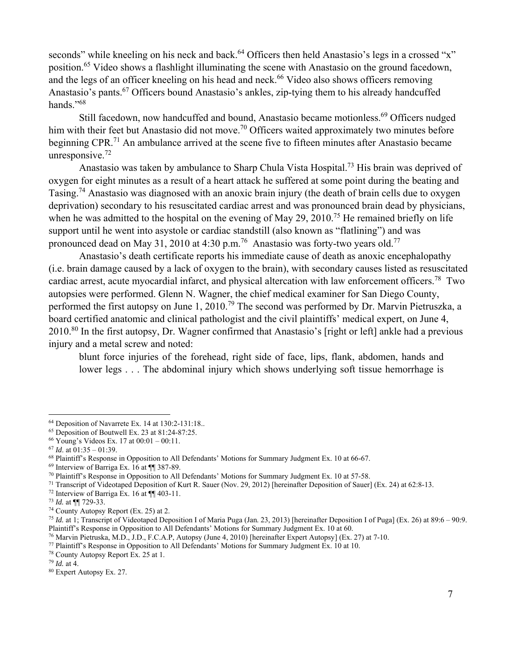seconds" while kneeling on his neck and back.<sup>64</sup> Officers then held Anastasio's legs in a crossed "x" position.65 Video shows a flashlight illuminating the scene with Anastasio on the ground facedown, and the legs of an officer kneeling on his head and neck.<sup>66</sup> Video also shows officers removing Anastasio's pants.67 Officers bound Anastasio's ankles, zip-tying them to his already handcuffed hands $"$ <sup>68</sup>

Still facedown, now handcuffed and bound, Anastasio became motionless.<sup>69</sup> Officers nudged him with their feet but Anastasio did not move.<sup>70</sup> Officers waited approximately two minutes before beginning CPR.<sup>71</sup> An ambulance arrived at the scene five to fifteen minutes after Anastasio became unresponsive. $72$ 

Anastasio was taken by ambulance to Sharp Chula Vista Hospital.73 His brain was deprived of oxygen for eight minutes as a result of a heart attack he suffered at some point during the beating and Tasing.74 Anastasio was diagnosed with an anoxic brain injury (the death of brain cells due to oxygen deprivation) secondary to his resuscitated cardiac arrest and was pronounced brain dead by physicians, when he was admitted to the hospital on the evening of May 29, 2010.<sup>75</sup> He remained briefly on life support until he went into asystole or cardiac standstill (also known as "flatlining") and was pronounced dead on May 31, 2010 at 4:30 p.m.<sup>76</sup> Anastasio was forty-two years old.<sup>77</sup>

Anastasio's death certificate reports his immediate cause of death as anoxic encephalopathy (i.e. brain damage caused by a lack of oxygen to the brain), with secondary causes listed as resuscitated cardiac arrest, acute myocardial infarct, and physical altercation with law enforcement officers.78 Two autopsies were performed. Glenn N. Wagner, the chief medical examiner for San Diego County, performed the first autopsy on June 1, 2010.<sup>79</sup> The second was performed by Dr. Marvin Pietruszka, a board certified anatomic and clinical pathologist and the civil plaintiffs' medical expert, on June 4, 2010.80 In the first autopsy, Dr. Wagner confirmed that Anastasio's [right or left] ankle had a previous injury and a metal screw and noted:

blunt force injuries of the forehead, right side of face, lips, flank, abdomen, hands and lower legs . . . The abdominal injury which shows underlying soft tissue hemorrhage is

<sup>71</sup> Transcript of Videotaped Deposition of Kurt R. Sauer (Nov. 29, 2012) [hereinafter Deposition of Sauer] (Ex. 24) at 62:8-13.<br><sup>72</sup> Interview of Barriga Ex. 16 at  $\P$  403-11.<br><sup>73</sup> *Id.* at  $\P$  729-33.

<sup>64</sup> Deposition of Navarrete Ex. 14 at 130:2-131:18..

 $65$  Deposition of Boutwell Ex. 23 at 81:24-87:25.

<sup>66</sup> Young's Videos Ex. 17 at 00:01 – 00:11.

<sup>67</sup> *Id*. at 01:35 – 01:39.

<sup>&</sup>lt;sup>68</sup> Plaintiff's Response in Opposition to All Defendants' Motions for Summary Judgment Ex. 10 at 66-67.<br><sup>69</sup> Interview of Barriga Ex. 16 at  $\P$  387-89.<br><sup>70</sup> Plaintiff's Response in Opposition to All Defendants' Motions f

<sup>&</sup>lt;sup>74</sup> County Autopsy Report (Ex. 25) at 2.

<sup>75</sup> *Id.* at 1; Transcript of Videotaped Deposition I of Maria Puga (Jan. 23, 2013) [hereinafter Deposition I of Puga] (Ex. 26) at 89:6 – 90:9. Plaintiff's Response in Opposition to All Defendants' Motions for Summary Judgment Ex. 10 at 60.<br><sup>76</sup> Marvin Pietruska, M.D., J.D., F.C.A.P, Autopsy (June 4, 2010) [hereinafter Expert Autopsy] (Ex. 27) at 7-10.<br><sup>77</sup> Plain

<sup>&</sup>lt;sup>80</sup> Expert Autopsy Ex. 27.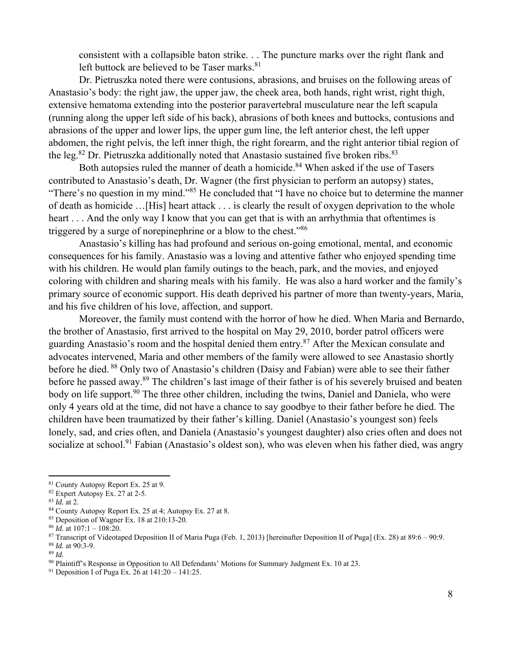consistent with a collapsible baton strike. . . The puncture marks over the right flank and left buttock are believed to be Taser marks. $81$ 

Dr. Pietruszka noted there were contusions, abrasions, and bruises on the following areas of Anastasio's body: the right jaw, the upper jaw, the cheek area, both hands, right wrist, right thigh, extensive hematoma extending into the posterior paravertebral musculature near the left scapula (running along the upper left side of his back), abrasions of both knees and buttocks, contusions and abrasions of the upper and lower lips, the upper gum line, the left anterior chest, the left upper abdomen, the right pelvis, the left inner thigh, the right forearm, and the right anterior tibial region of the leg.<sup>82</sup> Dr. Pietruszka additionally noted that Anastasio sustained five broken ribs.<sup>83</sup>

Both autopsies ruled the manner of death a homicide.<sup>84</sup> When asked if the use of Tasers contributed to Anastasio's death, Dr. Wagner (the first physician to perform an autopsy) states, "There's no question in my mind."85 He concluded that "I have no choice but to determine the manner of death as homicide …[His] heart attack . . . is clearly the result of oxygen deprivation to the whole heart . . . And the only way I know that you can get that is with an arrhythmia that oftentimes is triggered by a surge of norepinephrine or a blow to the chest."86

Anastasio's killing has had profound and serious on-going emotional, mental, and economic consequences for his family. Anastasio was a loving and attentive father who enjoyed spending time with his children. He would plan family outings to the beach, park, and the movies, and enjoyed coloring with children and sharing meals with his family. He was also a hard worker and the family's primary source of economic support. His death deprived his partner of more than twenty-years, Maria, and his five children of his love, affection, and support.

Moreover, the family must contend with the horror of how he died. When Maria and Bernardo, the brother of Anastasio, first arrived to the hospital on May 29, 2010, border patrol officers were guarding Anastasio's room and the hospital denied them entry.87 After the Mexican consulate and advocates intervened, Maria and other members of the family were allowed to see Anastasio shortly before he died. 88 Only two of Anastasio's children (Daisy and Fabian) were able to see their father before he passed away.<sup>89</sup> The children's last image of their father is of his severely bruised and beaten body on life support.<sup>90</sup> The three other children, including the twins, Daniel and Daniela, who were only 4 years old at the time, did not have a chance to say goodbye to their father before he died. The children have been traumatized by their father's killing. Daniel (Anastasio's youngest son) feels lonely, sad, and cries often, and Daniela (Anastasio's youngest daughter) also cries often and does not socialize at school.<sup>91</sup> Fabian (Anastasio's oldest son), who was eleven when his father died, was angry

 81 County Autopsy Report Ex. 25 at 9.

<sup>&</sup>lt;sup>82</sup> Expert Autopsy Ex. 27 at 2-5.<br><sup>83</sup> Id. at 2.

<sup>&</sup>lt;sup>84</sup> County Autopsy Report Ex. 25 at 4; Autopsy Ex. 27 at 8.

<sup>85</sup> Deposition of Wagner Ex. 18 at 210:13-20.

<sup>&</sup>lt;sup>86</sup> *Id.* at 107:1 – 108:20.<br><sup>87</sup> Transcript of Videotaped Deposition II of Maria Puga (Feb. 1, 2013) [hereinafter Deposition II of Puga] (Ex. 28) at 89:6 – 90:9.<br><sup>87</sup> *Id.* at 90:3-9.<br><sup>89</sup> *Id.*<br><sup>90</sup> Plaintiff's Respons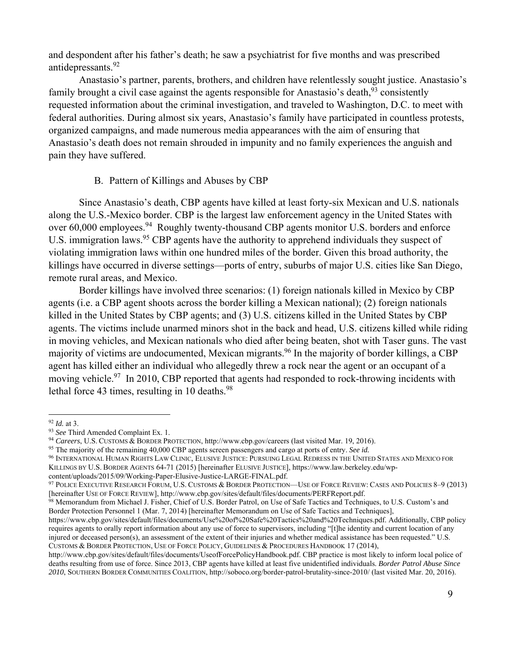and despondent after his father's death; he saw a psychiatrist for five months and was prescribed antidepressants.92

Anastasio's partner, parents, brothers, and children have relentlessly sought justice. Anastasio's family brought a civil case against the agents responsible for Anastasio's death,  $93$  consistently requested information about the criminal investigation, and traveled to Washington, D.C. to meet with federal authorities. During almost six years, Anastasio's family have participated in countless protests, organized campaigns, and made numerous media appearances with the aim of ensuring that Anastasio's death does not remain shrouded in impunity and no family experiences the anguish and pain they have suffered.

#### B. Pattern of Killings and Abuses by CBP

Since Anastasio's death, CBP agents have killed at least forty-six Mexican and U.S. nationals along the U.S.-Mexico border. CBP is the largest law enforcement agency in the United States with over 60,000 employees.<sup>94</sup> Roughly twenty-thousand CBP agents monitor U.S. borders and enforce U.S. immigration laws.<sup>95</sup> CBP agents have the authority to apprehend individuals they suspect of violating immigration laws within one hundred miles of the border. Given this broad authority, the killings have occurred in diverse settings—ports of entry, suburbs of major U.S. cities like San Diego, remote rural areas, and Mexico.

Border killings have involved three scenarios: (1) foreign nationals killed in Mexico by CBP agents (i.e. a CBP agent shoots across the border killing a Mexican national); (2) foreign nationals killed in the United States by CBP agents; and (3) U.S. citizens killed in the United States by CBP agents. The victims include unarmed minors shot in the back and head, U.S. citizens killed while riding in moving vehicles, and Mexican nationals who died after being beaten, shot with Taser guns. The vast majority of victims are undocumented, Mexican migrants.<sup>96</sup> In the majority of border killings, a CBP agent has killed either an individual who allegedly threw a rock near the agent or an occupant of a moving vehicle.<sup>97</sup> In 2010, CBP reported that agents had responded to rock-throwing incidents with lethal force 43 times, resulting in 10 deaths. $98$ 

<sup>&</sup>lt;sup>92</sup> *Id.* at 3.<br><sup>93</sup> *See* Third Amended Complaint Ex. 1.<br><sup>94</sup> *Careers*, U.S. CUSTOMS & BORDER PROTECTION, http://www.cbp.gov/careers (last visited Mar. 19, 2016).<br><sup>95</sup> The majority of the remaining 40,000 CBP agents sc

<sup>96</sup> INTERNATIONAL HUMAN RIGHTS LAW CLINIC, ELUSIVE JUSTICE: PURSUING LEGAL REDRESS IN THE UNITED STATES AND MEXICO FOR

KILLINGS BY U.S. BORDER AGENTS 64-71 (2015) [hereinafter ELUSIVE JUSTICE], https://www.law.berkeley.edu/wp-content/uploads/2015/09/Working-Paper-Elusive-Justice-LARGE-FINAL.pdf.

<sup>&</sup>lt;sup>97</sup> POLICE EXECUTIVE RESEARCH FORUM, U.S. CUSTOMS & BORDER PROTECTION—USE OF FORCE REVIEW: CASES AND POLICIES 8–9 (2013) [hereinafter USE OF FORCE REVIEW], http://www.cbp.gov/sites/default/files/documents/PERFReport.pdf.

<sup>&</sup>lt;sup>98</sup> Memorandum from Michael J. Fisher, Chief of U.S. Border Patrol, on Use of Safe Tactics and Techniques, to U.S. Custom's and Border Protection Personnel 1 (Mar. 7, 2014) [hereinafter Memorandum on Use of Safe Tactics and Techniques],

https://www.cbp.gov/sites/default/files/documents/Use%20of%20Safe%20Tactics%20and%20Techniques.pdf. Additionally, CBP policy requires agents to orally report information about any use of force to supervisors, including "[t]he identity and current location of any injured or deceased person(s), an assessment of the extent of their injuries and whether medical assistance has been requested." U.S. CUSTOMS & BORDER PROTECTION, USE OF FORCE POLICY, GUIDELINES & PROCEDURES HANDBOOK 17 (2014),

http://www.cbp.gov/sites/default/files/documents/UseofForcePolicyHandbook.pdf. CBP practice is most likely to inform local police of deaths resulting from use of force. Since 2013, CBP agents have killed at least five unidentified individuals. *Border Patrol Abuse Since 2010*, SOUTHERN BORDER COMMUNITIES COALITION, http://soboco.org/border-patrol-brutality-since-2010/ (last visited Mar. 20, 2016).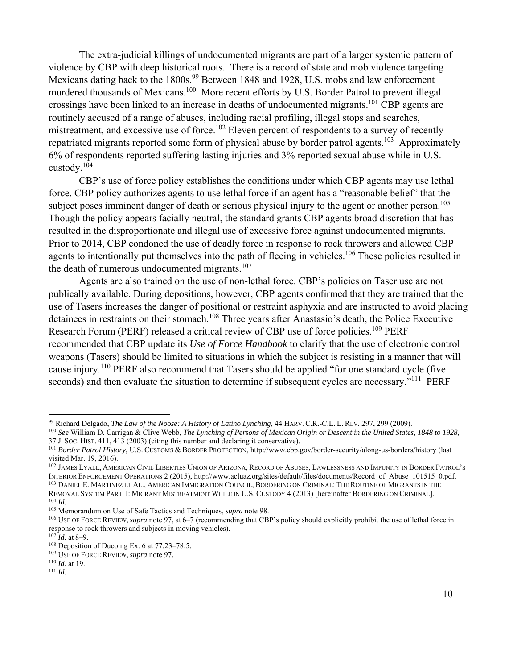The extra-judicial killings of undocumented migrants are part of a larger systemic pattern of violence by CBP with deep historical roots. There is a record of state and mob violence targeting Mexicans dating back to the 1800s.<sup>99</sup> Between 1848 and 1928, U.S. mobs and law enforcement murdered thousands of Mexicans.<sup>100</sup> More recent efforts by U.S. Border Patrol to prevent illegal crossings have been linked to an increase in deaths of undocumented migrants.101 CBP agents are routinely accused of a range of abuses, including racial profiling, illegal stops and searches, mistreatment, and excessive use of force.<sup>102</sup> Eleven percent of respondents to a survey of recently repatriated migrants reported some form of physical abuse by border patrol agents.<sup>103</sup> Approximately 6% of respondents reported suffering lasting injuries and 3% reported sexual abuse while in U.S. custody.104

CBP's use of force policy establishes the conditions under which CBP agents may use lethal force. CBP policy authorizes agents to use lethal force if an agent has a "reasonable belief" that the subject poses imminent danger of death or serious physical injury to the agent or another person.<sup>105</sup> Though the policy appears facially neutral, the standard grants CBP agents broad discretion that has resulted in the disproportionate and illegal use of excessive force against undocumented migrants. Prior to 2014, CBP condoned the use of deadly force in response to rock throwers and allowed CBP agents to intentionally put themselves into the path of fleeing in vehicles.<sup>106</sup> These policies resulted in the death of numerous undocumented migrants.<sup>107</sup>

Agents are also trained on the use of non-lethal force. CBP's policies on Taser use are not publically available. During depositions, however, CBP agents confirmed that they are trained that the use of Tasers increases the danger of positional or restraint asphyxia and are instructed to avoid placing detainees in restraints on their stomach.<sup>108</sup> Three years after Anastasio's death, the Police Executive Research Forum (PERF) released a critical review of CBP use of force policies.<sup>109</sup> PERF recommended that CBP update its *Use of Force Handbook* to clarify that the use of electronic control weapons (Tasers) should be limited to situations in which the subject is resisting in a manner that will cause injury.110 PERF also recommend that Tasers should be applied "for one standard cycle (five seconds) and then evaluate the situation to determine if subsequent cycles are necessary."<sup>111</sup> PERF

<sup>&</sup>lt;sup>99</sup> Richard Delgado, *The Law of the Noose: A History of Latino Lynching*, 44 HARV. C.R.-C.L. L. REV. 297, 299 (2009).<br><sup>100</sup> See William D. Carrigan & Clive Webb, *The Lynching of Persons of Mexican Origin or Descent in t* 

<sup>&</sup>lt;sup>101</sup> Border Patrol History, U.S. CUSTOMS & BORDER PROTECTION, http://www.cbp.gov/border-security/along-us-borders/history (last visited Mar. 19, 2016).

<sup>&</sup>lt;sup>102</sup> JAMES LYALL, AMERICAN CIVIL LIBERTIES UNION OF ARIZONA, RECORD OF ABUSES, LAWLESSNESS AND IMPUNITY IN BORDER PATROL'S<br>INTERIOR ENFORCEMENT OPERATIONS 2 (2015). http://www.acluaz.org/sites/default/files/documents/Reco <sup>103</sup> DANIEL E. MARTINEZ ET AL., AMERICAN IMMIGRATION COUNCIL, BORDERING ON CRIMINAL: THE ROUTINE OF MIGRANTS IN THE<br>REMOVAL SYSTEM PARTI I: MIGRANT MISTREATMENT WHILE IN U.S. CUSTODY 4 (2013) [hereinafter BORDERING ON CRI

<sup>&</sup>lt;sup>104</sup> *Id.*<br><sup>105</sup> Memorandum on Use of Safe Tactics and Techniques, *supra* note 98.<br><sup>106</sup> USE OF FORCE REVIEW, *supra* note 97, at 6–7 (recommending that CBP's policy should explicitly prohibit the use of lethal force in response to rock throwers and subjects in moving vehicles).<br><sup>107</sup> *Id.* at 8–9.<br><sup>108</sup> Deposition of Ducoing Ex. 6 at 77:23–78:5.<br><sup>109</sup> USE OF FORCE REVIEW, *supra* note 97.<br><sup>110</sup> *Id.* at 19.<br><sup>111</sup> *Id.*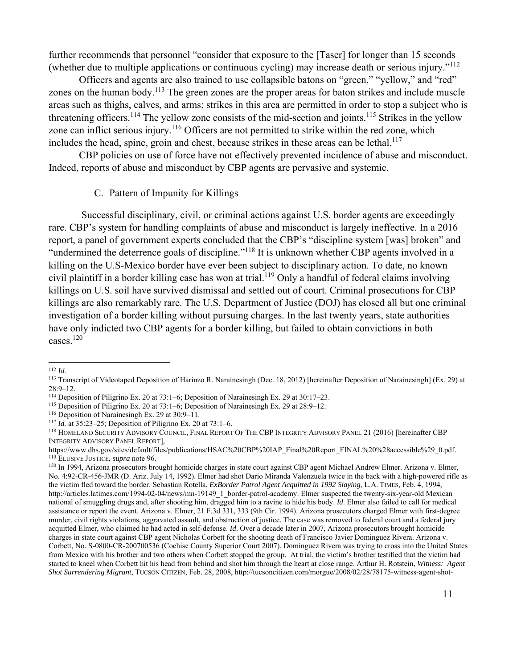further recommends that personnel "consider that exposure to the [Taser] for longer than 15 seconds (whether due to multiple applications or continuous cycling) may increase death or serious injury."112

Officers and agents are also trained to use collapsible batons on "green," "yellow," and "red" zones on the human body.<sup>113</sup> The green zones are the proper areas for baton strikes and include muscle areas such as thighs, calves, and arms; strikes in this area are permitted in order to stop a subject who is threatening officers.<sup>114</sup> The yellow zone consists of the mid-section and joints.<sup>115</sup> Strikes in the yellow zone can inflict serious injury.<sup>116</sup> Officers are not permitted to strike within the red zone, which includes the head, spine, groin and chest, because strikes in these areas can be lethal.<sup>117</sup>

 CBP policies on use of force have not effectively prevented incidence of abuse and misconduct. Indeed, reports of abuse and misconduct by CBP agents are pervasive and systemic.

## C. Pattern of Impunity for Killings

 Successful disciplinary, civil, or criminal actions against U.S. border agents are exceedingly rare. CBP's system for handling complaints of abuse and misconduct is largely ineffective. In a 2016 report, a panel of government experts concluded that the CBP's "discipline system [was] broken" and "undermined the deterrence goals of discipline."<sup>118</sup> It is unknown whether CBP agents involved in a killing on the U.S-Mexico border have ever been subject to disciplinary action. To date, no known civil plaintiff in a border killing case has won at trial.119 Only a handful of federal claims involving killings on U.S. soil have survived dismissal and settled out of court. Criminal prosecutions for CBP killings are also remarkably rare. The U.S. Department of Justice (DOJ) has closed all but one criminal investigation of a border killing without pursuing charges. In the last twenty years, state authorities have only indicted two CBP agents for a border killing, but failed to obtain convictions in both cases $120$ 

<sup>&</sup>lt;sup>112</sup> *Id.* 113 *Id.* 113 *Id.* 113 *Id.* 113 *Id.* 113 *Ideotaped Deposition of Harinzo R. Narainesingh (Dec. 18, 2012) [hereinafter Deposition of Narainesingh] (Ex. 29) at*  $28:9-12$ .<br><sup>114</sup> Deposition of Piligrino Ex. 20 at 73:1–6; Deposition of Narainesingh Ex. 29 at 30:17–23.

<sup>&</sup>lt;sup>115</sup> Deposition of Piligrino Ex. 20 at 73:1–6; Deposition of Narainesingh Ex. 29 at 28:9–12.<br><sup>116</sup> Deposition of Narainesingh Ex. 29 at 30:9–11.<br><sup>117</sup> *Id.* at 35:23–25; Deposition of Piligrino Ex. 20 at 73:1–6.<br><sup>117</sup> *Id* INTEGRITY ADVISORY PANEL REPORT],

https://www.dhs.gov/sites/default/files/publications/HSAC%20CBP%20IAP\_Final%20Report\_FINAL%20%28accessible%29\_0.pdf.<br><sup>119</sup> ELUSIVE JUSTICE, *supra* note 96.

<sup>&</sup>lt;sup>120</sup> In 1994, Arizona prosecutors brought homicide charges in state court against CBP agent Michael Andrew Elmer. Arizona v. Elmer, No. 4:92-CR-456-JMR (D. Ariz. July 14, 1992). Elmer had shot Dario Miranda Valenzuela twice in the back with a high-powered rifle as the victim fled toward the border. Sebastian Rotella, *ExBorder Patrol Agent Acquitted in 1992 Slaying*, L.A. TIMES, Feb. 4, 1994, http://articles.latimes.com/1994-02-04/news/mn-19149\_1\_border-patrol-academy. Elmer suspected the twenty-six-year-old Mexican national of smuggling drugs and, after shooting him, dragged him to a ravine to hide his body. *Id*. Elmer also failed to call for medical assistance or report the event. Arizona v. Elmer, 21 F.3d 331, 333 (9th Cir. 1994). Arizona prosecutors charged Elmer with first-degree murder, civil rights violations, aggravated assault, and obstruction of justice. The case was removed to federal court and a federal jury acquitted Elmer, who claimed he had acted in self-defense. *Id*. Over a decade later in 2007, Arizona prosecutors brought homicide charges in state court against CBP agent Nicholas Corbett for the shooting death of Francisco Javier Dominguez Rivera. Arizona v. Corbett, No. S-0800-CR-200700536 (Cochise County Superior Court 2007). Dominguez Rivera was trying to cross into the United States from Mexico with his brother and two others when Corbett stopped the group. At trial, the victim's brother testified that the victim had started to kneel when Corbett hit his head from behind and shot him through the heart at close range. Arthur H. Rotstein, *Witness: Agent Shot Surrendering Migrant*, TUCSON CITIZEN, Feb. 28, 2008, http://tucsoncitizen.com/morgue/2008/02/28/78175-witness-agent-shot-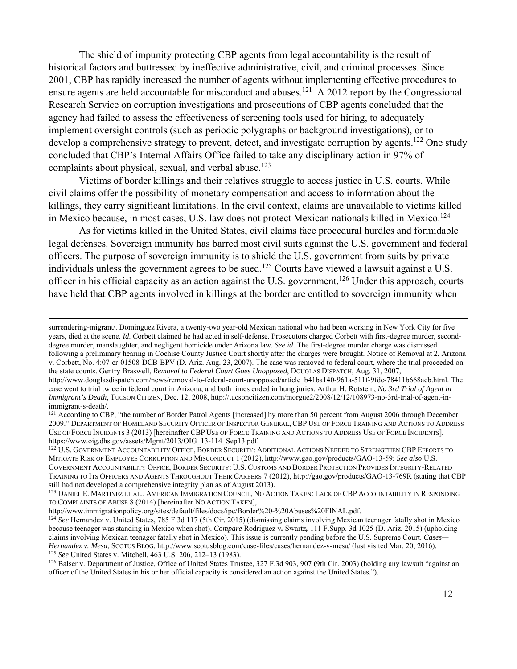The shield of impunity protecting CBP agents from legal accountability is the result of historical factors and buttressed by ineffective administrative, civil, and criminal processes. Since 2001, CBP has rapidly increased the number of agents without implementing effective procedures to ensure agents are held accountable for misconduct and abuses.<sup>121</sup> A 2012 report by the Congressional Research Service on corruption investigations and prosecutions of CBP agents concluded that the agency had failed to assess the effectiveness of screening tools used for hiring, to adequately implement oversight controls (such as periodic polygraphs or background investigations), or to develop a comprehensive strategy to prevent, detect, and investigate corruption by agents.<sup>122</sup> One study concluded that CBP's Internal Affairs Office failed to take any disciplinary action in 97% of complaints about physical, sexual, and verbal abuse.<sup>123</sup>

Victims of border killings and their relatives struggle to access justice in U.S. courts. While civil claims offer the possibility of monetary compensation and access to information about the killings, they carry significant limitations. In the civil context, claims are unavailable to victims killed in Mexico because, in most cases, U.S. law does not protect Mexican nationals killed in Mexico.<sup>124</sup>

As for victims killed in the United States, civil claims face procedural hurdles and formidable legal defenses. Sovereign immunity has barred most civil suits against the U.S. government and federal officers. The purpose of sovereign immunity is to shield the U.S. government from suits by private individuals unless the government agrees to be sued.<sup>125</sup> Courts have viewed a lawsuit against a U.S. officer in his official capacity as an action against the U.S. government.126 Under this approach, courts have held that CBP agents involved in killings at the border are entitled to sovereign immunity when

surrendering-migrant/. Dominguez Rivera, a twenty-two year-old Mexican national who had been working in New York City for five years, died at the scene. *Id*. Corbett claimed he had acted in self-defense. Prosecutors charged Corbett with first-degree murder, seconddegree murder, manslaughter, and negligent homicide under Arizona law. *See id*. The first-degree murder charge was dismissed following a preliminary hearing in Cochise County Justice Court shortly after the charges were brought. Notice of Removal at 2, Arizona v. Corbett, No. 4:07-cr-01508-DCB-BPV (D. Ariz. Aug. 23, 2007). The case was removed to federal court, where the trial proceeded on the state counts. Gentry Braswell, *Removal to Federal Court Goes Unopposed*, DOUGLAS DISPATCH, Aug. 31, 2007,

<u> 1989 - Andrea Santa Andrea Andrea Andrea Andrea Andrea Andrea Andrea Andrea Andrea Andrea Andrea Andrea Andr</u>

http://www.douglasdispatch.com/news/removal-to-federal-court-unopposed/article\_b41ba140-961a-511f-9fdc-78411b668acb.html. The case went to trial twice in federal court in Arizona, and both times ended in hung juries. Arthur H. Rotstein, *No 3rd Trial of Agent in Immigrant's Death*, TUCSON CITIZEN, Dec. 12, 2008, http://tucsoncitizen.com/morgue2/2008/12/12/108973-no-3rd-trial-of-agent-inimmigrant-s-death/.

<sup>121</sup> According to CBP, "the number of Border Patrol Agents [increased] by more than 50 percent from August 2006 through December 2009." DEPARTMENT OF HOMELAND SECURITY OFFICER OF INSPECTOR GENERAL, CBP USE OF FORCE TRAINING AND ACTIONS TO ADDRESS USE OF FORCE INCIDENTS 3 (2013) [hereinafter CBP USE OF FORCE TRAINING AND ACTIONS TO ADDRESS USE OF FORCE INCIDENTS], https://www.oig.dhs.gov/assets/Mgmt/2013/OIG 13-114 Sep13.pdf.

<sup>122</sup> U.S. GOVERNMENT ACCOUNTABILITY OFFICE, BORDER SECURITY: ADDITIONAL ACTIONS NEEDED TO STRENGTHEN CBP EFFORTS TO MITIGATE RISK OF EMPLOYEE CORRUPTION AND MISCONDUCT 1 (2012), http://www.gao.gov/products/GAO-13-59; *See also* U.S. GOVERNMENT ACCOUNTABILITY OFFICE, BORDER SECURITY: U.S. CUSTOMS AND BORDER PROTECTION PROVIDES INTEGRITY-RELATED TRAINING TO ITS OFFICERS AND AGENTS THROUGHOUT THEIR CAREERS 7 (2012), http://gao.gov/products/GAO-13-769R (stating that CBP still had not developed a comprehensive integrity plan as of August 2013).

<sup>123</sup> DANIEL E. MARTINEZ ET AL., AMERICAN IMMIGRATION COUNCIL, NO ACTION TAKEN: LACK OF CBP ACCOUNTABILITY IN RESPONDING TO COMPLAINTS OF ABUSE 8 (2014) [hereinafter NO ACTION TAKEN],<br>http://www.immigrationpolicy.org/sites/default/files/docs/ipc/Border%20-%20Abuses%20FINAL.pdf.

<sup>&</sup>lt;sup>124</sup> See Hernandez v. United States, 785 F.3d 117 (5th Cir. 2015) (dismissing claims involving Mexican teenager fatally shot in Mexico because teenager was standing in Mexico when shot). *Compare* Rodriguez v*.* Swartz*,* 111 F.Supp. 3d 1025 (D. Ariz. 2015) (upholding claims involving Mexican teenager fatally shot in Mexico). This issue is currently pending before the U.S. Supreme Court. *Cases— Hernandez v. Mesa*, SCOTUS BLOG, http://www.scotusblog.com/case-files/cases/hernandez-v-mesa/ (last visited Mar. 20, 2016).<br><sup>125</sup> See United States v. Mitchell, 463 U.S. 206, 212–13 (1983).<br><sup>126</sup> Balser v. Department of J

officer of the United States in his or her official capacity is considered an action against the United States.").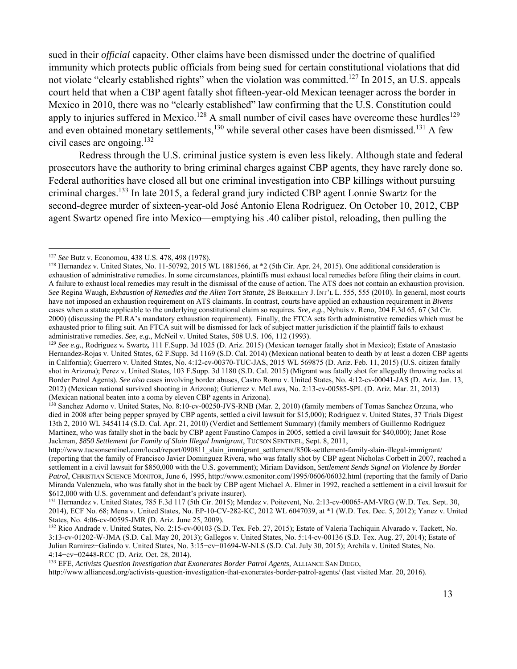sued in their *official* capacity. Other claims have been dismissed under the doctrine of qualified immunity which protects public officials from being sued for certain constitutional violations that did not violate "clearly established rights" when the violation was committed.<sup>127</sup> In 2015, an U.S. appeals court held that when a CBP agent fatally shot fifteen-year-old Mexican teenager across the border in Mexico in 2010, there was no "clearly established" law confirming that the U.S. Constitution could apply to injuries suffered in Mexico.<sup>128</sup> A small number of civil cases have overcome these hurdles<sup>129</sup> and even obtained monetary settlements,<sup>130</sup> while several other cases have been dismissed.<sup>131</sup> A few civil cases are ongoing.132

Redress through the U.S. criminal justice system is even less likely. Although state and federal prosecutors have the authority to bring criminal charges against CBP agents, they have rarely done so. Federal authorities have closed all but one criminal investigation into CBP killings without pursuing criminal charges.133 In late 2015, a federal grand jury indicted CBP agent Lonnie Swartz for the second-degree murder of sixteen-year-old José Antonio Elena Rodriguez. On October 10, 2012, CBP agent Swartz opened fire into Mexico—emptying his .40 caliber pistol, reloading, then pulling the

 $^{130}$  Sanchez Adorno v. United States, No. 8:10-cv-00250-JVS-RNB (Mar. 2, 2010) (family members of Tomas Sanchez Orzuna, who died in 2008 after being pepper sprayed by CBP agents, settled a civil lawsuit for \$15,000); Rodriguez v. United States, 37 Trials Digest 13th 2, 2010 WL 3454114 (S.D. Cal. Apr. 21, 2010) (Verdict and Settlement Summary) (family members of Guillermo Rodriguez Martinez, who was fatally shot in the back by CBP agent Faustino Campos in 2005, settled a civil lawsuit for \$40,000); Janet Rose Jackman, *\$850 Settlement for Family of Slain Illegal Immigrant*, TUCSON SENTINEL, Sept. 8, 2011,

<sup>&</sup>lt;sup>127</sup> See Butz v. Economou, 438 U.S. 478, 498 (1978).

<sup>&</sup>lt;sup>128</sup> Hernandez v. United States, No. 11-50792, 2015 WL 1881566, at  $*2$  (5th Cir. Apr. 24, 2015). One additional consideration is exhaustion of administrative remedies. In some circumstances, plaintiffs must exhaust local remedies before filing their claims in court. A failure to exhaust local remedies may result in the dismissal of the cause of action. The ATS does not contain an exhaustion provision. *See* Regina Waugh, *Exhaustion of Remedies and the Alien Tort Statute*, 28 BERKELEY J. INT'L L. 555, 555 (2010). In general, most courts have not imposed an exhaustion requirement on ATS claimants. In contrast, courts have applied an exhaustion requirement in *Bivens* cases when a statute applicable to the underlying constitutional claim so requires. *See, e.g.*, Nyhuis v. Reno, 204 F.3d 65, 67 (3d Cir. 2000) (discussing the PLRA's mandatory exhaustion requirement). Finally, the FTCA sets forth administrative remedies which must be exhausted prior to filing suit. An FTCA suit will be dismissed for lack of subject matter jurisdiction if the plaintiff fails to exhaust administrative remedies. See, e.g., McNeil v. United States, 508 U.S. 106, 112 (1993).<br><sup>129</sup> See e.g., Rodriguez v. Swartz, 111 F.Supp. 3d 1025 (D. Ariz. 2015) (Mexican teenager fatally shot in Mexico); Estate of Anastasio

Hernandez-Rojas v. United States, 62 F.Supp. 3d 1169 (S.D. Cal. 2014) (Mexican national beaten to death by at least a dozen CBP agents in California); Guerrero v. United States, No. 4:12-cv-00370-TUC-JAS, 2015 WL 569875 (D. Ariz. Feb. 11, 2015) (U.S. citizen fatally shot in Arizona); Perez v. United States, 103 F.Supp. 3d 1180 (S.D. Cal. 2015) (Migrant was fatally shot for allegedly throwing rocks at Border Patrol Agents). *See also* cases involving border abuses, Castro Romo v. United States, No. 4:12-cv-00041-JAS (D. Ariz. Jan. 13, 2012) (Mexican national survived shooting in Arizona); Gutierrez v. McLaws, No. 2:13-cv-00585-SPL (D. Ariz. Mar. 21, 2013) (Mexican national beaten into a coma by eleven CBP agents in Arizona).

http://www.tucsonsentinel.com/local/report/090811\_slain\_immigrant\_settlement/850k-settlement-family-slain-illegal-immigrant/ (reporting that the family of Francisco Javier Dominguez Rivera, who was fatally shot by CBP agent Nicholas Corbett in 2007, reached a settlement in a civil lawsuit for \$850,000 with the U.S. government); Miriam Davidson, *Settlement Sends Signal on Violence by Border*  Patrol, CHRISTIAN SCIENCE MONITOR, June 6, 1995, http://www.csmonitor.com/1995/0606/06032.html (reporting that the family of Dario Miranda Valenzuela, who was fatally shot in the back by CBP agent Michael A. Elmer in 1992, reached a settlement in a civil lawsuit for \$612,000 with U.S. government and defendant's private insurer).<br><sup>131</sup> Hernandez v. United States, 785 F.3d 117 (5th Cir. 2015); Mendez v. Poitevent, No. 2:13-cv-00065-AM-VRG (W.D. Tex. Sept. 30,

<sup>2014),</sup> ECF No. 68; Mena v. United States, No. EP-10-CV-282-KC, 2012 WL 6047039, at \*1 (W.D. Tex. Dec. 5, 2012); Yanez v. United States, No. 4:06-cv-00595-JMR (D. Ariz. June 25, 2009).

<sup>&</sup>lt;sup>132</sup> Rico Andrade v. United States, No. 2:15-cv-00103 (S.D. Tex. Feb. 27, 2015); Estate of Valeria Tachiquin Alvarado v. Tackett, No. 3:13-cv-01202-W-JMA (S.D. Cal. May 20, 2013); Gallegos v. United States, No. 5:14-cv-00136 (S.D. Tex. Aug. 27, 2014); Estate of Julian Ramirez−Galindo v. United States, No. 3:15−cv−01694-W-NLS (S.D. Cal. July 30, 2015); Archila v. United States, No. 4:14−cv−02448-RCC (D. Ariz. Oct. 28, 2014). 133 EFE, *Activists Question Investigation that Exonerates Border Patrol Agents,* ALLIANCE SAN DIEGO,

http://www.alliancesd.org/activists-question-investigation-that-exonerates-border-patrol-agents/ (last visited Mar. 20, 2016).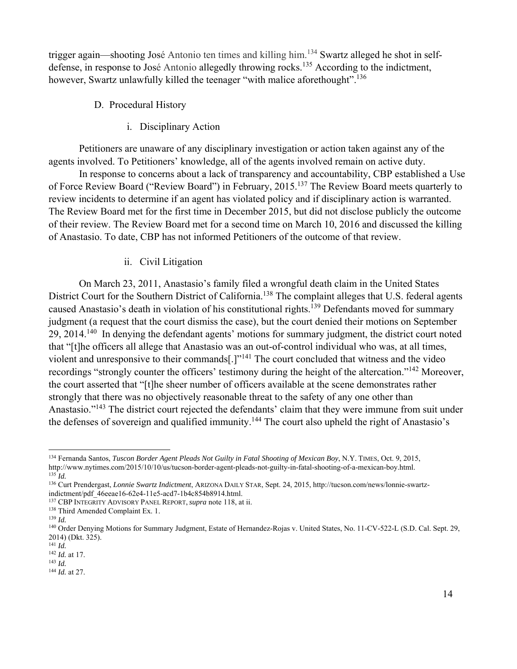trigger again—shooting José Antonio ten times and killing him.134 Swartz alleged he shot in selfdefense, in response to José Antonio allegedly throwing rocks.<sup>135</sup> According to the indictment, however, Swartz unlawfully killed the teenager "with malice aforethought".<sup>136</sup>

- D. Procedural History
	- i. Disciplinary Action

Petitioners are unaware of any disciplinary investigation or action taken against any of the agents involved. To Petitioners' knowledge, all of the agents involved remain on active duty.

In response to concerns about a lack of transparency and accountability, CBP established a Use of Force Review Board ("Review Board") in February, 2015.137 The Review Board meets quarterly to review incidents to determine if an agent has violated policy and if disciplinary action is warranted. The Review Board met for the first time in December 2015, but did not disclose publicly the outcome of their review. The Review Board met for a second time on March 10, 2016 and discussed the killing of Anastasio. To date, CBP has not informed Petitioners of the outcome of that review.

ii. Civil Litigation

 On March 23, 2011, Anastasio's family filed a wrongful death claim in the United States District Court for the Southern District of California.<sup>138</sup> The complaint alleges that U.S. federal agents caused Anastasio's death in violation of his constitutional rights.<sup>139</sup> Defendants moved for summary judgment (a request that the court dismiss the case), but the court denied their motions on September 29, 2014.140 In denying the defendant agents' motions for summary judgment, the district court noted that "[t]he officers all allege that Anastasio was an out-of-control individual who was, at all times, violent and unresponsive to their commands[.]"141 The court concluded that witness and the video recordings "strongly counter the officers' testimony during the height of the altercation."142 Moreover, the court asserted that "[t]he sheer number of officers available at the scene demonstrates rather strongly that there was no objectively reasonable threat to the safety of any one other than Anastasio."143 The district court rejected the defendants' claim that they were immune from suit under the defenses of sovereign and qualified immunity.<sup>144</sup> The court also upheld the right of Anastasio's

<sup>&</sup>lt;sup>134</sup> Fernanda Santos, *Tuscon Border Agent Pleads Not Guilty in Fatal Shooting of Mexican Boy*, N.Y. TIMES, Oct. 9, 2015,<br>http://www.nytimes.com/2015/10/10/us/tucson-border-agent-pleads-not-guilty-in-fatal-shooting-of-a-m

<sup>&</sup>lt;sup>135</sup>Id.<br><sup>136</sup> Curt Prendergast, *Lonnie Swartz Indictment*, ARIZONA DAILY STAR, Sept. 24, 2015, http://tucson.com/news/lonnie-swartz-<br>indictment/pdf 46eeae16-62e4-11e5-acd7-1b4c854b8914.html.

<sup>&</sup>lt;sup>137</sup> CBP INTEGRITY ADVISORY PANEL REPORT, *supra* note 118, at ii.<br><sup>138</sup> Third Amended Complaint Ex. 1.<br><sup>139</sup> Id.<br><sup>140</sup> Order Denying Motions for Summary Judgment, Estate of Hernandez-Rojas v. United States, No. 11-CV-522 2014) (Dkt. 325).

<sup>141</sup> *Id.*

<sup>142</sup> *Id.* at 17. 143 *Id.*

<sup>144</sup> *Id.* at 27.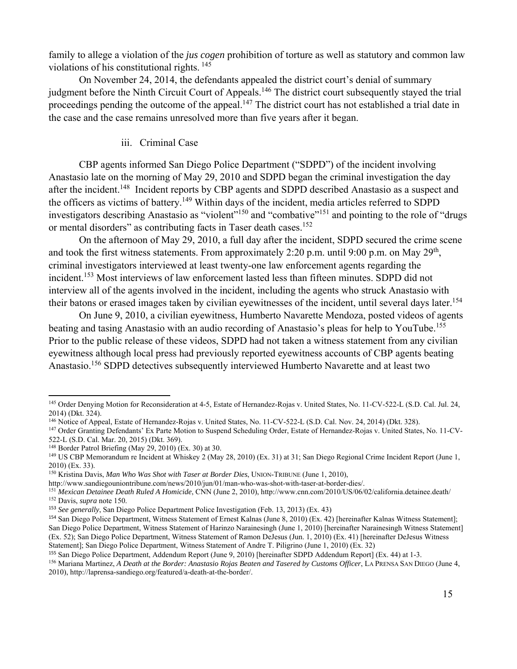family to allege a violation of the *jus cogen* prohibition of torture as well as statutory and common law violations of his constitutional rights. 145

 On November 24, 2014, the defendants appealed the district court's denial of summary judgment before the Ninth Circuit Court of Appeals.<sup>146</sup> The district court subsequently stayed the trial proceedings pending the outcome of the appeal.<sup>147</sup> The district court has not established a trial date in the case and the case remains unresolved more than five years after it began.

#### iii. Criminal Case

CBP agents informed San Diego Police Department ("SDPD") of the incident involving Anastasio late on the morning of May 29, 2010 and SDPD began the criminal investigation the day after the incident.<sup>148</sup> Incident reports by CBP agents and SDPD described Anastasio as a suspect and the officers as victims of battery.149 Within days of the incident, media articles referred to SDPD investigators describing Anastasio as "violent"<sup>150</sup> and "combative"<sup>151</sup> and pointing to the role of "drugs" or mental disorders" as contributing facts in Taser death cases.<sup>152</sup>

On the afternoon of May 29, 2010, a full day after the incident, SDPD secured the crime scene and took the first witness statements. From approximately 2:20 p.m. until 9:00 p.m. on May  $29<sup>th</sup>$ , criminal investigators interviewed at least twenty-one law enforcement agents regarding the incident.<sup>153</sup> Most interviews of law enforcement lasted less than fifteen minutes. SDPD did not interview all of the agents involved in the incident, including the agents who struck Anastasio with their batons or erased images taken by civilian eyewitnesses of the incident, until several days later.<sup>154</sup>

On June 9, 2010, a civilian eyewitness, Humberto Navarette Mendoza, posted videos of agents beating and tasing Anastasio with an audio recording of Anastasio's pleas for help to YouTube.<sup>155</sup> Prior to the public release of these videos, SDPD had not taken a witness statement from any civilian eyewitness although local press had previously reported eyewitness accounts of CBP agents beating Anastasio.<sup>156</sup> SDPD detectives subsequently interviewed Humberto Navarette and at least two

<sup>145</sup> Order Denying Motion for Reconsideration at 4-5, Estate of Hernandez-Rojas v. United States, No. 11-CV-522-L (S.D. Cal. Jul. 24, 2014) (Dkt. 324).

<sup>&</sup>lt;sup>146</sup> Notice of Appeal, Estate of Hernandez-Rojas v. United States, No. 11-CV-522-L (S.D. Cal. Nov. 24, 2014) (Dkt. 328).<br><sup>147</sup> Order Granting Defendants' Ex Parte Motion to Suspend Scheduling Order, Estate of Hernandez-Ro

<sup>522-</sup>L (S.D. Cal. Mar. 20, 2015) (Dkt. 369).

<sup>&</sup>lt;sup>148</sup> Border Patrol Briefing (May 29, 2010) (Ex. 30) at 30.<br><sup>149</sup> US CBP Memorandum re Incident at Whiskey 2 (May 28, 2010) (Ex. 31) at 31; San Diego Regional Crime Incident Report (June 1, 2010) (Ex. 33).

<sup>&</sup>lt;sup>150</sup> Kristina Davis, *Man Who Was Shot with Taser at Border Dies*, UNION-TRIBUNE (June 1, 2010),<br>http://www.sandiegouniontribune.com/news/2010/jun/01/man-who-was-shot-with-taser-at-border-dies/.

<sup>&</sup>lt;sup>151</sup> Mexican Detainee Death Ruled A Homicide, CNN (June 2, 2010), http://www.cnn.com/2010/US/06/02/california.detainee.death/<br><sup>152</sup> Davis, *supra* note 150.

<sup>153</sup> *See generally*, San Diego Police Department Police Investigation (Feb. 13, 2013) (Ex. 43)

<sup>154</sup> San Diego Police Department, Witness Statement of Ernest Kalnas (June 8, 2010) (Ex. 42) [hereinafter Kalnas Witness Statement]; San Diego Police Department, Witness Statement of Harinzo Narainesingh (June 1, 2010) [hereinafter Narainesingh Witness Statement] (Ex. 52); San Diego Police Department, Witness Statement of Ramon DeJesus (Jun. 1, 2010) (Ex. 41) [hereinafter DeJesus Witness Statement]; San Diego Police Department, Witness Statement of Andre T. Piligrino (June 1, 2010) (Ex. 32)

<sup>155</sup> San Diego Police Department, Addendum Report (June 9, 2010) [hereinafter SDPD Addendum Report] (Ex. 44) at 1-3.

<sup>156</sup> Mariana Martinez, *A Death at the Border: Anastasio Rojas Beaten and Tasered by Customs Officer*, LA PRENSA SAN DIEGO (June 4, 2010), http://laprensa-sandiego.org/featured/a-death-at-the-border/.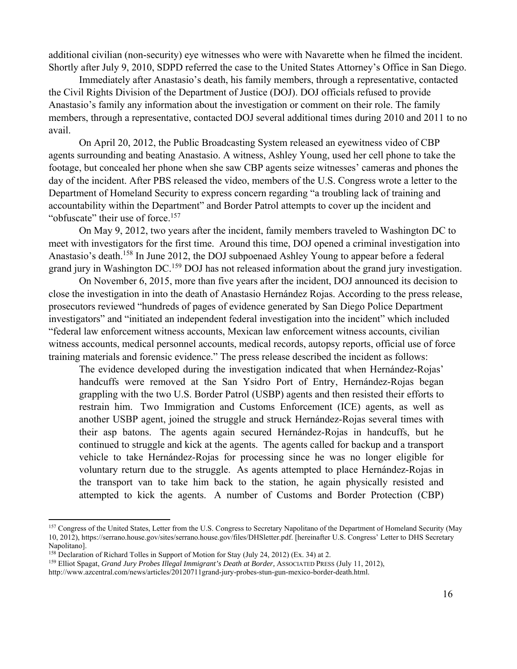additional civilian (non-security) eye witnesses who were with Navarette when he filmed the incident. Shortly after July 9, 2010, SDPD referred the case to the United States Attorney's Office in San Diego.

Immediately after Anastasio's death, his family members, through a representative, contacted the Civil Rights Division of the Department of Justice (DOJ). DOJ officials refused to provide Anastasio's family any information about the investigation or comment on their role. The family members, through a representative, contacted DOJ several additional times during 2010 and 2011 to no avail.

On April 20, 2012, the Public Broadcasting System released an eyewitness video of CBP agents surrounding and beating Anastasio. A witness, Ashley Young, used her cell phone to take the footage, but concealed her phone when she saw CBP agents seize witnesses' cameras and phones the day of the incident. After PBS released the video, members of the U.S. Congress wrote a letter to the Department of Homeland Security to express concern regarding "a troubling lack of training and accountability within the Department" and Border Patrol attempts to cover up the incident and "obfuscate" their use of force.<sup>157</sup>

On May 9, 2012, two years after the incident, family members traveled to Washington DC to meet with investigators for the first time. Around this time, DOJ opened a criminal investigation into Anastasio's death.<sup>158</sup> In June 2012, the DOJ subpoenaed Ashley Young to appear before a federal grand jury in Washington DC.159 DOJ has not released information about the grand jury investigation.

On November 6, 2015, more than five years after the incident, DOJ announced its decision to close the investigation in into the death of Anastasio Hernández Rojas. According to the press release, prosecutors reviewed "hundreds of pages of evidence generated by San Diego Police Department investigators" and "initiated an independent federal investigation into the incident" which included "federal law enforcement witness accounts, Mexican law enforcement witness accounts, civilian witness accounts, medical personnel accounts, medical records, autopsy reports, official use of force training materials and forensic evidence." The press release described the incident as follows:

The evidence developed during the investigation indicated that when Hernández-Rojas' handcuffs were removed at the San Ysidro Port of Entry, Hernández-Rojas began grappling with the two U.S. Border Patrol (USBP) agents and then resisted their efforts to restrain him. Two Immigration and Customs Enforcement (ICE) agents, as well as another USBP agent, joined the struggle and struck Hernández-Rojas several times with their asp batons. The agents again secured Hernández-Rojas in handcuffs, but he continued to struggle and kick at the agents. The agents called for backup and a transport vehicle to take Hernández-Rojas for processing since he was no longer eligible for voluntary return due to the struggle. As agents attempted to place Hernández-Rojas in the transport van to take him back to the station, he again physically resisted and attempted to kick the agents. A number of Customs and Border Protection (CBP)

<sup>&</sup>lt;sup>157</sup> Congress of the United States, Letter from the U.S. Congress to Secretary Napolitano of the Department of Homeland Security (May 10, 2012), https://serrano.house.gov/sites/serrano.house.gov/files/DHSletter.pdf. [hereinafter U.S. Congress' Letter to DHS Secretary Napolitano].<br><sup>158</sup> Declaration of Richard Tolles in Support of Motion for Stay (July 24, 2012) (Ex. 34) at 2.

<sup>&</sup>lt;sup>159</sup> Elliot Spagat, *Grand Jury Probes Illegal Immigrant's Death at Border*, ASSOCIATED PRESS (July 11, 2012),

http://www.azcentral.com/news/articles/20120711grand-jury-probes-stun-gun-mexico-border-death.html.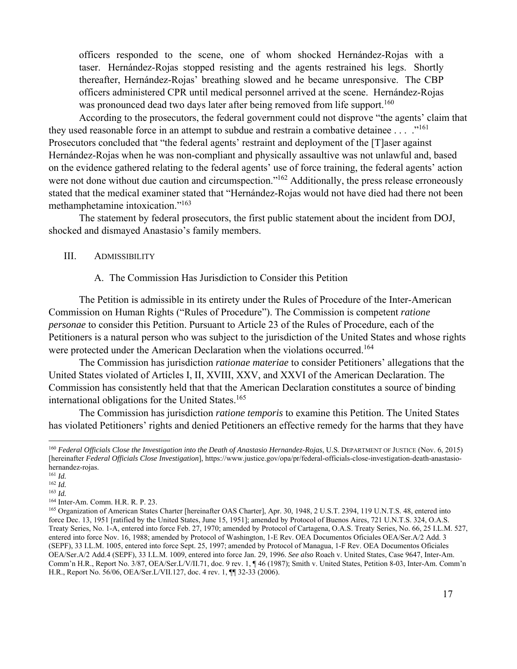officers responded to the scene, one of whom shocked Hernández-Rojas with a taser. Hernández-Rojas stopped resisting and the agents restrained his legs. Shortly thereafter, Hernández-Rojas' breathing slowed and he became unresponsive. The CBP officers administered CPR until medical personnel arrived at the scene. Hernández-Rojas was pronounced dead two days later after being removed from life support.<sup>160</sup>

According to the prosecutors, the federal government could not disprove "the agents' claim that they used reasonable force in an attempt to subdue and restrain a combative detainee  $\dots$ .  $\cdot$ <sup>161</sup> Prosecutors concluded that "the federal agents' restraint and deployment of the [T]aser against Hernández-Rojas when he was non-compliant and physically assaultive was not unlawful and, based on the evidence gathered relating to the federal agents' use of force training, the federal agents' action were not done without due caution and circumspection."<sup>162</sup> Additionally, the press release erroneously stated that the medical examiner stated that "Hernández-Rojas would not have died had there not been methamphetamine intoxication."163

The statement by federal prosecutors, the first public statement about the incident from DOJ, shocked and dismayed Anastasio's family members.

## III. ADMISSIBILITY

#### A. The Commission Has Jurisdiction to Consider this Petition

The Petition is admissible in its entirety under the Rules of Procedure of the Inter-American Commission on Human Rights ("Rules of Procedure"). The Commission is competent *ratione personae* to consider this Petition. Pursuant to Article 23 of the Rules of Procedure, each of the Petitioners is a natural person who was subject to the jurisdiction of the United States and whose rights were protected under the American Declaration when the violations occurred.<sup>164</sup>

The Commission has jurisdiction *rationae materiae* to consider Petitioners' allegations that the United States violated of Articles I, II, XVIII, XXV, and XXVI of the American Declaration. The Commission has consistently held that that the American Declaration constitutes a source of binding international obligations for the United States.<sup>165</sup>

The Commission has jurisdiction *ratione temporis* to examine this Petition. The United States has violated Petitioners' rights and denied Petitioners an effective remedy for the harms that they have

<sup>160</sup> *Federal Officials Close the Investigation into the Death of Anastasio Hernandez-Rojas*, U.S. DEPARTMENT OF JUSTICE (Nov. 6, 2015) [hereinafter *Federal Officials Close Investigation*], https://www.justice.gov/opa/pr/federal-officials-close-investigation-death-anastasiohernandez-rojas.

<sup>161</sup> *Id.*

<sup>162</sup> *Id.*

<sup>&</sup>lt;sup>163</sup> *Id.* <sup>164</sup> Inter-Am. Comm. H.R. R. P. 23.

<sup>&</sup>lt;sup>165</sup> Organization of American States Charter [hereinafter OAS Charter], Apr. 30, 1948, 2 U.S.T. 2394, 119 U.N.T.S. 48, entered into force Dec. 13, 1951 [ratified by the United States, June 15, 1951]; amended by Protocol of Buenos Aires, 721 U.N.T.S. 324, O.A.S. Treaty Series, No. 1-A, entered into force Feb. 27, 1970; amended by Protocol of Cartagena, O.A.S. Treaty Series, No. 66, 25 I.L.M. 527, entered into force Nov. 16, 1988; amended by Protocol of Washington, 1-E Rev. OEA Documentos Oficiales OEA/Ser.A/2 Add. 3 (SEPF), 33 I.L.M. 1005, entered into force Sept. 25, 1997; amended by Protocol of Managua, 1-F Rev. OEA Documentos Oficiales OEA/Ser.A/2 Add.4 (SEPF), 33 I.L.M. 1009, entered into force Jan. 29, 1996. *See also* Roach v. United States, Case 9647, Inter-Am. Comm'n H.R., Report No. 3/87, OEA/Ser.L/V/II.71, doc. 9 rev. 1, ¶ 46 (1987); Smith v. United States, Petition 8-03, Inter-Am. Comm'n H.R., Report No. 56/06, OEA/Ser.L/VII.127, doc. 4 rev. 1, ¶¶ 32-33 (2006).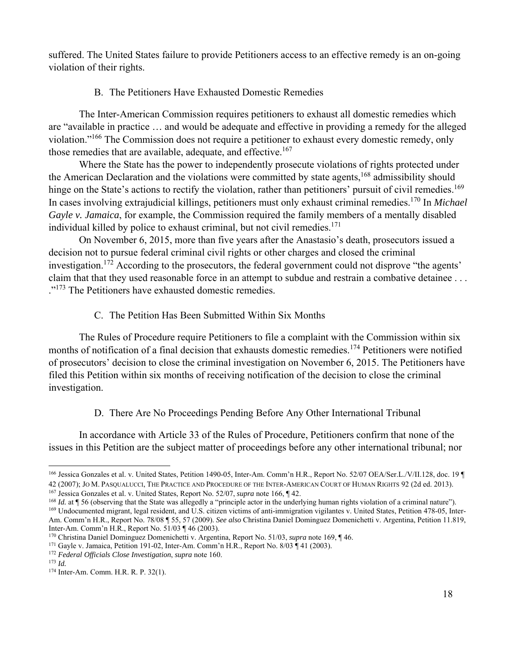suffered. The United States failure to provide Petitioners access to an effective remedy is an on-going violation of their rights.

# B. The Petitioners Have Exhausted Domestic Remedies

The Inter-American Commission requires petitioners to exhaust all domestic remedies which are "available in practice … and would be adequate and effective in providing a remedy for the alleged violation."166 The Commission does not require a petitioner to exhaust every domestic remedy, only those remedies that are available, adequate, and effective.<sup>167</sup>

Where the State has the power to independently prosecute violations of rights protected under the American Declaration and the violations were committed by state agents,<sup>168</sup> admissibility should hinge on the State's actions to rectify the violation, rather than petitioners' pursuit of civil remedies.<sup>169</sup> In cases involving extrajudicial killings, petitioners must only exhaust criminal remedies.170 In *Michael Gayle v. Jamaica*, for example, the Commission required the family members of a mentally disabled individual killed by police to exhaust criminal, but not civil remedies.<sup>171</sup>

On November 6, 2015, more than five years after the Anastasio's death, prosecutors issued a decision not to pursue federal criminal civil rights or other charges and closed the criminal investigation.<sup>172</sup> According to the prosecutors, the federal government could not disprove "the agents' claim that that they used reasonable force in an attempt to subdue and restrain a combative detainee . . . ."<sup>173</sup> The Petitioners have exhausted domestic remedies.

C. The Petition Has Been Submitted Within Six Months

The Rules of Procedure require Petitioners to file a complaint with the Commission within six months of notification of a final decision that exhausts domestic remedies.<sup>174</sup> Petitioners were notified of prosecutors' decision to close the criminal investigation on November 6, 2015. The Petitioners have filed this Petition within six months of receiving notification of the decision to close the criminal investigation.

## D. There Are No Proceedings Pending Before Any Other International Tribunal

In accordance with Article 33 of the Rules of Procedure, Petitioners confirm that none of the issues in this Petition are the subject matter of proceedings before any other international tribunal; nor

 166 Jessica Gonzales et al. v. United States, Petition 1490-05, Inter-Am. Comm'n H.R., Report No. 52/07 OEA/Ser.L./V/II.128, doc. 19 ¶

<sup>42 (2007);</sup> Jo M. PASQUALUCCI, THE PRACTICE AND PROCEDURE OF THE INTER-AMERICAN COURT OF HUMAN RIGHTS 92 (2d ed. 2013).<br><sup>167</sup> Jessica Gonzales et al. v. United States, Report No. 52/07, *supra* note 166, ¶ 42.<br><sup>168</sup> *Id.* a

Am. Comm'n H.R., Report No. 78/08 ¶ 55, 57 (2009). *See also* Christina Daniel Dominguez Domenichetti v. Argentina, Petition 11.819, Inter-Am. Comm'n H.R., Report No. 51/03 ¶ 46 (2003).<br><sup>170</sup> Christina Daniel Dominguez Domenichetti v. Argentina, Report No. 51/03, *supra* note 169, ¶ 46.<br><sup>171</sup> Gayle v. Jamaica, Petition 191-02, Inter-Am. Comm'n H.R., Rep

<sup>174</sup> Inter-Am. Comm. H.R. R. P. 32(1).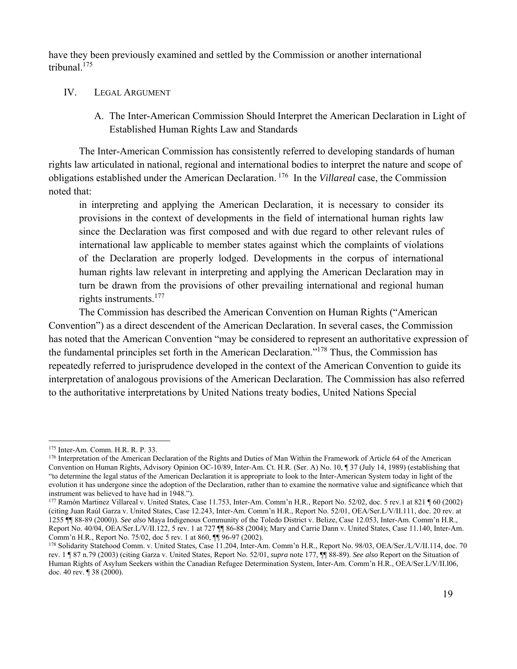have they been previously examined and settled by the Commission or another international tribunal $175$ 

#### IV. LEGAL ARGUMENT

A. The Inter-American Commission Should Interpret the American Declaration in Light of Established Human Rights Law and Standards

The Inter-American Commission has consistently referred to developing standards of human rights law articulated in national, regional and international bodies to interpret the nature and scope of obligations established under the American Declaration. 176 In the *Villareal* case, the Commission noted that:

in interpreting and applying the American Declaration, it is necessary to consider its provisions in the context of developments in the field of international human rights law since the Declaration was first composed and with due regard to other relevant rules of international law applicable to member states against which the complaints of violations of the Declaration are properly lodged. Developments in the corpus of international human rights law relevant in interpreting and applying the American Declaration may in turn be drawn from the provisions of other prevailing international and regional human rights instruments.<sup>177</sup>

The Commission has described the American Convention on Human Rights ("American Convention") as a direct descendent of the American Declaration. In several cases, the Commission has noted that the American Convention "may be considered to represent an authoritative expression of the fundamental principles set forth in the American Declaration."178 Thus, the Commission has repeatedly referred to jurisprudence developed in the context of the American Convention to guide its interpretation of analogous provisions of the American Declaration. The Commission has also referred to the authoritative interpretations by United Nations treaty bodies, United Nations Special

<sup>&</sup>lt;sup>175</sup> Inter-Am. Comm. H.R. R. P. 33.<br><sup>176</sup> Interpretation of the American Declaration of the Rights and Duties of Man Within the Framework of Article 64 of the American Convention on Human Rights, Advisory Opinion OC-10/89, Inter-Am. Ct. H.R. (Ser. A) No. 10, ¶ 37 (July 14, 1989) (establishing that "to determine the legal status of the American Declaration it is appropriate to look to the Inter-American System today in light of the evolution it has undergone since the adoption of the Declaration, rather than to examine the normative value and significance which that instrument was believed to have had in 1948.").

<sup>177</sup> Ramón Martinez Villareal v. United States, Case 11.753, Inter-Am. Comm'n H.R., Report No. 52/02, doc. 5 rev.1 at 821 ¶ 60 (2002) (citing Juan Raúl Garza v. United States, Case 12.243, Inter-Am. Comm'n H.R., Report No. 52/01, OEA/Ser.L/V/II.111, doc. 20 rev. at 1255 ¶¶ 88-89 (2000)). *See also* Maya Indigenous Community of the Toledo District v. Belize, Case 12.053, Inter-Am. Comm'n H.R., Report No. 40/04, OEA/Ser.L/V/II.122, 5 rev. 1 at 727  $\P$  86-88 (2004); Mary and Carrie Dann v. United States, Case 11.140, Inter-Am. Comm'n H.R., Report No. 75/02, doc 5 rev. 1 at 860, ¶¶ 96-97 (2002).

<sup>178</sup> Solidarity Statehood Comm. v. United States*,* Case 11.204, Inter-Am. Comm'n H.R., Report No. 98/03, OEA/Ser./L/V/II.114, doc. 70 rev. 1 ¶ 87 n.79 (2003) (citing Garza v. United States, Report No. 52/01, *supra* note 177, ¶¶ 88-89). *See also* Report on the Situation of Human Rights of Asylum Seekers within the Canadian Refugee Determination System, Inter-Am. Comm'n H.R., OEA/Ser.L/V/II.l06, doc. 40 rev. ¶ 38 (2000).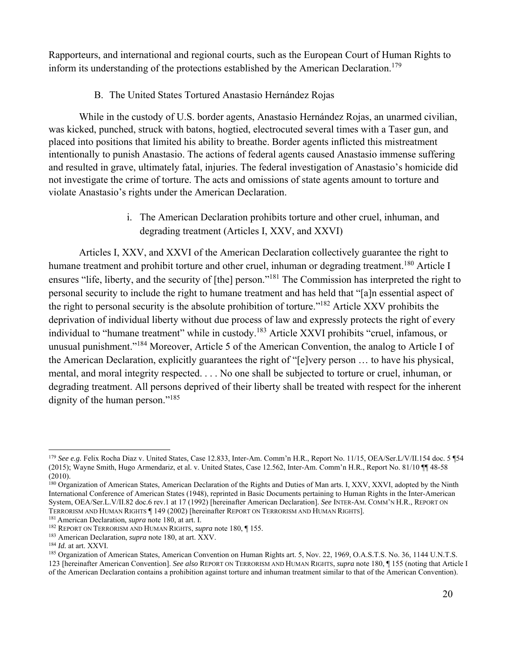Rapporteurs, and international and regional courts, such as the European Court of Human Rights to inform its understanding of the protections established by the American Declaration.<sup>179</sup>

# B. The United States Tortured Anastasio Hernández Rojas

While in the custody of U.S. border agents, Anastasio Hernández Rojas, an unarmed civilian, was kicked, punched, struck with batons, hogtied, electrocuted several times with a Taser gun, and placed into positions that limited his ability to breathe. Border agents inflicted this mistreatment intentionally to punish Anastasio. The actions of federal agents caused Anastasio immense suffering and resulted in grave, ultimately fatal, injuries. The federal investigation of Anastasio's homicide did not investigate the crime of torture. The acts and omissions of state agents amount to torture and violate Anastasio's rights under the American Declaration.

> i. The American Declaration prohibits torture and other cruel, inhuman, and degrading treatment (Articles I, XXV, and XXVI)

Articles I, XXV, and XXVI of the American Declaration collectively guarantee the right to humane treatment and prohibit torture and other cruel, inhuman or degrading treatment.<sup>180</sup> Article I ensures "life, liberty, and the security of [the] person."181 The Commission has interpreted the right to personal security to include the right to humane treatment and has held that "[a]n essential aspect of the right to personal security is the absolute prohibition of torture."182 Article XXV prohibits the deprivation of individual liberty without due process of law and expressly protects the right of every individual to "humane treatment" while in custody.<sup>183</sup> Article XXVI prohibits "cruel, infamous, or unusual punishment."184 Moreover, Article 5 of the American Convention, the analog to Article I of the American Declaration, explicitly guarantees the right of "[e]very person … to have his physical, mental, and moral integrity respected. . . . No one shall be subjected to torture or cruel, inhuman, or degrading treatment. All persons deprived of their liberty shall be treated with respect for the inherent dignity of the human person."<sup>185</sup>

<sup>179</sup> *See e.g.* Felix Rocha Diaz v. United States, Case 12.833, Inter-Am. Comm'n H.R., Report No. 11/15, OEA/Ser.L/V/II.154 doc. 5 ¶54 (2015); Wayne Smith, Hugo Armendariz, et al. v. United States, Case 12.562, Inter-Am. Comm'n H.R., Report No. 81/10 ¶¶ 48-58 (2010).

<sup>&</sup>lt;sup>180</sup> Organization of American States, American Declaration of the Rights and Duties of Man arts. I, XXV, XXVI, adopted by the Ninth International Conference of American States (1948), reprinted in Basic Documents pertaining to Human Rights in the Inter-American System, OEA/Ser.L.V/II.82 doc.6 rev.1 at 17 (1992) [hereinafter American Declaration]. *See* INTER-AM. COMM'N H.R., REPORT ON TERRORISM AND HUMAN RIGHTS [149 (2002) [hereinafter REPORT ON TERRORISM AND HUMAN RIGHTS].

<sup>&</sup>lt;sup>181</sup> American Declaration, *supra* note 180, at art. I.<br><sup>182</sup> REPORT ON TERRORISM AND HUMAN RIGHTS, *supra* note 180,  $\P$  155.<br><sup>183</sup> American Declaration, *supra* note 180, at art. XXV.<br><sup>184</sup> *Id.* at art. XXVI.<br><sup>184</sup> *I* 123 [hereinafter American Convention]. *See also* REPORT ON TERRORISM AND HUMAN RIGHTS, *supra* note 180, ¶ 155 (noting that Article I of the American Declaration contains a prohibition against torture and inhuman treatment similar to that of the American Convention).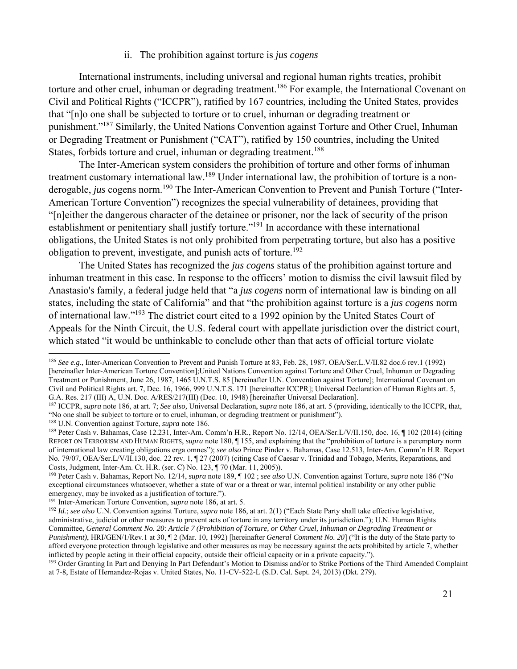#### ii. The prohibition against torture is *jus cogens*

International instruments, including universal and regional human rights treaties, prohibit torture and other cruel, inhuman or degrading treatment.<sup>186</sup> For example, the International Covenant on Civil and Political Rights ("ICCPR"), ratified by 167 countries, including the United States, provides that "[n]o one shall be subjected to torture or to cruel, inhuman or degrading treatment or punishment."187 Similarly, the United Nations Convention against Torture and Other Cruel, Inhuman or Degrading Treatment or Punishment ("CAT"), ratified by 150 countries, including the United States, forbids torture and cruel, inhuman or degrading treatment.<sup>188</sup>

The Inter-American system considers the prohibition of torture and other forms of inhuman treatment customary international law.189 Under international law, the prohibition of torture is a nonderogable, *jus* cogens norm.<sup>190</sup> The Inter-American Convention to Prevent and Punish Torture ("Inter-American Torture Convention") recognizes the special vulnerability of detainees, providing that "[n]either the dangerous character of the detainee or prisoner, nor the lack of security of the prison establishment or penitentiary shall justify torture."<sup>191</sup> In accordance with these international obligations, the United States is not only prohibited from perpetrating torture, but also has a positive obligation to prevent, investigate, and punish acts of torture.<sup>192</sup>

The United States has recognized the *jus cogens* status of the prohibition against torture and inhuman treatment in this case. In response to the officers' motion to dismiss the civil lawsuit filed by Anastasio's family, a federal judge held that "a *jus cogens* norm of international law is binding on all states, including the state of California" and that "the prohibition against torture is a *jus cogens* norm of international law."193 The district court cited to a 1992 opinion by the United States Court of Appeals for the Ninth Circuit, the U.S. federal court with appellate jurisdiction over the district court, which stated "it would be unthinkable to conclude other than that acts of official torture violate

<sup>186</sup> *See e.g.*, Inter-American Convention to Prevent and Punish Torture at 83, Feb. 28, 1987, OEA/Ser.L.V/II.82 doc.6 rev.1 (1992) [hereinafter Inter-American Torture Convention];United Nations Convention against Torture and Other Cruel, Inhuman or Degrading Treatment or Punishment, June 26, 1987, 1465 U.N.T.S. 85 [hereinafter U.N. Convention against Torture]; International Covenant on Civil and Political Rights art. 7, Dec. 16, 1966, 999 U.N.T.S. 171 [hereinafter ICCPR]; Universal Declaration of Human Rights art. 5, G.A. Res. 217 (III) A, U.N. Doc. A/RES/217(III) (Dec. 10, 1948) [hereinafter Universal Declaration].<br><sup>187</sup> ICCPR, *supra* note 186, at art. 7: See also. Universal Declaration, *supra* note 186, at art. 5 (providing, identi

<sup>&</sup>quot;No one shall be subject to torture or to cruel, inhuman, or degrading treatment or punishment").<br><sup>188</sup> U.N. Convention against Torture, *supra* note 186.<br><sup>189</sup> Peter Cash v. Bahamas, Case 12.231, Inter-Am. Comm'n H.R., Re

REPORT ON TERRORISM AND HUMAN RIGHTS, *supra* note 180, ¶ 155, and explaining that the "prohibition of torture is a peremptory norm of international law creating obligations erga omnes"); *see also* Prince Pinder v. Bahamas, Case 12.513, Inter-Am. Comm'n H.R. Report No. 79/07, OEA/Ser.L/V/II.130, doc. 22 rev. 1, ¶ 27 (2007) (citing Case of Caesar v. Trinidad and Tobago, Merits, Reparations, and Costs, Judgment, Inter-Am. Ct. H.R. (ser. C) No. 123, ¶ 70 (Mar. 11, 2005)).

<sup>&</sup>lt;sup>190</sup> Peter Cash v. Bahamas, Report No. 12/14, *supra* note 189, ¶ 102; *see also* U.N. Convention against Torture, *supra* note 186 ("No exceptional circumstances whatsoever, whether a state of war or a threat or war, internal political instability or any other public emergency, may be invoked as a justification of torture.").

<sup>&</sup>lt;sup>191</sup> Inter-American Torture Convention, *supra* note 186, at art. 5.<br><sup>192</sup> Id.; see also U.N. Convention against Torture, *supra* note 186, at art. 2(1) ("Each State Party shall take effective legislative, administrative, judicial or other measures to prevent acts of torture in any territory under its jurisdiction."); U.N. Human Rights Committee, *General Comment No. 20*: *Article 7 (Prohibition of Torture, or Other Cruel, Inhuman or Degrading Treatment or Punishment*), HRI/GEN/1/Rev.1 at 30, ¶ 2 (Mar. 10, 1992) [hereinafter *General Comment No. 20*] ("It is the duty of the State party to afford everyone protection through legislative and other measures as may be necessary against the acts prohibited by article 7, whether inflicted by people acting in their official capacity, outside their official capacity or in a private capacity.").

<sup>&</sup>lt;sup>193</sup> Order Granting In Part and Denying In Part Defendant's Motion to Dismiss and/or to Strike Portions of the Third Amended Complaint at 7-8, Estate of Hernandez-Rojas v. United States, No. 11-CV-522-L (S.D. Cal. Sept. 24, 2013) (Dkt. 279).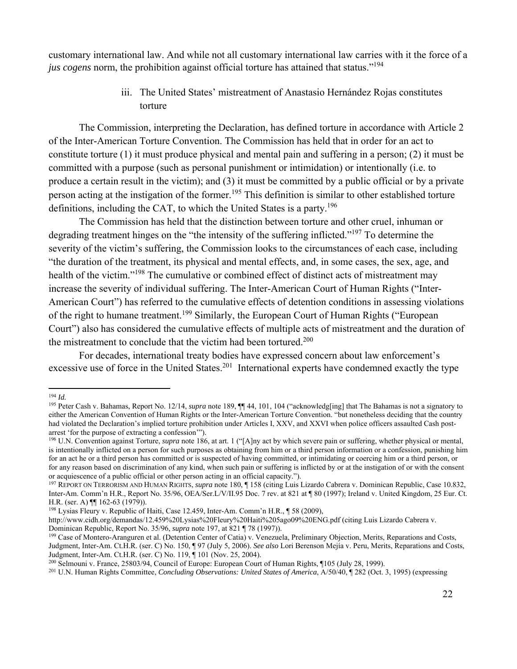customary international law. And while not all customary international law carries with it the force of a *jus cogens* norm, the prohibition against official torture has attained that status."<sup>194</sup>

> iii. The United States' mistreatment of Anastasio Hernández Rojas constitutes torture

The Commission, interpreting the Declaration, has defined torture in accordance with Article 2 of the Inter-American Torture Convention. The Commission has held that in order for an act to constitute torture (1) it must produce physical and mental pain and suffering in a person; (2) it must be committed with a purpose (such as personal punishment or intimidation) or intentionally (i.e. to produce a certain result in the victim); and (3) it must be committed by a public official or by a private person acting at the instigation of the former.<sup>195</sup> This definition is similar to other established torture definitions, including the CAT, to which the United States is a party.196

The Commission has held that the distinction between torture and other cruel, inhuman or degrading treatment hinges on the "the intensity of the suffering inflicted."<sup>197</sup> To determine the severity of the victim's suffering, the Commission looks to the circumstances of each case, including "the duration of the treatment, its physical and mental effects, and, in some cases, the sex, age, and health of the victim."<sup>198</sup> The cumulative or combined effect of distinct acts of mistreatment may increase the severity of individual suffering. The Inter-American Court of Human Rights ("Inter-American Court") has referred to the cumulative effects of detention conditions in assessing violations of the right to humane treatment.<sup>199</sup> Similarly, the European Court of Human Rights ("European Court") also has considered the cumulative effects of multiple acts of mistreatment and the duration of the mistreatment to conclude that the victim had been tortured.<sup>200</sup>

For decades, international treaty bodies have expressed concern about law enforcement's excessive use of force in the United States.<sup>201</sup> International experts have condemned exactly the type

<sup>194</sup> *Id.*

<sup>195</sup> Peter Cash v. Bahamas, Report No. 12/14, *supra* note 189, ¶¶ 44, 101, 104 ("acknowledg[ing] that The Bahamas is not a signatory to either the American Convention of Human Rights or the Inter-American Torture Convention. "but nonetheless deciding that the country had violated the Declaration's implied torture prohibition under Articles I, XXV, and XXVI when police officers assaulted Cash postarrest 'for the purpose of extracting a confession'").

<sup>&</sup>lt;sup>196</sup> U.N. Convention against Torture, *supra* note 186, at art. 1 ("[A]ny act by which severe pain or suffering, whether physical or mental, is intentionally inflicted on a person for such purposes as obtaining from him or a third person information or a confession, punishing him for an act he or a third person has committed or is suspected of having committed, or intimidating or coercing him or a third person, or for any reason based on discrimination of any kind, when such pain or suffering is inflicted by or at the instigation of or with the consent or acquiescence of a public official or other person acting in an official capacity.").

<sup>197</sup> REPORT ON TERRORISM AND HUMAN RIGHTS, *supra* note 180, ¶ 158 (citing Luis Lizardo Cabrera v. Dominican Republic, Case 10.832, Inter-Am. Comm'n H.R., Report No. 35/96, OEA/Ser.L/V/II.95 Doc. 7 rev. at 821 at ¶ 80 (1997); Ireland v. United Kingdom, 25 Eur. Ct. H.R. (ser. A) ¶¶ 162-63 (1979)).

<sup>198</sup> Lysias Fleury v. Republic of Haiti, Case 12.459, Inter-Am. Comm'n H.R., ¶ 58 (2009),

http://www.cidh.org/demandas/12.459%20Lysias%20Fleury%20Haiti%205ago09%20ENG.pdf (citing Luis Lizardo Cabrera v. Dominican Republic, Report No. 35/96, *supra* note 197, at 821 ¶ 78 (1997)).<br><sup>199</sup> Case of Montero-Aranguren et al. (Detention Center of Catia) v. Venezuela, Preliminary Objection, Merits, Reparations and Costs,

Judgment, Inter-Am. Ct.H.R. (ser. C) No. 150, ¶ 97 (July 5, 2006). *See also* Lori Berenson Mejía v. Peru, Merits, Reparations and Costs,

<sup>&</sup>lt;sup>200</sup> Selmouni v. France, 25803/94, Council of Europe: European Court of Human Rights, ¶105 (July 28, 1999).<br><sup>201</sup> U.N. Human Rights Committee, *Concluding Observations: United States of America*, A/50/40, ¶ 282 (Oct. 3, 1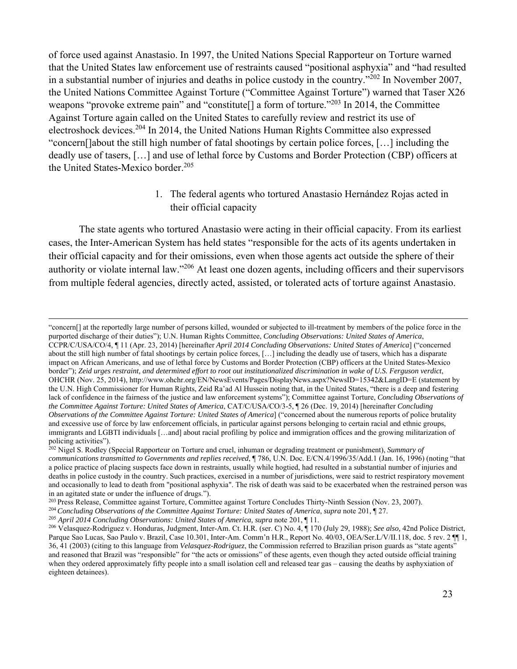of force used against Anastasio. In 1997, the United Nations Special Rapporteur on Torture warned that the United States law enforcement use of restraints caused "positional asphyxia" and "had resulted in a substantial number of injuries and deaths in police custody in the country."202 In November 2007, the United Nations Committee Against Torture ("Committee Against Torture") warned that Taser X26 weapons "provoke extreme pain" and "constitute<sup>[]</sup> a form of torture."<sup>203</sup> In 2014, the Committee Against Torture again called on the United States to carefully review and restrict its use of electroshock devices.204 In 2014, the United Nations Human Rights Committee also expressed "concern[]about the still high number of fatal shootings by certain police forces, […] including the deadly use of tasers, […] and use of lethal force by Customs and Border Protection (CBP) officers at the United States-Mexico border.<sup>205</sup>

> 1. The federal agents who tortured Anastasio Hernández Rojas acted in their official capacity

The state agents who tortured Anastasio were acting in their official capacity. From its earliest cases, the Inter-American System has held states "responsible for the acts of its agents undertaken in their official capacity and for their omissions, even when those agents act outside the sphere of their authority or violate internal law."206 At least one dozen agents, including officers and their supervisors from multiple federal agencies, directly acted, assisted, or tolerated acts of torture against Anastasio.

<u> 1989 - Andrea Santa Andrea Andrea Andrea Andrea Andrea Andrea Andrea Andrea Andrea Andrea Andrea Andrea Andr</u>

<sup>&</sup>quot;concern[] at the reportedly large number of persons killed, wounded or subjected to ill-treatment by members of the police force in the purported discharge of their duties"); U.N. Human Rights Committee, *Concluding Observations: United States of America*, CCPR/C/USA/CO/4, ¶ 11 (Apr. 23, 2014) [hereinafter *April 2014 Concluding Observations: United States of America*] ("concerned about the still high number of fatal shootings by certain police forces, […] including the deadly use of tasers, which has a disparate impact on African Americans, and use of lethal force by Customs and Border Protection (CBP) officers at the United States-Mexico border"); *Zeid urges restraint, and determined effort to root out institutionalized discrimination in wake of U.S. Ferguson verdict*, OHCHR (Nov. 25, 2014), http://www.ohchr.org/EN/NewsEvents/Pages/DisplayNews.aspx?NewsID=15342&LangID=E (statement by the U.N. High Commissioner for Human Rights, Zeid Ra'ad Al Hussein noting that, in the United States, "there is a deep and festering lack of confidence in the fairness of the justice and law enforcement systems"); Committee against Torture, *Concluding Observations of the Committee Against Torture: United States of America*, CAT/C/USA/CO/3-5, ¶ 26 (Dec. 19, 2014) [hereinafter *Concluding Observations of the Committee Against Torture: United States of America*] ("concerned about the numerous reports of police brutality and excessive use of force by law enforcement officials, in particular against persons belonging to certain racial and ethnic groups, immigrants and LGBTI individuals […and] about racial profiling by police and immigration offices and the growing militarization of policing activities").

<sup>202</sup> Nigel S. Rodley (Special Rapporteur on Torture and cruel, inhuman or degrading treatment or punishment), *Summary of communications transmitted to Governments and replies received*, ¶ 786, U.N. Doc. E/CN.4/1996/35/Add.1 (Jan. 16, 1996) (noting "that a police practice of placing suspects face down in restraints, usually while hogtied, had resulted in a substantial number of injuries and deaths in police custody in the country. Such practices, exercised in a number of jurisdictions, were said to restrict respiratory movement and occasionally to lead to death from "positional asphyxia". The risk of death was said to be exacerbated when the restrained person was in an agitated state or under the influence of drugs.").<br><sup>203</sup> Press Release, Committee against Torture, Committee against Torture Concludes Thirty-Ninth Session (Nov. 23, 2007).

<sup>&</sup>lt;sup>204</sup> Concluding Observations of the Committee Against Torture: United States of America, supra note 201, 1 27.<br><sup>205</sup> April 2014 Concluding Observations: United States of America, supra note 201, 1 11.<br><sup>206</sup> Velasquez-Rodr

Parque Sao Lucas, Sao Paulo v. Brazil, Case 10.301, Inter-Am. Comm'n H.R., Report No. 40/03, OEA/Ser.L/V/II.118, doc. 5 rev. 2  $\P$ 1, 36, 41 (2003) (citing to this language from *Velasquez-Rodriguez*, the Commission referred to Brazilian prison guards as "state agents" and reasoned that Brazil was "responsible" for "the acts or omissions" of these agents, even though they acted outside official training when they ordered approximately fifty people into a small isolation cell and released tear gas – causing the deaths by asphyxiation of eighteen detainees).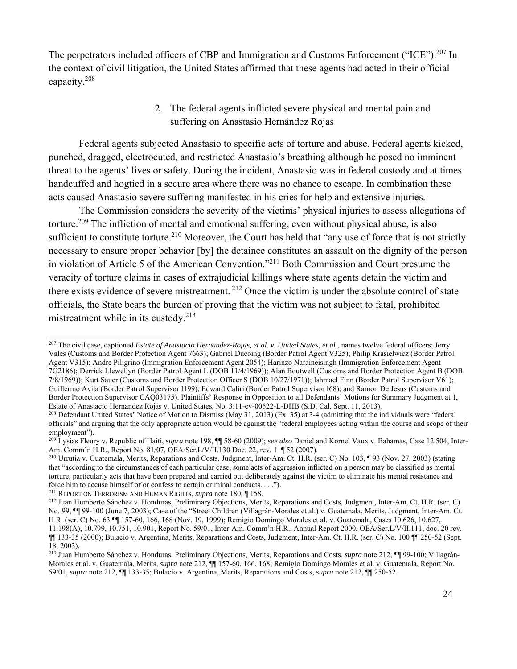The perpetrators included officers of CBP and Immigration and Customs Enforcement ("ICE").<sup>207</sup> In the context of civil litigation, the United States affirmed that these agents had acted in their official capacity.208

> 2. The federal agents inflicted severe physical and mental pain and suffering on Anastasio Hernández Rojas

Federal agents subjected Anastasio to specific acts of torture and abuse. Federal agents kicked, punched, dragged, electrocuted, and restricted Anastasio's breathing although he posed no imminent threat to the agents' lives or safety. During the incident, Anastasio was in federal custody and at times handcuffed and hogtied in a secure area where there was no chance to escape. In combination these acts caused Anastasio severe suffering manifested in his cries for help and extensive injuries.

The Commission considers the severity of the victims' physical injuries to assess allegations of torture.<sup>209</sup> The infliction of mental and emotional suffering, even without physical abuse, is also sufficient to constitute torture.<sup>210</sup> Moreover, the Court has held that "any use of force that is not strictly necessary to ensure proper behavior [by] the detainee constitutes an assault on the dignity of the person in violation of Article 5 of the American Convention."211 Both Commission and Court presume the veracity of torture claims in cases of extrajudicial killings where state agents detain the victim and there exists evidence of severe mistreatment. 212 Once the victim is under the absolute control of state officials, the State bears the burden of proving that the victim was not subject to fatal, prohibited mistreatment while in its custody. $213$ 

 207 The civil case, captioned *Estate of Anastacio Hernandez-Rojas, et al. v. United States, et al.*, names twelve federal officers: Jerry Vales (Customs and Border Protection Agent 7663); Gabriel Ducoing (Border Patrol Agent V325); Philip Krasielwicz (Border Patrol Agent V315); Andre Piligrino (Immigration Enforcement Agent 2054); Harinzo Naraineisingh (Immigration Enforcement Agent 7G2186); Derrick Llewellyn (Border Patrol Agent L (DOB 11/4/1969)); Alan Boutwell (Customs and Border Protection Agent B (DOB 7/8/1969)); Kurt Sauer (Customs and Border Protection Officer S (DOB 10/27/1971)); Ishmael Finn (Border Patrol Supervisor V61); Guillermo Avila (Border Patrol Supervisor I199); Edward Caliri (Border Patrol Supervisor I68); and Ramon De Jesus (Customs and Border Protection Supervisor CAQ03175). Plaintiffs' Response in Opposition to all Defendants' Motions for Summary Judgment at 1, Estate of Anastacio Hernandez Rojas v. United States, No. 3:11-cv-00522-L-DHB (S.D. Cal. Sept. 11, 2013).<br><sup>208</sup> Defendant United States' Notice of Motion to Dismiss (May 31, 2013) (Ex. 35) at 3-4 (admitting that the indivi

officials" and arguing that the only appropriate action would be against the "federal employees acting within the course and scope of their employment").

<sup>209</sup> Lysias Fleury v. Republic of Haiti, *supra* note 198, ¶¶ 58-60 (2009); *see also* Daniel and Kornel Vaux v. Bahamas, Case 12.504, Inter-Am. Comm'n H.R., Report No. 81/07, OEA/Ser.L/V/II.130 Doc. 22, rev. 1 ¶ 52 (2007).<br><sup>210</sup> Urrutia v. Guatemala, Merits, Reparations and Costs, Judgment, Inter-Am. Ct. H.R. (ser. C) No. 103, ¶ 93 (Nov. 27, 2003) (stating

that "according to the circumstances of each particular case, some acts of aggression inflicted on a person may be classified as mental torture, particularly acts that have been prepared and carried out deliberately against the victim to eliminate his mental resistance and force him to accuse himself of or confess to certain criminal conducts....").

<sup>&</sup>lt;sup>211</sup> REPORT ON TERRORISM AND HUMAN RIGHTS, *supra* note 180, ¶ 158.<br><sup>212</sup> Juan Humberto Sánchez v. Honduras, Preliminary Objections, Merits, Reparations and Costs, Judgment, Inter-Am. Ct. H.R. (ser. C) No. 99, ¶¶ 99-100 (June 7, 2003); Case of the "Street Children (Villagrán-Morales et al.) v. Guatemala, Merits, Judgment, Inter-Am. Ct. H.R. (ser. C) No. 63 ¶¶ 157-60, 166, 168 (Nov. 19, 1999); Remigio Domingo Morales et al. v. Guatemala, Cases 10.626, 10.627, 11.198(A), 10.799, 10.751, 10.901, Report No. 59/01, Inter-Am. Comm'n H.R., Annual Report 2000, OEA/Ser.L/V/II.111, doc. 20 rev.

<sup>¶¶ 133-35 (2000);</sup> Bulacio v. Argentina, Merits, Reparations and Costs, Judgment, Inter-Am. Ct. H.R. (ser. C) No. 100 ¶¶ 250-52 (Sept. 18, 2003).

<sup>213</sup> Juan Humberto Sánchez v. Honduras, Preliminary Objections, Merits, Reparations and Costs, *supra* note 212, ¶¶ 99-100; Villagrán-Morales et al. v. Guatemala, Merits, *supra* note 212, ¶¶ 157-60, 166, 168; Remigio Domingo Morales et al. v. Guatemala, Report No. 59/01, *supra* note 212, ¶¶ 133-35; Bulacio v. Argentina, Merits, Reparations and Costs, *supra* note 212, ¶¶ 250-52.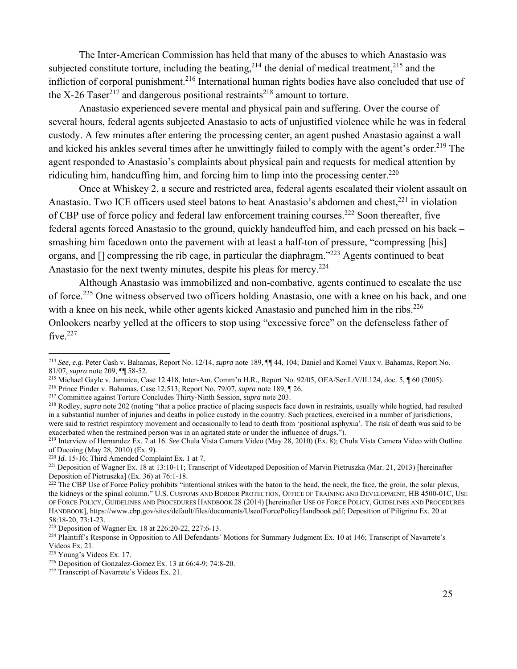The Inter-American Commission has held that many of the abuses to which Anastasio was subjected constitute torture, including the beating,  $2^{14}$  the denial of medical treatment,  $2^{15}$  and the infliction of corporal punishment.216 International human rights bodies have also concluded that use of the X-26 Taser<sup>217</sup> and dangerous positional restraints<sup>218</sup> amount to torture.

Anastasio experienced severe mental and physical pain and suffering. Over the course of several hours, federal agents subjected Anastasio to acts of unjustified violence while he was in federal custody. A few minutes after entering the processing center, an agent pushed Anastasio against a wall and kicked his ankles several times after he unwittingly failed to comply with the agent's order.<sup>219</sup> The agent responded to Anastasio's complaints about physical pain and requests for medical attention by ridiculing him, handcuffing him, and forcing him to limp into the processing center.<sup>220</sup>

Once at Whiskey 2, a secure and restricted area, federal agents escalated their violent assault on Anastasio. Two ICE officers used steel batons to beat Anastasio's abdomen and chest.<sup>221</sup> in violation of CBP use of force policy and federal law enforcement training courses.<sup>222</sup> Soon thereafter, five federal agents forced Anastasio to the ground, quickly handcuffed him, and each pressed on his back – smashing him facedown onto the pavement with at least a half-ton of pressure, "compressing [his] organs, and [] compressing the rib cage, in particular the diaphragm."223 Agents continued to beat Anastasio for the next twenty minutes, despite his pleas for mercy.<sup>224</sup>

Although Anastasio was immobilized and non-combative, agents continued to escalate the use of force.<sup>225</sup> One witness observed two officers holding Anastasio, one with a knee on his back, and one with a knee on his neck, while other agents kicked Anastasio and punched him in the ribs.<sup>226</sup> Onlookers nearby yelled at the officers to stop using "excessive force" on the defenseless father of five. $227$ 

<sup>214</sup> *See, e.g.* Peter Cash v. Bahamas, Report No. 12/14, *supra* note 189, ¶¶ 44, 104; Daniel and Kornel Vaux v. Bahamas, Report No. 81/07, *supra* note 209,  $\P$  58-52.<br>
<sup>215</sup> Michael Gayle v. Jamaica, Case 12.418, Inter-Am. Comm'n H.R., Report No. 92/05, OEA/Ser.L/V/II.124, doc. 5,  $\P$  60 (2005).<br>
<sup>216</sup> Prince Pinder v. Bahamas, Case 12.513, Report No

in a substantial number of injuries and deaths in police custody in the country. Such practices, exercised in a number of jurisdictions, were said to restrict respiratory movement and occasionally to lead to death from 'positional asphyxia'. The risk of death was said to be exacerbated when the restrained person was in an agitated state or under the influence of drugs.").

<sup>219</sup> Interview of Hernandez Ex. 7 at 16. *See* Chula Vista Camera Video (May 28, 2010) (Ex. 8); Chula Vista Camera Video with Outline of Ducoing (May 28, 2010) (Ex. 9).<br> $^{220}$  *Id.* 15-16; Third Amended Complaint Ex. 1 at 7.

<sup>&</sup>lt;sup>221</sup> Deposition of Wagner Ex. 18 at 13:10-11; Transcript of Videotaped Deposition of Marvin Pietruszka (Mar. 21, 2013) [hereinafter Deposition of Pietruszka] (Ex. 36) at 76:1-18.

 $^{222}$  The CBP Use of Force Policy prohibits "intentional strikes with the baton to the head, the neck, the face, the groin, the solar plexus, the kidneys or the spinal column." U.S. CUSTOMS AND BORDER PROTECTION, OFFICE OF TRAINING AND DEVELOPMENT, HB 4500-01C, USE OF FORCE POLICY, GUIDELINES AND PROCEDURES HANDBOOK 28 (2014) [hereinafter USE OF FORCE POLICY, GUIDELINES AND PROCEDURES HANDBOOK], https://www.cbp.gov/sites/default/files/documents/UseofForcePolicyHandbook.pdf; Deposition of Piligrino Ex. 20 at 58:18-20, 73:1-23.<br><sup>223</sup> Deposition of Wagner Ex. 18 at 226:20-22, 227:6-13.

<sup>&</sup>lt;sup>224</sup> Plaintiff's Response in Opposition to All Defendants' Motions for Summary Judgment Ex. 10 at 146; Transcript of Navarrete's Videos Ex. 21.<br><sup>225</sup> Young's Videos Ex. 17.

<sup>&</sup>lt;sup>226</sup> Deposition of Gonzalez-Gomez Ex. 13 at 66:4-9; 74:8-20. <sup>227</sup> Transcript of Navarrete's Videos Ex. 21.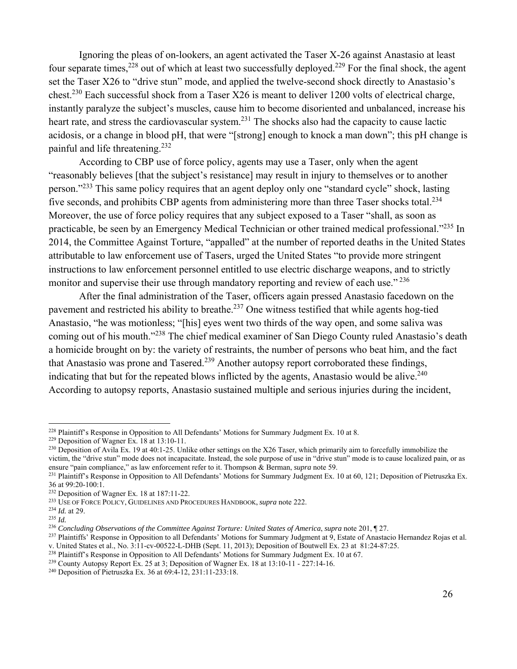Ignoring the pleas of on-lookers, an agent activated the Taser X-26 against Anastasio at least four separate times,<sup>228</sup> out of which at least two successfully deployed.<sup>229</sup> For the final shock, the agent set the Taser X26 to "drive stun" mode, and applied the twelve-second shock directly to Anastasio's chest.230 Each successful shock from a Taser X26 is meant to deliver 1200 volts of electrical charge, instantly paralyze the subject's muscles, cause him to become disoriented and unbalanced, increase his heart rate, and stress the cardiovascular system.<sup>231</sup> The shocks also had the capacity to cause lactic acidosis, or a change in blood pH, that were "[strong] enough to knock a man down"; this pH change is painful and life threatening.232

According to CBP use of force policy, agents may use a Taser, only when the agent "reasonably believes [that the subject's resistance] may result in injury to themselves or to another person."233 This same policy requires that an agent deploy only one "standard cycle" shock, lasting five seconds, and prohibits CBP agents from administering more than three Taser shocks total.<sup>234</sup> Moreover, the use of force policy requires that any subject exposed to a Taser "shall, as soon as practicable, be seen by an Emergency Medical Technician or other trained medical professional."235 In 2014, the Committee Against Torture, "appalled" at the number of reported deaths in the United States attributable to law enforcement use of Tasers, urged the United States "to provide more stringent instructions to law enforcement personnel entitled to use electric discharge weapons, and to strictly monitor and supervise their use through mandatory reporting and review of each use."<sup>236</sup>

After the final administration of the Taser, officers again pressed Anastasio facedown on the pavement and restricted his ability to breathe.<sup>237</sup> One witness testified that while agents hog-tied Anastasio, "he was motionless; "[his] eyes went two thirds of the way open, and some saliva was coming out of his mouth."238 The chief medical examiner of San Diego County ruled Anastasio's death a homicide brought on by: the variety of restraints, the number of persons who beat him, and the fact that Anastasio was prone and Tasered.<sup>239</sup> Another autopsy report corroborated these findings, indicating that but for the repeated blows inflicted by the agents, Anastasio would be alive.<sup>240</sup> According to autopsy reports, Anastasio sustained multiple and serious injuries during the incident,

<sup>&</sup>lt;sup>228</sup> Plaintiff's Response in Opposition to All Defendants' Motions for Summary Judgment Ex. 10 at 8.

<sup>&</sup>lt;sup>229</sup> Deposition of Wagner Ex. 18 at 13:10-11.<br><sup>230</sup> Deposition of Avila Ex. 19 at 40:1-25. Unlike other settings on the X26 Taser, which primarily aim to forcefully immobilize the victim, the "drive stun" mode does not incapacitate. Instead, the sole purpose of use in "drive stun" mode is to cause localized pain, or as ensure "pain compliance," as law enforcement refer to it. Thompson & Berman, *su* 

<sup>&</sup>lt;sup>231</sup> Plaintiff's Response in Opposition to All Defendants' Motions for Summary Judgment Ex. 10 at 60, 121; Deposition of Pietruszka Ex. 36 at 99:20-100:1.<br><sup>232</sup> Deposition of Wagner Ex. 18 at 187:11-22.

<sup>&</sup>lt;sup>233</sup> USE OF FORCE POLICY, GUIDELINES AND PROCEDURES HANDBOOK, *supra* note 222. <sup>234</sup> *Id.* at 29. <sup>235</sup> *Id.* at 29. <sup>235</sup> *Id. at 29. Possimaling Observations of the Committee Against Torture: United States of Ameri* 

<sup>&</sup>lt;sup>237</sup> Plaintiffs' Response in Opposition to all Defendants' Motions for Summary Judgment at 9, Estate of Anastacio Hernandez Rojas et al.<br>v. United States et al., No. 3:11-cv-00522-L-DHB (Sept. 11, 2013); Deposition of Bou

<sup>&</sup>lt;sup>238</sup> Plaintiff's Response in Opposition to All Defendants' Motions for Summary Judgment Ex. 10 at 67.<br><sup>239</sup> County Autopsy Report Ex. 25 at 3; Deposition of Wagner Ex. 18 at 13:10-11 - 227:14-16.<br><sup>240</sup> Deposition of Piet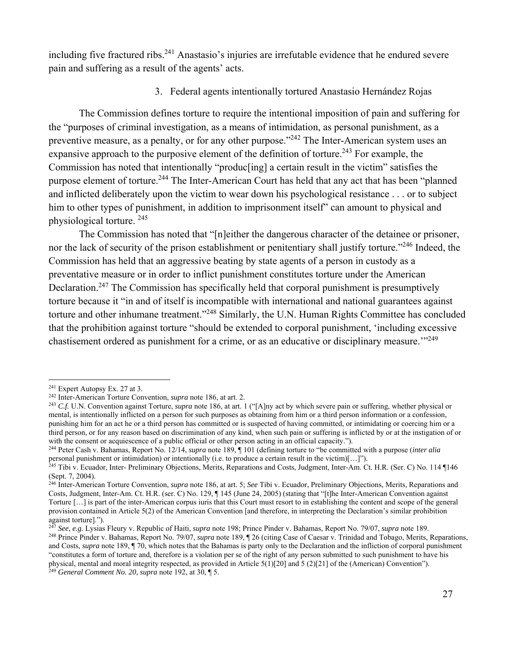including five fractured ribs.<sup>241</sup> Anastasio's injuries are irrefutable evidence that he endured severe pain and suffering as a result of the agents' acts.

### 3. Federal agents intentionally tortured Anastasio Hernández Rojas

The Commission defines torture to require the intentional imposition of pain and suffering for the "purposes of criminal investigation, as a means of intimidation, as personal punishment, as a preventive measure, as a penalty, or for any other purpose.<sup>"242</sup> The Inter-American system uses an expansive approach to the purposive element of the definition of torture.<sup>243</sup> For example, the Commission has noted that intentionally "produc[ing] a certain result in the victim" satisfies the purpose element of torture.<sup>244</sup> The Inter-American Court has held that any act that has been "planned" and inflicted deliberately upon the victim to wear down his psychological resistance . . . or to subject him to other types of punishment, in addition to imprisonment itself" can amount to physical and physiological torture. 245

The Commission has noted that "[n]either the dangerous character of the detainee or prisoner, nor the lack of security of the prison establishment or penitentiary shall justify torture."<sup>246</sup> Indeed, the Commission has held that an aggressive beating by state agents of a person in custody as a preventative measure or in order to inflict punishment constitutes torture under the American Declaration.<sup>247</sup> The Commission has specifically held that corporal punishment is presumptively torture because it "in and of itself is incompatible with international and national guarantees against torture and other inhumane treatment."248 Similarly, the U.N. Human Rights Committee has concluded that the prohibition against torture "should be extended to corporal punishment, 'including excessive chastisement ordered as punishment for a crime, or as an educative or disciplinary measure.<sup>'"249</sup>

 $241$  Expert Autopsy Ex. 27 at 3.

<sup>&</sup>lt;sup>242</sup> Inter-American Torture Convention, *supra* note 186, at art. 2.<br><sup>243</sup> C.f. U.N. Convention against Torture, *supra* note 186, at art. 1 ("[A]ny act by which severe pain or suffering, whether physical or mental, is intentionally inflicted on a person for such purposes as obtaining from him or a third person information or a confession, punishing him for an act he or a third person has committed or is suspected of having committed, or intimidating or coercing him or a third person, or for any reason based on discrimination of any kind, when such pain or suffering is inflicted by or at the instigation of or with the consent or acquiescence of a public official or other person acting in an official capacity.").

<sup>244</sup> Peter Cash v. Bahamas, Report No. 12/14, *supra* note 189, ¶ 101 (defining torture to "be committed with a purpose (*inter alia* personal punishment or intimidation) or intentionally (i.e. to produce a certain result in the victim)[...]").<br><sup>245</sup> Tibi v. Ecuador, Inter- Preliminary Objections, Merits, Reparations and Costs, Judgment, Inter-Am. Ct. H.

<sup>(</sup>Sept. 7, 2004).

<sup>246</sup> Inter-American Torture Convention, *supra* note 186, at art. 5; *See* Tibi v. Ecuador, Preliminary Objections, Merits, Reparations and Costs, Judgment, Inter-Am. Ct. H.R. (ser. C) No. 129, ¶ 145 (June 24, 2005) (stating that "[t]he Inter-American Convention against Torture […] is part of the inter-American corpus iuris that this Court must resort to in establishing the content and scope of the general provision contained in Article 5(2) of the American Convention [and therefore, in interpreting the Declaration's similar prohibition against torture].").<br><sup>247</sup> See, e.g. Lysias Fleury v. Republic of Haiti, *supra* note 198; Prince Pinder v. Bahamas, Report No. 79/07, *supra* note 189.

<sup>&</sup>lt;sup>248</sup> Prince Pinder v. Bahamas, Report No. 79/07, *supra* note 189, 126 (citing Case of Caesar v. Trinidad and Tobago, Merits, Reparations, and Costs, *supra* note 189, ¶ 70, which notes that the Bahamas is party only to the Declaration and the infliction of corporal punishment "constitutes a form of torture and, therefore is a violation per se of the right of any person submitted to such punishment to have his physical, mental and moral integrity respected, as provided in Article 5(1)[20] and 5 (2)[21] of the (American) Convention"). 249 *General Comment No. 20*, *supra* note 192, at 30, ¶ 5.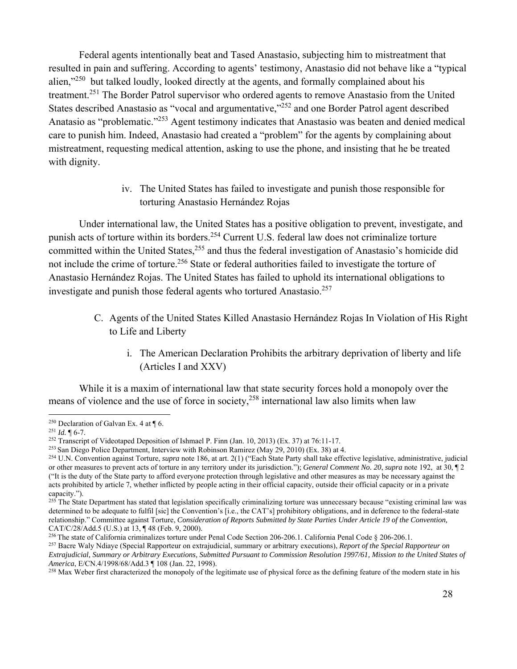Federal agents intentionally beat and Tased Anastasio, subjecting him to mistreatment that resulted in pain and suffering. According to agents' testimony, Anastasio did not behave like a "typical alien,"<sup>250</sup> but talked loudly, looked directly at the agents, and formally complained about his treatment.251 The Border Patrol supervisor who ordered agents to remove Anastasio from the United States described Anastasio as "vocal and argumentative,"252 and one Border Patrol agent described Anatasio as "problematic."253 Agent testimony indicates that Anastasio was beaten and denied medical care to punish him. Indeed, Anastasio had created a "problem" for the agents by complaining about mistreatment, requesting medical attention, asking to use the phone, and insisting that he be treated with dignity.

> iv. The United States has failed to investigate and punish those responsible for torturing Anastasio Hernández Rojas

Under international law, the United States has a positive obligation to prevent, investigate, and punish acts of torture within its borders.<sup>254</sup> Current U.S. federal law does not criminalize torture committed within the United States,<sup>255</sup> and thus the federal investigation of Anastasio's homicide did not include the crime of torture.<sup>256</sup> State or federal authorities failed to investigate the torture of Anastasio Hernández Rojas. The United States has failed to uphold its international obligations to investigate and punish those federal agents who tortured Anastasio.<sup>257</sup>

- C. Agents of the United States Killed Anastasio Hernández Rojas In Violation of His Right to Life and Liberty
	- i. The American Declaration Prohibits the arbitrary deprivation of liberty and life (Articles I and XXV)

While it is a maxim of international law that state security forces hold a monopoly over the means of violence and the use of force in society,<sup>258</sup> international law also limits when law

<sup>&</sup>lt;sup>250</sup> Declaration of Galvan Ex. 4 at  $\P$  6.<br><sup>251</sup> *Id.*  $\P$  6-7.<br><sup>252</sup> Transcript of Videotaped Deposition of Ishmael P. Finn (Jan. 10, 2013) (Ex. 37) at 76:11-17.<br><sup>252</sup> San Diego Police Department, Interview with Robinso

<sup>254</sup> U.N. Convention against Torture, *supra* note 186, at art. 2(1) ("Each State Party shall take effective legislative, administrative, judicial or other measures to prevent acts of torture in any territory under its jurisdiction."); *General Comment No. 20*, *supra* note 192, at 30, ¶ 2 ("It is the duty of the State party to afford everyone protection through legislative and other measures as may be necessary against the acts prohibited by article 7, whether inflicted by people acting in their official capacity, outside their official capacity or in a private capacity.").

<sup>&</sup>lt;sup>255</sup> The State Department has stated that legislation specifically criminalizing torture was unnecessary because "existing criminal law was determined to be adequate to fulfil [sic] the Convention's [i.e., the CAT's] prohibitory obligations, and in deference to the federal-state relationship." Committee against Torture, *Consideration of Reports Submitted by State Parties Under Article 19 of the Convention,* CAT/C/28/Add.5 (U.S.) at 13, ¶48 (Feb. 9, 2000).<br><sup>256</sup> The state of California criminalizes torture under Penal Code Section 206-206.1. California Penal Code § 206-206.1.<br><sup>257</sup> Bacre Waly Ndiaye (Special Rapporteur on extr

*Extrajudicial, Summary or Arbitrary Executions, Submitted Pursuant to Commission Resolution 1997/61, Mission to the United States of* 

<sup>&</sup>lt;sup>258</sup> Max Weber first characterized the monopoly of the legitimate use of physical force as the defining feature of the modern state in his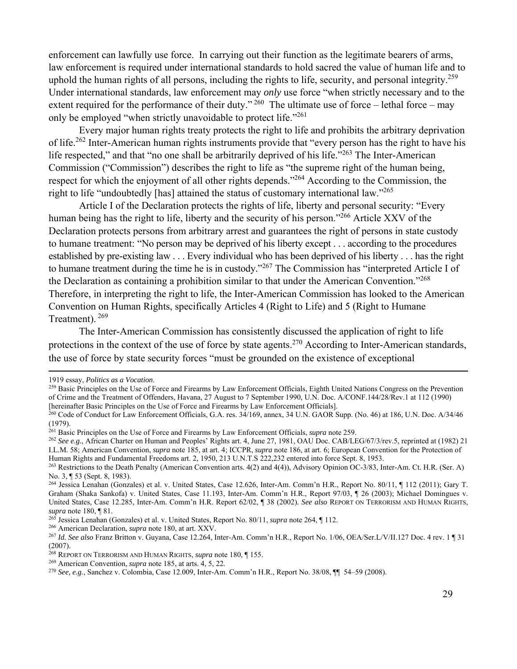enforcement can lawfully use force. In carrying out their function as the legitimate bearers of arms, law enforcement is required under international standards to hold sacred the value of human life and to uphold the human rights of all persons, including the rights to life, security, and personal integrity.<sup>259</sup> Under international standards, law enforcement may *only* use force "when strictly necessary and to the extent required for the performance of their duty."  $^{260}$  The ultimate use of force – lethal force – may only be employed "when strictly unavoidable to protect life."261

Every major human rights treaty protects the right to life and prohibits the arbitrary deprivation of life.262 Inter-American human rights instruments provide that "every person has the right to have his life respected," and that "no one shall be arbitrarily deprived of his life."<sup>263</sup> The Inter-American Commission ("Commission") describes the right to life as "the supreme right of the human being, respect for which the enjoyment of all other rights depends."264 According to the Commission, the right to life "undoubtedly [has] attained the status of customary international law."265

Article I of the Declaration protects the rights of life, liberty and personal security: "Every human being has the right to life, liberty and the security of his person."<sup>266</sup> Article XXV of the Declaration protects persons from arbitrary arrest and guarantees the right of persons in state custody to humane treatment: "No person may be deprived of his liberty except . . . according to the procedures established by pre-existing law . . . Every individual who has been deprived of his liberty . . . has the right to humane treatment during the time he is in custody."267 The Commission has "interpreted Article I of the Declaration as containing a prohibition similar to that under the American Convention."268 Therefore, in interpreting the right to life, the Inter-American Commission has looked to the American Convention on Human Rights, specifically Articles 4 (Right to Life) and 5 (Right to Humane Treatment). <sup>269</sup>

The Inter-American Commission has consistently discussed the application of right to life protections in the context of the use of force by state agents.<sup>270</sup> According to Inter-American standards, the use of force by state security forces "must be grounded on the existence of exceptional

<u> 1989 - Andrea Santa Andrea Andrea Andrea Andrea Andrea Andrea Andrea Andrea Andrea Andrea Andrea Andrea Andr</u>

<sup>1919</sup> essay, *Politics as a Vocation*.<br><sup>259</sup> Basic Principles on the Use of Force and Firearms by Law Enforcement Officials, Eighth United Nations Congress on the Prevention of Crime and the Treatment of Offenders, Havana, 27 August to 7 September 1990, U.N. Doc. A/CONF.144/28/Rev.1 at 112 (1990) [hereinafter Basic Principles on the Use of Force and Firearms by Law Enforcement Officials].

<sup>260</sup> Code of Conduct for Law Enforcement Officials, G.A. res. 34/169, annex, 34 U.N. GAOR Supp. (No. 46) at 186, U.N. Doc. A/34/46 (1979).

<sup>&</sup>lt;sup>261</sup> Basic Principles on the Use of Force and Firearms by Law Enforcement Officials, *supra* note 259.<br><sup>262</sup> See e.g., African Charter on Human and Peoples' Rights art. 4, June 27, 1981, OAU Doc. CAB/LEG/67/3/rev.5, repri I.L.M. 58; American Convention, *supra* note 185, at art. 4; ICCPR, *supra* note 186, at art. 6; European Convention for the Protection of

<sup>&</sup>lt;sup>263</sup> Restrictions to the Death Penalty (American Convention arts. 4(2) and 4(4)), Advisory Opinion OC-3/83, Inter-Am. Ct. H.R. (Ser. A) No. 3, ¶ 53 (Sept. 8, 1983).

<sup>264</sup> Jessica Lenahan (Gonzales) et al. v. United States, Case 12.626, Inter-Am. Comm'n H.R., Report No. 80/11, ¶ 112 (2011); Gary T. Graham (Shaka Sankofa) v. United States, Case 11.193, Inter-Am. Comm'n H.R., Report 97/03, ¶ 26 (2003); Michael Domingues v. United States, Case 12.285, Inter-Am. Comm'n H.R. Report 62/02, ¶ 38 (2002). *See also* REPORT ON TERRORISM AND HUMAN RIGHTS, supra note 180, ¶ 81.<br>
<sup>265</sup> Jessica Lenahan (Gonzales) et al. v. United States, Report No. 80/11, *supra* note 264, ¶ 112.<br>
<sup>266</sup> American Declaration, *supra* note 180, at art. XXV.<br>
<sup>267</sup> Id. See also Franz Britton v. G

<sup>(2007).&</sup>lt;br><sup>268</sup> Report on Terrorism and Human Rights, *supra* note 180, ¶ 155.

<sup>&</sup>lt;sup>269</sup> American Convention, *supra* note 185, at arts. 4, 5, 22.<br><sup>270</sup> *See, e.g.*, Sanchez v. Colombia, Case 12.009, Inter-Am. Comm'n H.R., Report No. 38/08,  $\P$  54–59 (2008).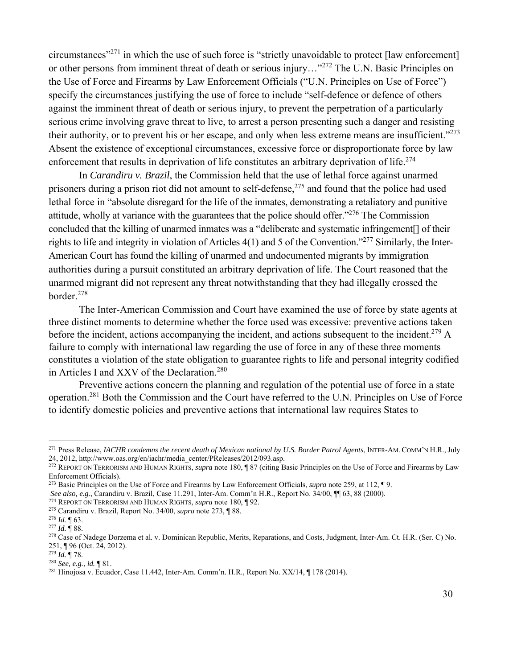circumstances"271 in which the use of such force is "strictly unavoidable to protect [law enforcement] or other persons from imminent threat of death or serious injury..."<sup>272</sup> The U.N. Basic Principles on the Use of Force and Firearms by Law Enforcement Officials ("U.N. Principles on Use of Force") specify the circumstances justifying the use of force to include "self-defence or defence of others against the imminent threat of death or serious injury, to prevent the perpetration of a particularly serious crime involving grave threat to live, to arrest a person presenting such a danger and resisting their authority, or to prevent his or her escape, and only when less extreme means are insufficient."273 Absent the existence of exceptional circumstances, excessive force or disproportionate force by law enforcement that results in deprivation of life constitutes an arbitrary deprivation of life.<sup>274</sup>

In *Carandiru v. Brazil*, the Commission held that the use of lethal force against unarmed prisoners during a prison riot did not amount to self-defense,  $275$  and found that the police had used lethal force in "absolute disregard for the life of the inmates, demonstrating a retaliatory and punitive attitude, wholly at variance with the guarantees that the police should offer."276 The Commission concluded that the killing of unarmed inmates was a "deliberate and systematic infringement[] of their rights to life and integrity in violation of Articles 4(1) and 5 of the Convention."277 Similarly, the Inter-American Court has found the killing of unarmed and undocumented migrants by immigration authorities during a pursuit constituted an arbitrary deprivation of life. The Court reasoned that the unarmed migrant did not represent any threat notwithstanding that they had illegally crossed the border.278

The Inter-American Commission and Court have examined the use of force by state agents at three distinct moments to determine whether the force used was excessive: preventive actions taken before the incident, actions accompanying the incident, and actions subsequent to the incident.<sup>279</sup> A failure to comply with international law regarding the use of force in any of these three moments constitutes a violation of the state obligation to guarantee rights to life and personal integrity codified in Articles I and XXV of the Declaration.<sup>280</sup>

Preventive actions concern the planning and regulation of the potential use of force in a state operation.281 Both the Commission and the Court have referred to the U.N. Principles on Use of Force to identify domestic policies and preventive actions that international law requires States to

<sup>&</sup>lt;sup>271</sup> Press Release, *IACHR condemns the recent death of Mexican national by U.S. Border Patrol Agents*, INTER-AM. COMM'N H.R., July 24, 2012, http://www.oas.org/en/iachr/media center/PReleases/2012/093.asp.

<sup>&</sup>lt;sup>272</sup> REPORT ON TERRORISM AND HUMAN RIGHTS, *supra* note 180, ¶ 87 (citing Basic Principles on the Use of Force and Firearms by Law Enforcement Officials).

<sup>&</sup>lt;sup>273</sup> Basic Principles on the Use of Force and Firearms by Law Enforcement Officials, *supra* note 259, at 112, ¶ 9.<br>See also, e.g., Carandiru v. Brazil, Case 11.291, Inter-Am. Comm'n H.R., Report No. 34/00, ¶ 63, 88 (2000

<sup>&</sup>lt;sup>274</sup> REPORT ON TERRORISM AND HUMAN RIGHTS, *supra* note 180, ¶ 92.<br><sup>275</sup> Carandiru v. Brazil, Report No. 34/00, *supra* note 273, ¶ 88.<br><sup>276</sup> *Id.* ¶ 63.<br><sup>277</sup> *Id.* ¶ 88.<br><sup>278</sup> Case of Nadege Dorzema et al. v. Dominican 251, ¶ 96 (Oct. 24, 2012).<br><sup>279</sup> Id. ¶ 78.

<sup>&</sup>lt;sup>280</sup> *See*, *e.g.*, *id.* ¶ 81.<br><sup>281</sup> Hinojosa v. Ecuador, Case 11.442, Inter-Am. Comm'n. H.R., Report No. XX/14, ¶ 178 (2014).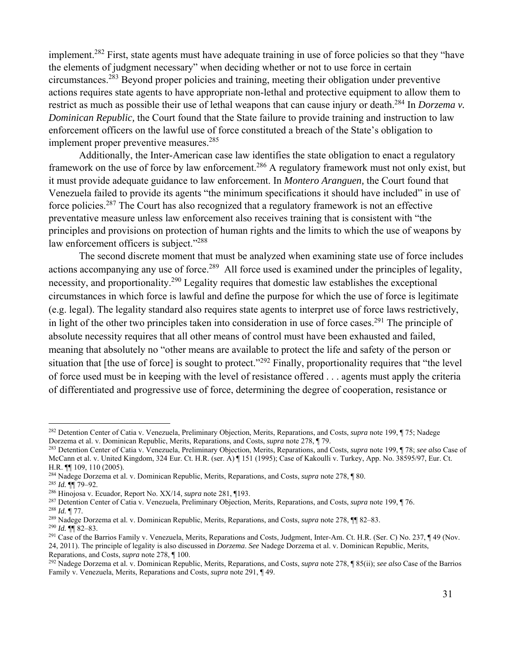implement.<sup>282</sup> First, state agents must have adequate training in use of force policies so that they "have the elements of judgment necessary" when deciding whether or not to use force in certain circumstances.283 Beyond proper policies and training, meeting their obligation under preventive actions requires state agents to have appropriate non-lethal and protective equipment to allow them to restrict as much as possible their use of lethal weapons that can cause injury or death.<sup>284</sup> In *Dorzema v*. *Dominican Republic,* the Court found that the State failure to provide training and instruction to law enforcement officers on the lawful use of force constituted a breach of the State's obligation to implement proper preventive measures.<sup>285</sup>

Additionally, the Inter-American case law identifies the state obligation to enact a regulatory framework on the use of force by law enforcement.286 A regulatory framework must not only exist, but it must provide adequate guidance to law enforcement. In *Montero Aranguen,* the Court found that Venezuela failed to provide its agents "the minimum specifications it should have included" in use of force policies.287 The Court has also recognized that a regulatory framework is not an effective preventative measure unless law enforcement also receives training that is consistent with "the principles and provisions on protection of human rights and the limits to which the use of weapons by law enforcement officers is subject."<sup>288</sup>

The second discrete moment that must be analyzed when examining state use of force includes actions accompanying any use of force.<sup>289</sup> All force used is examined under the principles of legality, necessity, and proportionality.290 Legality requires that domestic law establishes the exceptional circumstances in which force is lawful and define the purpose for which the use of force is legitimate (e.g. legal). The legality standard also requires state agents to interpret use of force laws restrictively, in light of the other two principles taken into consideration in use of force cases.<sup>291</sup> The principle of absolute necessity requires that all other means of control must have been exhausted and failed, meaning that absolutely no "other means are available to protect the life and safety of the person or situation that [the use of force] is sought to protect."<sup>292</sup> Finally, proportionality requires that "the level" of force used must be in keeping with the level of resistance offered . . . agents must apply the criteria of differentiated and progressive use of force, determining the degree of cooperation, resistance or

<sup>282</sup> Detention Center of Catia v. Venezuela, Preliminary Objection, Merits, Reparations, and Costs, *supra* note 199, ¶ 75; Nadege Dorzema et al. v. Dominican Republic, Merits, Reparations, and Costs, *supra* note 278, ¶ 79.<br><sup>283</sup> Detention Center of Catia v. Venezuela, Preliminary Objection, Merits, Reparations, and Costs, *supra* note 199, ¶ 78; *se* 

McCann et al. v. United Kingdom, 324 Eur. Ct. H.R. (ser. A) ¶ 151 (1995); Case of Kakoulli v. Turkey, App. No. 38595/97, Eur. Ct. H.R. ¶¶ 109, 110 (2005).

<sup>284</sup> Nadege Dorzema et al. v. Dominican Republic, Merits, Reparations, and Costs, *supra* note 278, ¶ 80.

<sup>&</sup>lt;sup>286</sup> Hinojosa v. Ecuador, Report No. XX/14, *supra* note 281, ¶193.<br><sup>287</sup> Detention Center of Catia v. Venezuela, Preliminary Objection, Merits, Reparations, and Costs, *supra* note 199, ¶ 76.<br><sup>287</sup> Detention Center of Ca

<sup>24, 2011).</sup> The principle of legality is also discussed in *Dorzema*. *See* Nadege Dorzema et al. v. Dominican Republic, Merits,

Reparations, and Costs, *supra* note 278, ¶ 100. 292 Nadege Dorzema et al. v. Dominican Republic, Merits, Reparations, and Costs, *supra* note 278, ¶ 85(ii); *see also* Case of the Barrios Family v. Venezuela, Merits, Reparations and Costs, *supra* note 291, ¶ 49.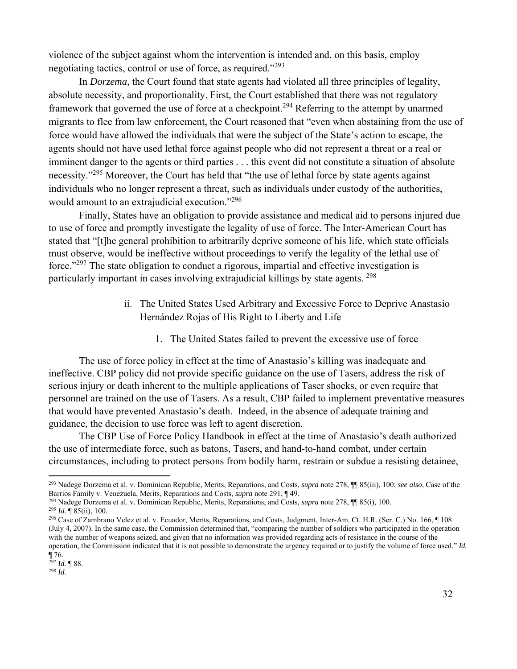violence of the subject against whom the intervention is intended and, on this basis, employ negotiating tactics, control or use of force, as required."293

In *Dorzema,* the Court found that state agents had violated all three principles of legality, absolute necessity, and proportionality. First, the Court established that there was not regulatory framework that governed the use of force at a checkpoint.294 Referring to the attempt by unarmed migrants to flee from law enforcement, the Court reasoned that "even when abstaining from the use of force would have allowed the individuals that were the subject of the State's action to escape, the agents should not have used lethal force against people who did not represent a threat or a real or imminent danger to the agents or third parties . . . this event did not constitute a situation of absolute necessity."295 Moreover, the Court has held that "the use of lethal force by state agents against individuals who no longer represent a threat, such as individuals under custody of the authorities, would amount to an extrajudicial execution."296

Finally, States have an obligation to provide assistance and medical aid to persons injured due to use of force and promptly investigate the legality of use of force. The Inter-American Court has stated that "[t]he general prohibition to arbitrarily deprive someone of his life, which state officials must observe, would be ineffective without proceedings to verify the legality of the lethal use of force."297 The state obligation to conduct a rigorous, impartial and effective investigation is particularly important in cases involving extrajudicial killings by state agents. 298

- ii. The United States Used Arbitrary and Excessive Force to Deprive Anastasio Hernández Rojas of His Right to Liberty and Life
	- 1. The United States failed to prevent the excessive use of force

The use of force policy in effect at the time of Anastasio's killing was inadequate and ineffective. CBP policy did not provide specific guidance on the use of Tasers, address the risk of serious injury or death inherent to the multiple applications of Taser shocks, or even require that personnel are trained on the use of Tasers. As a result, CBP failed to implement preventative measures that would have prevented Anastasio's death. Indeed, in the absence of adequate training and guidance, the decision to use force was left to agent discretion.

The CBP Use of Force Policy Handbook in effect at the time of Anastasio's death authorized the use of intermediate force, such as batons, Tasers, and hand-to-hand combat, under certain circumstances, including to protect persons from bodily harm, restrain or subdue a resisting detainee,

<sup>294</sup> Nadege Dorzema et al. v. Dominican Republic, Merits, Reparations, and Costs, *supra* note 278,  $\P$  85(i), 100.<br><sup>295</sup> Id. ¶ 85(ii), 100.<br><sup>296</sup> Case of Zambrano Velez et al. v. Ecuador, Merits, Reparations, and Costs,

<sup>293</sup> Nadege Dorzema et al. v. Dominican Republic, Merits, Reparations, and Costs, *supra* note 278, ¶¶ 85(iii), 100; *see also*, Case of the

<sup>(</sup>July 4, 2007). In the same case, the Commission determined that, "comparing the number of soldiers who participated in the operation with the number of weapons seized, and given that no information was provided regarding acts of resistance in the course of the operation, the Commission indicated that it is not possible to demonstrate the urgency required or to justify the volume of force used." *Id.*

 $\P$  76.

<sup>297</sup> *Id.* ¶ 88. 298 *Id.*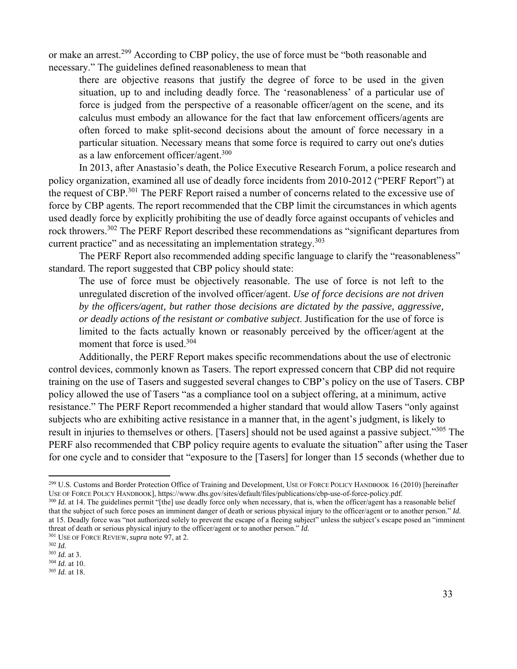or make an arrest.299 According to CBP policy, the use of force must be "both reasonable and necessary." The guidelines defined reasonableness to mean that

there are objective reasons that justify the degree of force to be used in the given situation, up to and including deadly force. The 'reasonableness' of a particular use of force is judged from the perspective of a reasonable officer/agent on the scene, and its calculus must embody an allowance for the fact that law enforcement officers/agents are often forced to make split-second decisions about the amount of force necessary in a particular situation. Necessary means that some force is required to carry out one's duties as a law enforcement officer/agent.300

In 2013, after Anastasio's death, the Police Executive Research Forum, a police research and policy organization, examined all use of deadly force incidents from 2010-2012 ("PERF Report") at the request of CBP.<sup>301</sup> The PERF Report raised a number of concerns related to the excessive use of force by CBP agents. The report recommended that the CBP limit the circumstances in which agents used deadly force by explicitly prohibiting the use of deadly force against occupants of vehicles and rock throwers.<sup>302</sup> The PERF Report described these recommendations as "significant departures from current practice" and as necessitating an implementation strategy.<sup>303</sup>

The PERF Report also recommended adding specific language to clarify the "reasonableness" standard. The report suggested that CBP policy should state:

The use of force must be objectively reasonable. The use of force is not left to the unregulated discretion of the involved officer/agent. *Use of force decisions are not driven by the officers/agent, but rather those decisions are dictated by the passive, aggressive, or deadly actions of the resistant or combative subject*. Justification for the use of force is limited to the facts actually known or reasonably perceived by the officer/agent at the moment that force is used.<sup>304</sup>

Additionally, the PERF Report makes specific recommendations about the use of electronic control devices, commonly known as Tasers. The report expressed concern that CBP did not require training on the use of Tasers and suggested several changes to CBP's policy on the use of Tasers. CBP policy allowed the use of Tasers "as a compliance tool on a subject offering, at a minimum, active resistance." The PERF Report recommended a higher standard that would allow Tasers "only against subjects who are exhibiting active resistance in a manner that, in the agent's judgment, is likely to result in injuries to themselves or others. [Tasers] should not be used against a passive subject."<sup>305</sup> The PERF also recommended that CBP policy require agents to evaluate the situation" after using the Taser for one cycle and to consider that "exposure to the [Tasers] for longer than 15 seconds (whether due to

<sup>&</sup>lt;sup>299</sup> U.S. Customs and Border Protection Office of Training and Development, USE OF FORCE POLICY HANDBOOK 16 (2010) [hereinafter USE OF FORCE POLICY HANDBOOK 16 (2010) [hereinafter

<sup>300</sup> *Id.* at 14. The guidelines permit "[the] use deadly force only when necessary, that is, when the officer/agent has a reasonable belief that the subject of such force poses an imminent danger of death or serious physical injury to the officer/agent or to another person." *Id.* at 15. Deadly force was "not authorized solely to prevent the escape of a fleeing subject" unless the subject's escape posed an "imminent threat of death or serious physical injury to the officer/agent or to another person." *Id.*

<sup>301</sup> USE OF FORCE REVIEW, *supra* note 97, at 2. 302 *Id.*

<sup>&</sup>lt;sup>304</sup> *Id.* at 10. <sup>305</sup> *Id.* at 18.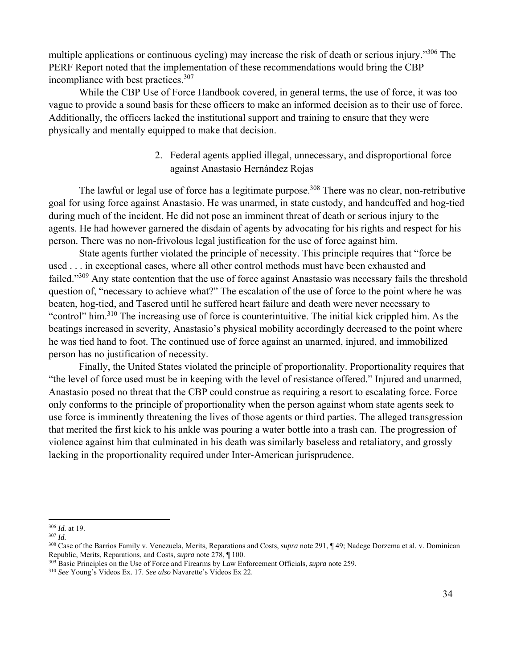multiple applications or continuous cycling) may increase the risk of death or serious injury."<sup>306</sup> The PERF Report noted that the implementation of these recommendations would bring the CBP incompliance with best practices.<sup>307</sup>

While the CBP Use of Force Handbook covered, in general terms, the use of force, it was too vague to provide a sound basis for these officers to make an informed decision as to their use of force. Additionally, the officers lacked the institutional support and training to ensure that they were physically and mentally equipped to make that decision.

> 2. Federal agents applied illegal, unnecessary, and disproportional force against Anastasio Hernández Rojas

The lawful or legal use of force has a legitimate purpose.<sup>308</sup> There was no clear, non-retributive goal for using force against Anastasio. He was unarmed, in state custody, and handcuffed and hog-tied during much of the incident. He did not pose an imminent threat of death or serious injury to the agents. He had however garnered the disdain of agents by advocating for his rights and respect for his person. There was no non-frivolous legal justification for the use of force against him.

State agents further violated the principle of necessity. This principle requires that "force be used . . . in exceptional cases, where all other control methods must have been exhausted and failed."<sup>309</sup> Any state contention that the use of force against Anastasio was necessary fails the threshold question of, "necessary to achieve what?" The escalation of the use of force to the point where he was beaten, hog-tied, and Tasered until he suffered heart failure and death were never necessary to "control" him.310 The increasing use of force is counterintuitive. The initial kick crippled him. As the beatings increased in severity, Anastasio's physical mobility accordingly decreased to the point where he was tied hand to foot. The continued use of force against an unarmed, injured, and immobilized person has no justification of necessity.

Finally, the United States violated the principle of proportionality. Proportionality requires that "the level of force used must be in keeping with the level of resistance offered." Injured and unarmed, Anastasio posed no threat that the CBP could construe as requiring a resort to escalating force. Force only conforms to the principle of proportionality when the person against whom state agents seek to use force is imminently threatening the lives of those agents or third parties. The alleged transgression that merited the first kick to his ankle was pouring a water bottle into a trash can. The progression of violence against him that culminated in his death was similarly baseless and retaliatory, and grossly lacking in the proportionality required under Inter-American jurisprudence.

<sup>306</sup> *Id.* at 19. 307 *Id.*

<sup>308</sup> Case of the Barrios Family v. Venezuela, Merits, Reparations and Costs, *supra* note 291, ¶ 49; Nadege Dorzema et al. v. Dominican

 $\overline{R}^{309}$  Basic Principles on the Use of Force and Firearms by Law Enforcement Officials, *supra* note 259.

<sup>310</sup> *See* Young's Videos Ex. 17. *See also* Navarette's Videos Ex 22.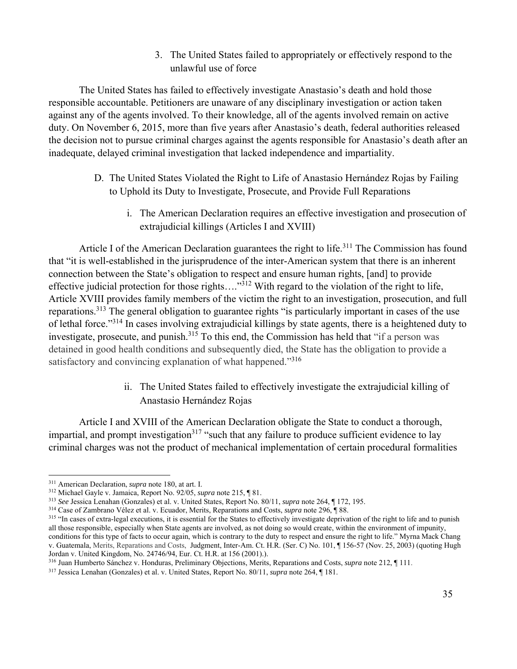3. The United States failed to appropriately or effectively respond to the unlawful use of force

The United States has failed to effectively investigate Anastasio's death and hold those responsible accountable. Petitioners are unaware of any disciplinary investigation or action taken against any of the agents involved. To their knowledge, all of the agents involved remain on active duty. On November 6, 2015, more than five years after Anastasio's death, federal authorities released the decision not to pursue criminal charges against the agents responsible for Anastasio's death after an inadequate, delayed criminal investigation that lacked independence and impartiality.

- D. The United States Violated the Right to Life of Anastasio Hernández Rojas by Failing to Uphold its Duty to Investigate, Prosecute, and Provide Full Reparations
	- i. The American Declaration requires an effective investigation and prosecution of extrajudicial killings (Articles I and XVIII)

Article I of the American Declaration guarantees the right to life.<sup>311</sup> The Commission has found that "it is well-established in the jurisprudence of the inter-American system that there is an inherent connection between the State's obligation to respect and ensure human rights, [and] to provide effective judicial protection for those rights…."312 With regard to the violation of the right to life, Article XVIII provides family members of the victim the right to an investigation, prosecution, and full reparations.313 The general obligation to guarantee rights "is particularly important in cases of the use of lethal force."314 In cases involving extrajudicial killings by state agents, there is a heightened duty to investigate, prosecute, and punish.<sup>315</sup> To this end, the Commission has held that "if a person was detained in good health conditions and subsequently died, the State has the obligation to provide a satisfactory and convincing explanation of what happened."<sup>316</sup>

> ii. The United States failed to effectively investigate the extrajudicial killing of Anastasio Hernández Rojas

Article I and XVIII of the American Declaration obligate the State to conduct a thorough, impartial, and prompt investigation<sup>317</sup> "such that any failure to produce sufficient evidence to lay criminal charges was not the product of mechanical implementation of certain procedural formalities

<sup>&</sup>lt;sup>311</sup> American Declaration, *supra* note 180, at art. I.

<sup>&</sup>lt;sup>312</sup> Michael Gayle v. Jamaica, Report No. 92/05, *supra* note 215,  $\P$  81.<br><sup>313</sup> See Jessica Lenahan (Gonzales) et al. v. United States, Report No. 80/11, *supra* note 264,  $\P$  172, 195.<br><sup>314</sup> Case of Zambrano Vélez et a all those responsible, especially when State agents are involved, as not doing so would create, within the environment of impunity, conditions for this type of facts to occur again, which is contrary to the duty to respect and ensure the right to life." Myrna Mack Chang v. Guatemala, Merits, Reparations and Costs, Judgment, Inter-Am. Ct. H.R. (Ser. C) No. 101, ¶ 156-57 (Nov. 25, 2003) (quoting Hugh Jordan v. United Kingdom, No. 24746/94, Eur. Ct. H.R. at 156 (2001).).

<sup>316</sup> Juan Humberto Sánchez v. Honduras, Preliminary Objections, Merits, Reparations and Costs, *supra* note 212, ¶ 111.

<sup>317</sup> Jessica Lenahan (Gonzales) et al. v. United States, Report No. 80/11, *supra* note 264, ¶ 181.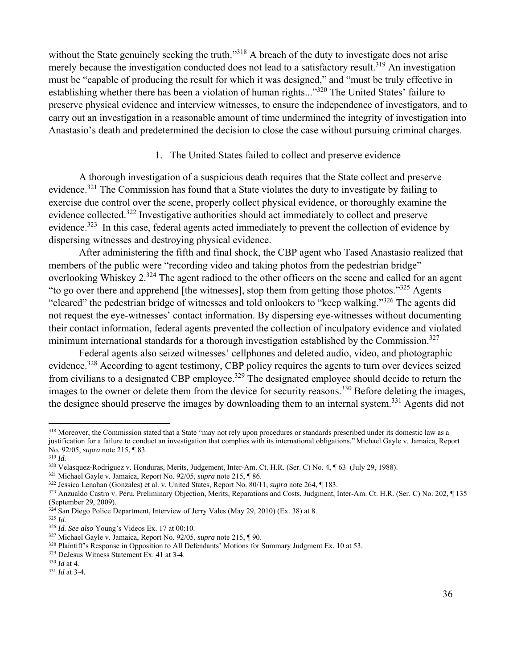without the State genuinely seeking the truth."<sup>318</sup> A breach of the duty to investigate does not arise merely because the investigation conducted does not lead to a satisfactory result.<sup>319</sup> An investigation must be "capable of producing the result for which it was designed," and "must be truly effective in establishing whether there has been a violation of human rights..."<sup>320</sup> The United States' failure to preserve physical evidence and interview witnesses, to ensure the independence of investigators, and to carry out an investigation in a reasonable amount of time undermined the integrity of investigation into Anastasio's death and predetermined the decision to close the case without pursuing criminal charges.

## 1. The United States failed to collect and preserve evidence

A thorough investigation of a suspicious death requires that the State collect and preserve evidence.321 The Commission has found that a State violates the duty to investigate by failing to exercise due control over the scene, properly collect physical evidence, or thoroughly examine the evidence collected.322 Investigative authorities should act immediately to collect and preserve evidence.<sup>323</sup> In this case, federal agents acted immediately to prevent the collection of evidence by dispersing witnesses and destroying physical evidence.

After administering the fifth and final shock, the CBP agent who Tased Anastasio realized that members of the public were "recording video and taking photos from the pedestrian bridge" overlooking Whiskey 2.<sup>324</sup> The agent radioed to the other officers on the scene and called for an agent "to go over there and apprehend [the witnesses], stop them from getting those photos."325 Agents "cleared" the pedestrian bridge of witnesses and told onlookers to "keep walking."326 The agents did not request the eye-witnesses' contact information. By dispersing eye-witnesses without documenting their contact information, federal agents prevented the collection of inculpatory evidence and violated minimum international standards for a thorough investigation established by the Commission.<sup>327</sup>

Federal agents also seized witnesses' cellphones and deleted audio, video, and photographic evidence.328 According to agent testimony, CBP policy requires the agents to turn over devices seized from civilians to a designated CBP employee.<sup>329</sup> The designated employee should decide to return the images to the owner or delete them from the device for security reasons.<sup>330</sup> Before deleting the images, the designee should preserve the images by downloading them to an internal system.<sup>331</sup> Agents did not

<sup>&</sup>lt;sup>318</sup> Moreover, the Commission stated that a State "may not rely upon procedures or standards prescribed under its domestic law as a justification for a failure to conduct an investigation that complies with its international obligations." Michael Gayle v. Jamaica, Report No. 92/05, *supra* note 215, ¶ 83.<br><sup>319</sup> *Id.*<br><sup>320</sup> Velasquez-Rodriguez v. Honduras, Merits, Judgement, Inter-Am. Ct. H.R. (Ser. C) No. 4, ¶ 63 (July 29, 1988).<br><sup>321</sup> Michael Gayle v. Jamaica, Report No. 92/05, *supra* no

<sup>(</sup>September 29, 2009).

 $324$  San Diego Police Department, Interview of Jerry Vales (May 29, 2010) (Ex. 38) at 8.<br>  $325$  *Id.*<br>  $326$  *Id. See also* Young's Videos Ex. 17 at 00:10.

<sup>&</sup>lt;sup>327</sup> Michael Gayle v. Jamaica, Report No. 92/05, *supra* note 215,  $\sqrt{ }$  90.<br><sup>328</sup> Plaintiff's Response in Opposition to All Defendants' Motions for Summary Judgment Ex. 10 at 53.<br><sup>329</sup> DeJesus Witness Statement Ex. 41

<sup>331</sup> *Id* at 3-4*.*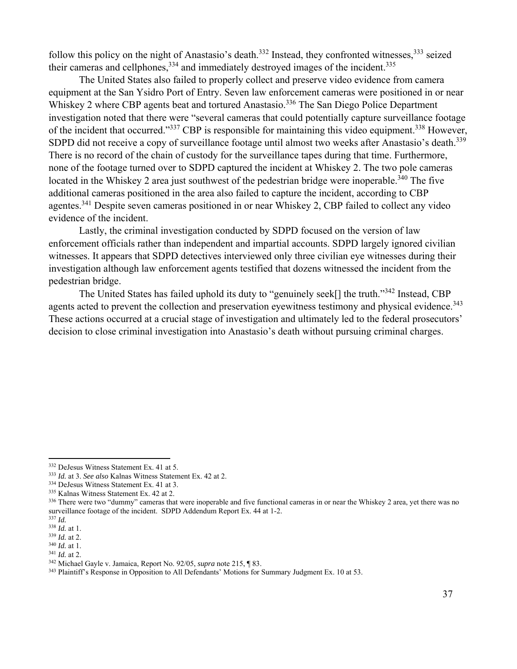follow this policy on the night of Anastasio's death.<sup>332</sup> Instead, they confronted witnesses,<sup>333</sup> seized their cameras and cellphones,  $334$  and immediately destroyed images of the incident.  $335$ 

The United States also failed to properly collect and preserve video evidence from camera equipment at the San Ysidro Port of Entry. Seven law enforcement cameras were positioned in or near Whiskey 2 where CBP agents beat and tortured Anastasio.<sup>336</sup> The San Diego Police Department investigation noted that there were "several cameras that could potentially capture surveillance footage of the incident that occurred."<sup>337</sup> CBP is responsible for maintaining this video equipment.<sup>338</sup> However, SDPD did not receive a copy of surveillance footage until almost two weeks after Anastasio's death.<sup>339</sup> There is no record of the chain of custody for the surveillance tapes during that time. Furthermore, none of the footage turned over to SDPD captured the incident at Whiskey 2. The two pole cameras located in the Whiskey 2 area just southwest of the pedestrian bridge were inoperable.<sup>340</sup> The five additional cameras positioned in the area also failed to capture the incident, according to CBP agentes.<sup>341</sup> Despite seven cameras positioned in or near Whiskey 2, CBP failed to collect any video evidence of the incident.

Lastly, the criminal investigation conducted by SDPD focused on the version of law enforcement officials rather than independent and impartial accounts. SDPD largely ignored civilian witnesses. It appears that SDPD detectives interviewed only three civilian eye witnesses during their investigation although law enforcement agents testified that dozens witnessed the incident from the pedestrian bridge.

The United States has failed uphold its duty to "genuinely seek<sup>[]</sup> the truth."<sup>342</sup> Instead, CBP agents acted to prevent the collection and preservation eyewitness testimony and physical evidence.<sup>343</sup> These actions occurred at a crucial stage of investigation and ultimately led to the federal prosecutors' decision to close criminal investigation into Anastasio's death without pursuing criminal charges.

<sup>&</sup>lt;sup>332</sup> DeJesus Witness Statement Ex. 41 at 5.<br><sup>333</sup> *Id.* at 3. See also Kalnas Witness Statement Ex. 42 at 2.<br><sup>334</sup> DeJesus Witness Statement Ex. 41 at 3.<br><sup>335</sup> Kalnas Witness Statement Ex. 42 at 2.<br><sup>336</sup> There were two "d surveillance footage of the incident. SDPD Addendum Report Ex. 44 at 1-2.<br><sup>337</sup> *Id.* at 1.<br><sup>338</sup> *Id.* at 1.

<sup>&</sup>lt;sup>339</sup> *Id.* at 2.<br><sup>340</sup> *Id.* at 1.<br><sup>341</sup> *Id.* at 2.<br><sup>342</sup> Michael Gayle v. Jamaica, Report No. 92/05, *supra* note 215, ¶ 83.<br><sup>342</sup> Plaintiff's Response in Opposition to All Defendants' Motions for Summary Judgment Ex.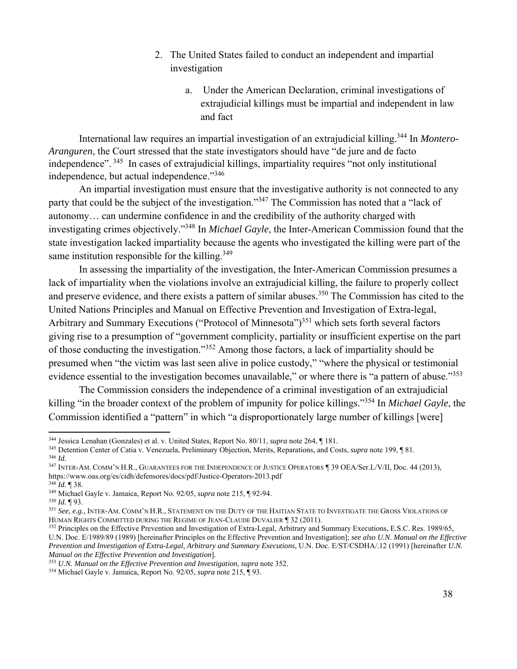- 2. The United States failed to conduct an independent and impartial investigation
	- a. Under the American Declaration, criminal investigations of extrajudicial killings must be impartial and independent in law and fact

International law requires an impartial investigation of an extrajudicial killing.344 In *Montero-Aranguren*, the Court stressed that the state investigators should have "de jure and de facto independence". 345 In cases of extrajudicial killings, impartiality requires "not only institutional independence, but actual independence."<sup>346</sup>

An impartial investigation must ensure that the investigative authority is not connected to any party that could be the subject of the investigation."347 The Commission has noted that a "lack of autonomy… can undermine confidence in and the credibility of the authority charged with investigating crimes objectively."348 In *Michael Gayle*, the Inter-American Commission found that the state investigation lacked impartiality because the agents who investigated the killing were part of the same institution responsible for the killing. $349$ 

In assessing the impartiality of the investigation, the Inter-American Commission presumes a lack of impartiality when the violations involve an extrajudicial killing, the failure to properly collect and preserve evidence, and there exists a pattern of similar abuses.<sup>350</sup> The Commission has cited to the United Nations Principles and Manual on Effective Prevention and Investigation of Extra-legal, Arbitrary and Summary Executions ("Protocol of Minnesota")<sup>351</sup> which sets forth several factors giving rise to a presumption of "government complicity, partiality or insufficient expertise on the part of those conducting the investigation."352 Among those factors, a lack of impartiality should be presumed when "the victim was last seen alive in police custody," "where the physical or testimonial evidence essential to the investigation becomes unavailable," or where there is "a pattern of abuse."<sup>353</sup>

The Commission considers the independence of a criminal investigation of an extrajudicial killing "in the broader context of the problem of impunity for police killings."354 In *Michael Gayle*, the Commission identified a "pattern" in which "a disproportionately large number of killings [were]

<sup>&</sup>lt;sup>344</sup> Jessica Lenahan (Gonzales) et al. v. United States, Report No. 80/11, *supra* note 264, ¶ 181.<br><sup>345</sup> Detention Center of Catia v. Venezuela, Preliminary Objection, Merits, Reparations, and Costs, *supra* note 199, ¶

<sup>&</sup>lt;sup>347</sup> INTER-AM. COMM'N H.R., GUARANTEES FOR THE INDEPENDENCE OF JUSTICE OPERATORS ¶ 39 OEA/Ser.L/V/II, Doc. 44 (2013),<br>https://www.oas.org/es/cidh/defensores/docs/pdf/Justice-Operators-2013.pdf

<sup>&</sup>lt;sup>348</sup>Id. ¶ 38.<br><sup>349</sup> Michael Gayle v. Jamaica, Report No. 92/05, *supra* note 215, ¶ 92-94.<br><sup>350</sup>Id. ¶ 93.<br><sup>351</sup> See, e.g., INTER-AM. COMM'N H.R., STATEMENT ON THE DUTY OF THE HAITIAN STATE TO INVESTIGATE THE GROSS VIOLAT HUMAN RIGHTS COMMITTED DURING THE REGIME OF JEAN-CLAUDE DUVALIER ¶ 32 (2011).<br><sup>352</sup> Principles on the Effective Prevention and Investigation of Extra-Legal, Arbitrary and Summary Executions, E.S.C. Res. 1989/65,

U.N. Doc. E/1989/89 (1989) [hereinafter Principles on the Effective Prevention and Investigation]; *see also U.N. Manual on the Effective Prevention and Investigation of Extra-Legal, Arbitrary and Summary Executions*, U.N. Doc. E/ST/CSDHA/.12 (1991) [hereinafter *U.N. Manual on the Effective Prevention and Investigation*].

<sup>353</sup> *U.N. Manual on the Effective Prevention and Investigation*, *supra* note 352. 354 Michael Gayle v. Jamaica, Report No. 92/05, *supra* note 215, ¶ 93.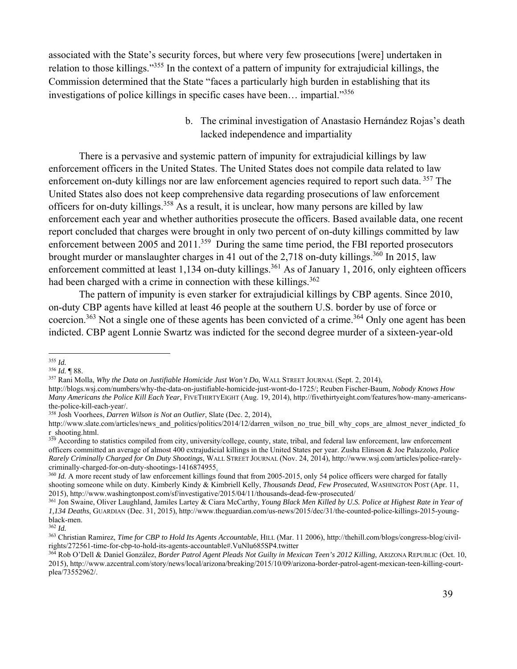associated with the State's security forces, but where very few prosecutions [were] undertaken in relation to those killings."355 In the context of a pattern of impunity for extrajudicial killings, the Commission determined that the State "faces a particularly high burden in establishing that its investigations of police killings in specific cases have been… impartial."<sup>356</sup>

> b. The criminal investigation of Anastasio Hernández Rojas's death lacked independence and impartiality

There is a pervasive and systemic pattern of impunity for extrajudicial killings by law enforcement officers in the United States. The United States does not compile data related to law enforcement on-duty killings nor are law enforcement agencies required to report such data. <sup>357</sup> The United States also does not keep comprehensive data regarding prosecutions of law enforcement officers for on-duty killings.358 As a result, it is unclear, how many persons are killed by law enforcement each year and whether authorities prosecute the officers. Based available data, one recent report concluded that charges were brought in only two percent of on-duty killings committed by law enforcement between 2005 and 2011.<sup>359</sup> During the same time period, the FBI reported prosecutors brought murder or manslaughter charges in 41 out of the 2,718 on-duty killings.<sup>360</sup> In 2015, law enforcement committed at least 1,134 on-duty killings.<sup>361</sup> As of January 1, 2016, only eighteen officers had been charged with a crime in connection with these killings.<sup>362</sup>

The pattern of impunity is even starker for extrajudicial killings by CBP agents. Since 2010, on-duty CBP agents have killed at least 46 people at the southern U.S. border by use of force or coercion.<sup>363</sup> Not a single one of these agents has been convicted of a crime.<sup>364</sup> Only one agent has been indicted. CBP agent Lonnie Swartz was indicted for the second degree murder of a sixteen-year-old

<sup>&</sup>lt;sup>355</sup> *Id.*<br><sup>356</sup> *Id.* ¶ 88.<br><sup>357</sup> Rani Molla, *Why the Data on Justifiable Homicide Just Won't Do*, WALL STREET JOURNAL (Sept. 2, 2014),

http://blogs.wsj.com/numbers/why-the-data-on-justifiable-homicide-just-wont-do-1725/; Reuben Fischer-Baum, *Nobody Knows How Many Americans the Police Kill Each Year*, FIVETHIRTYEIGHT (Aug. 19, 2014), http://fivethirtyeight.com/features/how-many-americansthe-police-kill-each-year/.

<sup>358</sup> Josh Voorhees, *Darren Wilson is Not an Outlier*, Slate (Dec. 2, 2014),

http://www.slate.com/articles/news\_and\_politics/politics/2014/12/darren\_wilson\_no\_true\_bill\_why\_cops\_are\_almost\_never\_indicted\_fo r\_shooting.html.

<sup>&</sup>lt;sup>359</sup> According to statistics compiled from city, university/college, county, state, tribal, and federal law enforcement, law enforcement officers committed an average of almost 400 extrajudicial killings in the United States per year. Zusha Elinson & Joe Palazzolo, *Police Rarely Criminally Charged for On Duty Shootings*, WALL STREET JOURNAL (Nov. 24, 2014), http://www.wsj.com/articles/police-rarelycriminally-charged-for-on-duty-shootings-1416874955.

<sup>&</sup>lt;sup>360</sup> *Id.* A more recent study of law enforcement killings found that from 2005-2015, only 54 police officers were charged for fatally shooting someone while on duty. Kimberly Kindy & Kimbriell Kelly, *Thousands Dead, Few Prosecuted*, WASHINGTON POST (Apr. 11, 2015), http://www.washingtonpost.com/sf/investigative/2015/04/11/thousands-dead-few-prosecuted/

<sup>361</sup> Jon Swaine, Oliver Laughland, Jamiles Lartey & Ciara McCarthy, Young Black Men Killed by U.S. Police at Highest Rate in Year of *1,134 Deaths*, GUARDIAN (Dec. 31, 2015), http://www.theguardian.com/us-news/2015/dec/31/the-counted-police-killings-2015-youngblack-men.

<sup>362</sup> *Id.*

<sup>363</sup> Christian Ramirez, *Time for CBP to Hold Its Agents Accountable*, HILL (Mar. 11 2006), http://thehill.com/blogs/congress-blog/civilrights/272561-time-for-cbp-to-hold-its-agents-accountable#.VuNlu685SP4.twitter<br><sup>364</sup> Rob O'Dell & Daniel González, *Border Patrol Agent Pleads Not Guilty in Mexican Teen's 2012 Killing*, ARIZONA REPUBLIC (Oct. 10,

<sup>2015),</sup> http://www.azcentral.com/story/news/local/arizona/breaking/2015/10/09/arizona-border-patrol-agent-mexican-teen-killing-courtplea/73552962/.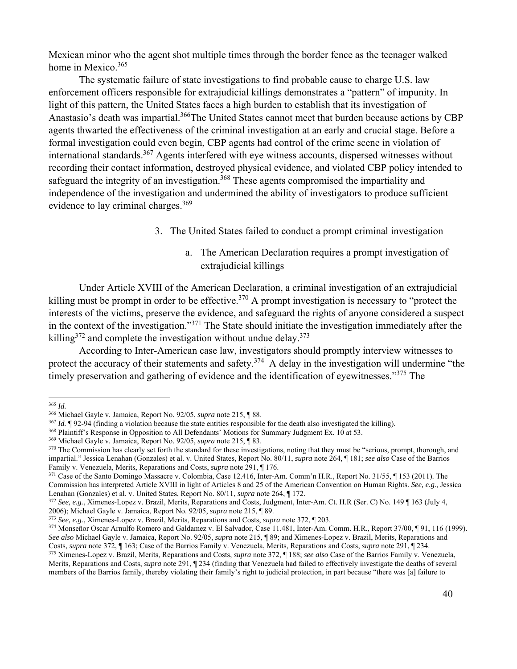Mexican minor who the agent shot multiple times through the border fence as the teenager walked home in Mexico.<sup>365</sup>

The systematic failure of state investigations to find probable cause to charge U.S. law enforcement officers responsible for extrajudicial killings demonstrates a "pattern" of impunity. In light of this pattern, the United States faces a high burden to establish that its investigation of Anastasio's death was impartial.<sup>366</sup>The United States cannot meet that burden because actions by CBP agents thwarted the effectiveness of the criminal investigation at an early and crucial stage. Before a formal investigation could even begin, CBP agents had control of the crime scene in violation of international standards.<sup>367</sup> Agents interfered with eye witness accounts, dispersed witnesses without recording their contact information, destroyed physical evidence, and violated CBP policy intended to safeguard the integrity of an investigation.<sup>368</sup> These agents compromised the impartiality and independence of the investigation and undermined the ability of investigators to produce sufficient evidence to lay criminal charges.<sup>369</sup>

- 3. The United States failed to conduct a prompt criminal investigation
	- a. The American Declaration requires a prompt investigation of extrajudicial killings

Under Article XVIII of the American Declaration, a criminal investigation of an extrajudicial killing must be prompt in order to be effective.<sup>370</sup> A prompt investigation is necessary to "protect the interests of the victims, preserve the evidence, and safeguard the rights of anyone considered a suspect in the context of the investigation."371 The State should initiate the investigation immediately after the killing<sup>372</sup> and complete the investigation without undue delay.<sup>373</sup>

According to Inter-American case law, investigators should promptly interview witnesses to protect the accuracy of their statements and safety.<sup>374</sup> A delay in the investigation will undermine "the timely preservation and gathering of evidence and the identification of eyewitnesses."<sup>375</sup> The

<sup>&</sup>lt;sup>365</sup> *Id.*<br><sup>366</sup> Michael Gayle v. Jamaica, Report No. 92/05, *supra* note 215, ¶ 88.

<sup>&</sup>lt;sup>367</sup> *Id.* ¶ 92-94 (finding a violation because the state entities responsible for the death also investigated the killing).<br><sup>368</sup> Plaintiff's Response in Opposition to All Defendants' Motions for Summary Judgment Ex. 10 impartial." Jessica Lenahan (Gonzales) et al. v. United States, Report No. 80/11, *supra* note 264, ¶ 181; *see also* Case of the Barrios

<sup>&</sup>lt;sup>371</sup> Case of the Santo Domingo Massacre v. Colombia, Case 12.416, Inter-Am. Comm'n H.R., Report No. 31/55, ¶ 153 (2011). The Commission has interpreted Article XVIII in light of Articles 8 and 25 of the American Convention on Human Rights. *See, e.g.*, Jessica Lenahan (Gonzales) et al. v. United States, Report No. 80/11, *supra* note 264, ¶ 172.

<sup>&</sup>lt;sup>372</sup> See, e.g., Ximenes-Lopez v. Brazil, Merits, Reparations and Costs, Judgment, Inter-Am. Ct. H.R (Ser. C) No. 149 ¶ 163 (July 4, 2006); Michael Gayle v. Jamaica, Report No. 92/05, *supra* note 215, ¶ 89.

<sup>&</sup>lt;sup>373</sup> See, e.g., Ximenes-Lopez v. Brazil, Merits, Reparations and Costs, *supra* note 372, ¶ 203.<br><sup>374</sup> Monseñor Oscar Arnulfo Romero and Galdamez v. El Salvador, Case 11.481, Inter-Am. Comm. H.R., Report 37/00, ¶ 91, 116 *See also* Michael Gayle v. Jamaica, Report No. 92/05, *supra* note 215, ¶ 89; and Ximenes-Lopez v. Brazil, Merits, Reparations and Costs, *supra* note 372, ¶ 163; Case of the Barrios Family v. Venezuela, Merits, Reparatio 375 Ximenes-Lopez v. Brazil, Merits, Reparations and Costs, *supra* note 372, 188; see also Case of the Barrios Family v. Venezuela,

Merits, Reparations and Costs, *supra* note 291, ¶ 234 (finding that Venezuela had failed to effectively investigate the deaths of several members of the Barrios family, thereby violating their family's right to judicial protection, in part because "there was [a] failure to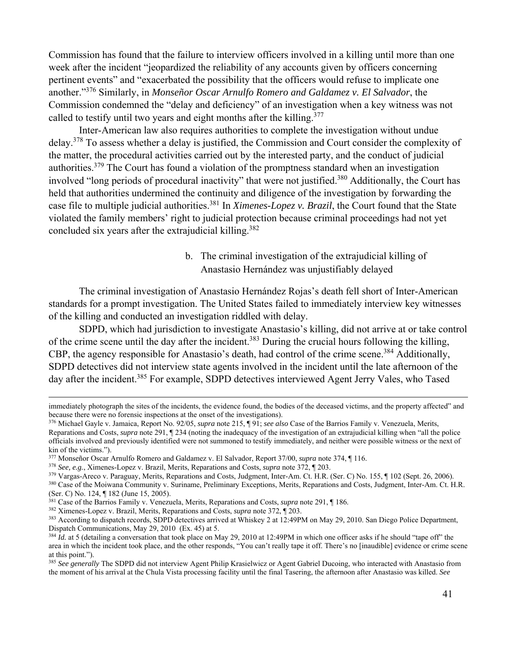Commission has found that the failure to interview officers involved in a killing until more than one week after the incident "jeopardized the reliability of any accounts given by officers concerning pertinent events" and "exacerbated the possibility that the officers would refuse to implicate one another."376 Similarly, in *Monseñor Oscar Arnulfo Romero and Galdamez v. El Salvador*, the Commission condemned the "delay and deficiency" of an investigation when a key witness was not called to testify until two vears and eight months after the killing.<sup>377</sup>

Inter-American law also requires authorities to complete the investigation without undue delay.378 To assess whether a delay is justified, the Commission and Court consider the complexity of the matter, the procedural activities carried out by the interested party, and the conduct of judicial authorities.<sup>379</sup> The Court has found a violation of the promptness standard when an investigation involved "long periods of procedural inactivity" that were not justified.<sup>380</sup> Additionally, the Court has held that authorities undermined the continuity and diligence of the investigation by forwarding the case file to multiple judicial authorities.381 In *Ximenes-Lopez v. Brazil*, the Court found that the State violated the family members' right to judicial protection because criminal proceedings had not yet concluded six years after the extrajudicial killing.<sup>382</sup>

# b. The criminal investigation of the extrajudicial killing of Anastasio Hernández was unjustifiably delayed

The criminal investigation of Anastasio Hernández Rojas's death fell short of Inter-American standards for a prompt investigation. The United States failed to immediately interview key witnesses of the killing and conducted an investigation riddled with delay.

SDPD, which had jurisdiction to investigate Anastasio's killing, did not arrive at or take control of the crime scene until the day after the incident.<sup>383</sup> During the crucial hours following the killing, CBP, the agency responsible for Anastasio's death, had control of the crime scene.<sup>384</sup> Additionally, SDPD detectives did not interview state agents involved in the incident until the late afternoon of the day after the incident.<sup>385</sup> For example, SDPD detectives interviewed Agent Jerry Vales, who Tased

<sup>&</sup>lt;u> 1989 - Andrea Santa Andrea Andrea Andrea Andrea Andrea Andrea Andrea Andrea Andrea Andrea Andrea Andrea Andr</u> immediately photograph the sites of the incidents, the evidence found, the bodies of the deceased victims, and the property affected" and because there were no forensic inspections at the onset of the investigations).

<sup>376</sup> Michael Gayle v. Jamaica, Report No. 92/05, *supra* note 215, ¶ 91; *see also* Case of the Barrios Family v. Venezuela, Merits, Reparations and Costs, *supra* note 291, ¶ 234 (noting the inadequacy of the investigation of an extrajudicial killing when "all the police officials involved and previously identified were not summoned to testify immediately, and neither were possible witness or the next of kin of the victims.").<br><sup>377</sup> Monseñor Oscar Arnulfo Romero and Galdamez v. El Salvador, Report 37/00, *supra* note 374, ¶ 116.

<sup>&</sup>lt;sup>378</sup> See, e.g., Ximenes-Lopez v. Brazil, Merits, Reparations and Costs, *supra* note 372, ¶ 203.<br><sup>379</sup> Vargas-Areco v. Paraguay, Merits, Reparations and Costs, Judgment, Inter-Am. Ct. H.R. (Ser. C) No. 155, ¶ 102 (Sept. 2

<sup>(</sup>Ser. C) No. 124, ¶ 182 (June 15, 2005).<br><sup>381</sup> Case of the Barrios Family v. Venezuela, Merits, Reparations and Costs, *supra* note 291, ¶ 186.

<sup>&</sup>lt;sup>382</sup> Ximenes-Lopez v. Brazil, Merits, Reparations and Costs, *supra* note 372,  $\P$  203.<br><sup>383</sup> According to dispatch records, SDPD detectives arrived at Whiskey 2 at 12:49PM on May 29, 2010. San Diego Police Department, Dispatch Communications, May 29, 2010 (Ex. 45) at 5.<br><sup>384</sup> *Id.* at 5 (detailing a conversation that took place on May 29, 2010 at 12:49PM in which one officer asks if he should "tape off" the

area in which the incident took place, and the other responds, "You can't really tape it off. There's no [inaudible] evidence or crime scene at this point.").

<sup>&</sup>lt;sup>385</sup> See generally The SDPD did not interview Agent Philip Krasielwicz or Agent Gabriel Ducoing, who interacted with Anastasio from the moment of his arrival at the Chula Vista processing facility until the final Tasering, the afternoon after Anastasio was killed. *See*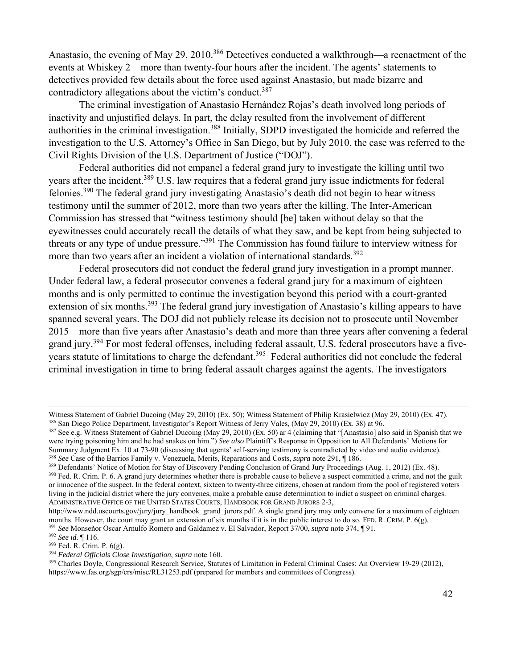Anastasio, the evening of May 29, 2010.<sup>386</sup> Detectives conducted a walkthrough—a reenactment of the events at Whiskey 2—more than twenty-four hours after the incident. The agents' statements to detectives provided few details about the force used against Anastasio, but made bizarre and contradictory allegations about the victim's conduct.<sup>387</sup>

The criminal investigation of Anastasio Hernández Rojas's death involved long periods of inactivity and unjustified delays. In part, the delay resulted from the involvement of different authorities in the criminal investigation.388 Initially, SDPD investigated the homicide and referred the investigation to the U.S. Attorney's Office in San Diego, but by July 2010, the case was referred to the Civil Rights Division of the U.S. Department of Justice ("DOJ").

Federal authorities did not empanel a federal grand jury to investigate the killing until two years after the incident.389 U.S. law requires that a federal grand jury issue indictments for federal felonies.390 The federal grand jury investigating Anastasio's death did not begin to hear witness testimony until the summer of 2012, more than two years after the killing. The Inter-American Commission has stressed that "witness testimony should [be] taken without delay so that the eyewitnesses could accurately recall the details of what they saw, and be kept from being subjected to threats or any type of undue pressure."391 The Commission has found failure to interview witness for more than two years after an incident a violation of international standards.<sup>392</sup>

Federal prosecutors did not conduct the federal grand jury investigation in a prompt manner. Under federal law, a federal prosecutor convenes a federal grand jury for a maximum of eighteen months and is only permitted to continue the investigation beyond this period with a court-granted extension of six months.<sup>393</sup> The federal grand jury investigation of Anastasio's killing appears to have spanned several years. The DOJ did not publicly release its decision not to prosecute until November 2015—more than five years after Anastasio's death and more than three years after convening a federal grand jury.394 For most federal offenses, including federal assault, U.S. federal prosecutors have a fiveyears statute of limitations to charge the defendant.<sup>395</sup> Federal authorities did not conclude the federal criminal investigation in time to bring federal assault charges against the agents. The investigators

Witness Statement of Gabriel Ducoing (May 29, 2010) (Ex. 50); Witness Statement of Philip Krasielwicz (May 29, 2010) (Ex. 47). <sup>386</sup> San Diego Police Department, Investigator's Report Witness of Jerry Vales, (May 29, 2010) (Ex. 38) at 96.<br><sup>387</sup> See e.g. Witness Statement of Gabriel Ducoing (May 29, 2010) (Ex. 50) ar 4 (claiming that "[Anastasio] a

were trying poisoning him and he had snakes on him.") *See also* Plaintiff's Response in Opposition to All Defendants' Motions for Summary Judgment Ex. 10 at 73-90 (discussing that agents' self-serving testimony is contrad

<sup>&</sup>lt;sup>388</sup> See Case of the Barrios Family v. Venezuela, Merits, Reparations and Costs, *supra* note 291,  $\P$  186.<br><sup>389</sup> Defendants' Notice of Motion for Stay of Discovery Pending Conclusion of Grand Jury Proceedings (Aug. 1, 2 or innocence of the suspect. In the federal context, sixteen to twenty-three citizens, chosen at random from the pool of registered voters living in the judicial district where the jury convenes, make a probable cause determination to indict a suspect on criminal charges. ADMINISTRATIVE OFFICE OF THE UNITED STATES COURTS, HANDBOOK FOR GRAND JURORS 2-3,

http://www.ndd.uscourts.gov/jury/jury\_handbook\_grand\_jurors.pdf. A single grand jury may only convene for a maximum of eighteen

months. However, the court may grant an extension of six months if it is in the public interest to do so. FED. R. CRIM. P. 6(g).<br><sup>391</sup> See Monseñor Oscar Arnulfo Romero and Galdamez v. El Salvador, Report 37/00, *supra* no

https://www.fas.org/sgp/crs/misc/RL31253.pdf (prepared for members and committees of Congress).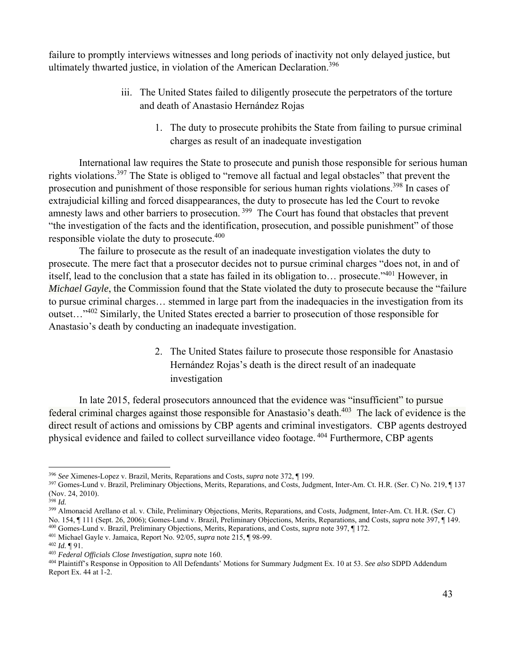failure to promptly interviews witnesses and long periods of inactivity not only delayed justice, but ultimately thwarted justice, in violation of the American Declaration.<sup>396</sup>

- iii. The United States failed to diligently prosecute the perpetrators of the torture and death of Anastasio Hernández Rojas
	- 1. The duty to prosecute prohibits the State from failing to pursue criminal charges as result of an inadequate investigation

International law requires the State to prosecute and punish those responsible for serious human rights violations.397 The State is obliged to "remove all factual and legal obstacles" that prevent the prosecution and punishment of those responsible for serious human rights violations.<sup>398</sup> In cases of extrajudicial killing and forced disappearances, the duty to prosecute has led the Court to revoke amnesty laws and other barriers to prosecution.<sup>399</sup> The Court has found that obstacles that prevent "the investigation of the facts and the identification, prosecution, and possible punishment" of those responsible violate the duty to prosecute.<sup>400</sup>

The failure to prosecute as the result of an inadequate investigation violates the duty to prosecute. The mere fact that a prosecutor decides not to pursue criminal charges "does not, in and of itself, lead to the conclusion that a state has failed in its obligation to… prosecute."401 However, in *Michael Gayle*, the Commission found that the State violated the duty to prosecute because the "failure to pursue criminal charges… stemmed in large part from the inadequacies in the investigation from its outset…"402 Similarly, the United States erected a barrier to prosecution of those responsible for Anastasio's death by conducting an inadequate investigation.

> 2. The United States failure to prosecute those responsible for Anastasio Hernández Rojas's death is the direct result of an inadequate investigation

In late 2015, federal prosecutors announced that the evidence was "insufficient" to pursue federal criminal charges against those responsible for Anastasio's death.<sup>403</sup> The lack of evidence is the direct result of actions and omissions by CBP agents and criminal investigators. CBP agents destroyed physical evidence and failed to collect surveillance video footage. 404 Furthermore, CBP agents

<sup>&</sup>lt;sup>396</sup> See Ximenes-Lopez v. Brazil, Merits, Reparations and Costs, *supra* note 372, ¶ 199.<br><sup>397</sup> Gomes-Lund v. Brazil, Preliminary Objections, Merits, Reparations, and Costs, Judgment, Inter-Am. Ct. H.R. (Ser. C) No. 219, (Nov. 24, 2010).

<sup>398</sup> *Id.*

<sup>399</sup> Almonacid Arellano et al. v. Chile, Preliminary Objections, Merits, Reparations, and Costs, Judgment, Inter-Am. Ct. H.R. (Ser. C) No. 154, ¶ 111 (Sept. 26, 2006); Gomes-Lund v. Brazil, Preliminary Objections, Merits, Reparations, and Costs, *supra* note 397, ¶ 149.<br><sup>400</sup> Gomes-Lund v. Brazil, Preliminary Objections, Merits, Reparations, and Costs, *s* 

Report Ex.  $44$  at  $1-2$ .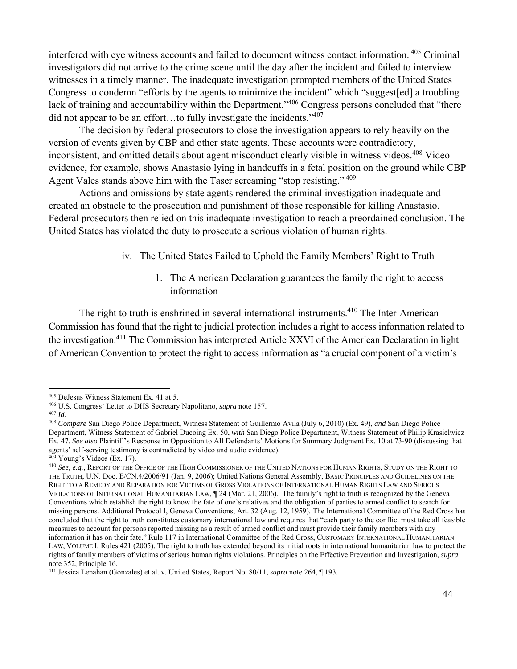interfered with eye witness accounts and failed to document witness contact information. 405 Criminal investigators did not arrive to the crime scene until the day after the incident and failed to interview witnesses in a timely manner. The inadequate investigation prompted members of the United States Congress to condemn "efforts by the agents to minimize the incident" which "suggest[ed] a troubling lack of training and accountability within the Department."<sup>406</sup> Congress persons concluded that "there did not appear to be an effort...to fully investigate the incidents." $407$ 

The decision by federal prosecutors to close the investigation appears to rely heavily on the version of events given by CBP and other state agents. These accounts were contradictory, inconsistent, and omitted details about agent misconduct clearly visible in witness videos.408 Video evidence, for example, shows Anastasio lying in handcuffs in a fetal position on the ground while CBP Agent Vales stands above him with the Taser screaming "stop resisting."<sup>409</sup>

Actions and omissions by state agents rendered the criminal investigation inadequate and created an obstacle to the prosecution and punishment of those responsible for killing Anastasio. Federal prosecutors then relied on this inadequate investigation to reach a preordained conclusion. The United States has violated the duty to prosecute a serious violation of human rights.

iv. The United States Failed to Uphold the Family Members' Right to Truth

1. The American Declaration guarantees the family the right to access information

The right to truth is enshrined in several international instruments.<sup>410</sup> The Inter-American Commission has found that the right to judicial protection includes a right to access information related to the investigation.411 The Commission has interpreted Article XXVI of the American Declaration in light of American Convention to protect the right to access information as "a crucial component of a victim's

<sup>405</sup> DeJesus Witness Statement Ex. 41 at 5. 406 U.S. Congress' Letter to DHS Secretary Napolitano, *supra* note 157. 407 *Id.*

<sup>408</sup> *Compare* San Diego Police Department, Witness Statement of Guillermo Avila (July 6, 2010) (Ex. 49), *and* San Diego Police Department, Witness Statement of Gabriel Ducoing Ex. 50, *with* San Diego Police Department, Witness Statement of Philip Krasielwicz Ex. 47. *See also* Plaintiff's Response in Opposition to All Defendants' Motions for Summary Judgment Ex. 10 at 73-90 (discussing that agents' self-serving testimony is contradicted by video and audio evidence).<br><sup>409</sup> Young's Videos (Ex. 17).<br><sup>410</sup> See, e.g., REPORT OF THE OFFICE OF THE HIGH COMMISSIONER OF THE UNITED NATIONS FOR HUMAN RIGHTS, STUDY ON TH

THE TRUTH, U.N. Doc. E/CN.4/2006/91 (Jan. 9, 2006); United Nations General Assembly, BASIC PRINCIPLES AND GUIDELINES ON THE RIGHT TO A REMEDY AND REPARATION FOR VICTIMS OF GROSS VIOLATIONS OF INTERNATIONAL HUMAN RIGHTS LAW AND SERIOUS VIOLATIONS OF INTERNATIONAL HUMANITARIAN LAW, ¶ 24 (Mar. 21, 2006). The family's right to truth is recognized by the Geneva Conventions which establish the right to know the fate of one's relatives and the obligation of parties to armed conflict to search for missing persons. Additional Protocol I, Geneva Conventions, Art. 32 (Aug. 12, 1959). The International Committee of the Red Cross has concluded that the right to truth constitutes customary international law and requires that "each party to the conflict must take all feasible measures to account for persons reported missing as a result of armed conflict and must provide their family members with any information it has on their fate." Rule 117 in International Committee of the Red Cross, CUSTOMARY INTERNATIONAL HUMANITARIAN LAW, VOLUME I, Rules 421 (2005). The right to truth has extended beyond its initial roots in international humanitarian law to protect the rights of family members of victims of serious human rights violations. Principles on the Effective Prevention and Investigation, *supra*  note 352, Principle 16.

<sup>411</sup> Jessica Lenahan (Gonzales) et al. v. United States, Report No. 80/11, *supra* note 264, ¶ 193.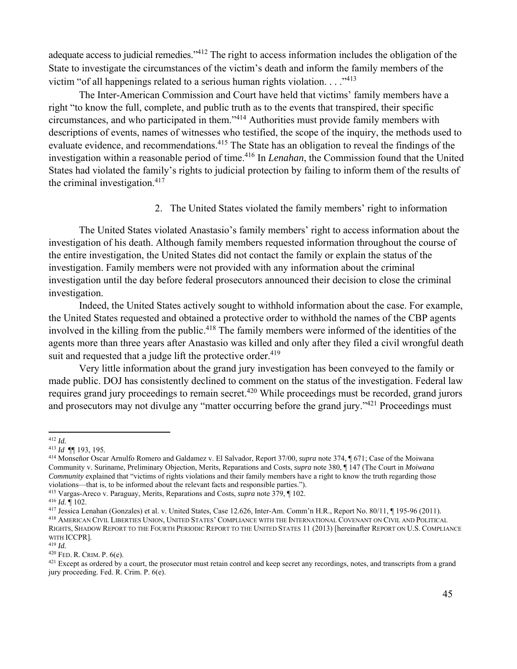adequate access to judicial remedies."412 The right to access information includes the obligation of the State to investigate the circumstances of the victim's death and inform the family members of the victim "of all happenings related to a serious human rights violation.  $\ldots$ <sup>113</sup>

The Inter-American Commission and Court have held that victims' family members have a right "to know the full, complete, and public truth as to the events that transpired, their specific circumstances, and who participated in them."414 Authorities must provide family members with descriptions of events, names of witnesses who testified, the scope of the inquiry, the methods used to evaluate evidence, and recommendations.<sup>415</sup> The State has an obligation to reveal the findings of the investigation within a reasonable period of time.416 In *Lenahan*, the Commission found that the United States had violated the family's rights to judicial protection by failing to inform them of the results of the criminal investigation. $417$ 

## 2. The United States violated the family members' right to information

The United States violated Anastasio's family members' right to access information about the investigation of his death. Although family members requested information throughout the course of the entire investigation, the United States did not contact the family or explain the status of the investigation. Family members were not provided with any information about the criminal investigation until the day before federal prosecutors announced their decision to close the criminal investigation.

Indeed, the United States actively sought to withhold information about the case. For example, the United States requested and obtained a protective order to withhold the names of the CBP agents involved in the killing from the public.<sup>418</sup> The family members were informed of the identities of the agents more than three years after Anastasio was killed and only after they filed a civil wrongful death suit and requested that a judge lift the protective order.<sup>419</sup>

Very little information about the grand jury investigation has been conveyed to the family or made public. DOJ has consistently declined to comment on the status of the investigation. Federal law requires grand jury proceedings to remain secret.<sup>420</sup> While proceedings must be recorded, grand jurors and prosecutors may not divulge any "matter occurring before the grand jury."<sup>421</sup> Proceedings must

 <sup>412</sup> *Id.*

<sup>413</sup> *Id* ¶¶ 193, 195*.*

<sup>414</sup> Monseñor Oscar Arnulfo Romero and Galdamez v. El Salvador, Report 37/00, *supra* note 374, ¶ 671; Case of the Moiwana Community v. Suriname, Preliminary Objection, Merits, Reparations and Costs, *supra* note 380, ¶ 147 (The Court in *Moiwana Community* explained that "victims of rights violations and their family members have a right to know the truth regarding those violations—that is, to be informed about the relevant facts and responsible parties.").

<sup>&</sup>lt;sup>415</sup> Vargas-Areco v. Paraguay, Merits, Reparations and Costs, *supra* note  $379$ , ¶ 102.<br><sup>416</sup> *Id.* ¶ 102.<br><sup>416</sup> *Id.* ¶ 102.<br><sup>417</sup> Jessica Lenahan (Gonzales) et al. v. United States, Case 12.626, Inter-Am. Comm'n H.R., RIGHTS, SHADOW REPORT TO THE FOURTH PERIODIC REPORT TO THE UNITED STATES 11 (2013) [hereinafter REPORT ON U.S. COMPLIANCE WITH **ICCPR**].<br><sup>419</sup> *Id.*<br><sup>420</sup> FED. R. CRIM. P. 6(e).

 $421$  Except as ordered by a court, the prosecutor must retain control and keep secret any recordings, notes, and transcripts from a grand jury proceeding. Fed. R. Crim. P. 6(e).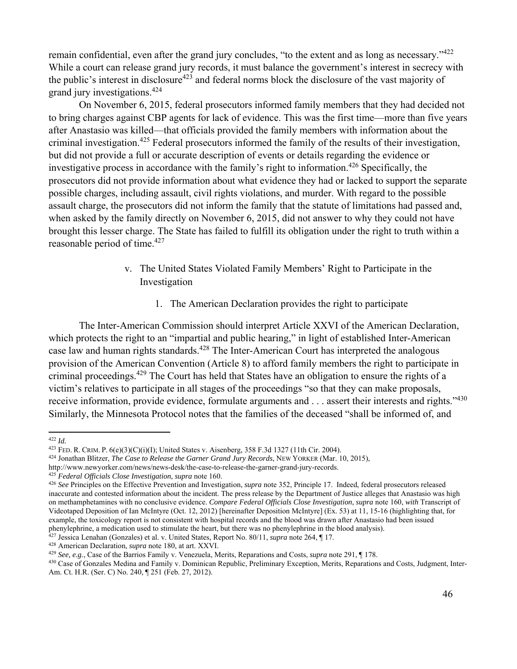remain confidential, even after the grand jury concludes, "to the extent and as long as necessary."<sup>422</sup> While a court can release grand jury records, it must balance the government's interest in secrecy with the public's interest in disclosure<sup>423</sup> and federal norms block the disclosure of the vast majority of grand jury investigations.424

On November 6, 2015, federal prosecutors informed family members that they had decided not to bring charges against CBP agents for lack of evidence. This was the first time—more than five years after Anastasio was killed—that officials provided the family members with information about the criminal investigation.425 Federal prosecutors informed the family of the results of their investigation, but did not provide a full or accurate description of events or details regarding the evidence or investigative process in accordance with the family's right to information.426 Specifically, the prosecutors did not provide information about what evidence they had or lacked to support the separate possible charges, including assault, civil rights violations, and murder. With regard to the possible assault charge, the prosecutors did not inform the family that the statute of limitations had passed and, when asked by the family directly on November 6, 2015, did not answer to why they could not have brought this lesser charge. The State has failed to fulfill its obligation under the right to truth within a reasonable period of time.<sup>427</sup>

# v. The United States Violated Family Members' Right to Participate in the Investigation

1. The American Declaration provides the right to participate

The Inter-American Commission should interpret Article XXVI of the American Declaration, which protects the right to an "impartial and public hearing," in light of established Inter-American case law and human rights standards.428 The Inter-American Court has interpreted the analogous provision of the American Convention (Article 8) to afford family members the right to participate in criminal proceedings.<sup>429</sup> The Court has held that States have an obligation to ensure the rights of a victim's relatives to participate in all stages of the proceedings "so that they can make proposals, receive information, provide evidence, formulate arguments and . . . assert their interests and rights."<sup>430</sup> Similarly, the Minnesota Protocol notes that the families of the deceased "shall be informed of, and

<sup>&</sup>lt;sup>422</sup> *Id.*<br><sup>423</sup> FED. R. CRIM. P. 6(e)(3)(C)(i)(I); United States v. Aisenberg, 358 F.3d 1327 (11th Cir. 2004).

<sup>&</sup>lt;sup>424</sup> Jonathan Blitzer, *The Case to Release the Garner Grand Jury Records*, NEW YORKER (Mar. 10, 2015), http://www.newyorker.com/news/news-desk/the-case-to-release-the-garner-grand-jury-records.

<sup>&</sup>lt;sup>425</sup> Federal Officials Close Investigation, supra note 160.<br><sup>426</sup> See Principles on the Effective Prevention and Investigation, *supra* note 352, Principle 17. Indeed, federal prosecutors released inaccurate and contested information about the incident. The press release by the Department of Justice alleges that Anastasio was high on methamphetamines with no conclusive evidence. *Compare Federal Officials Close Investigation*, *supra* note 160, *with* Transcript of Videotaped Deposition of Ian McIntyre (Oct. 12, 2012) [hereinafter Deposition McIntyre] (Ex. 53) at 11, 15-16 (highlighting that, for example, the toxicology report is not consistent with hospital records and the blood was drawn after Anastasio had been issued phenylephrine, a medication used to stimulate the heart, but there was no phenylephrine in the

<sup>&</sup>lt;sup>427</sup> Jessica Lenahan (Gonzales) et al. v. United States, Report No. 80/11, *supra* note 264, ¶ 17.<br><sup>428</sup> American Declaration, *supra* note 180, at art. XXVI.<br><sup>429</sup> See, e.g., Case of the Barrios Family v. Venezuela, Mer Am. Ct. H.R. (Ser. C) No. 240, ¶ 251 (Feb. 27, 2012).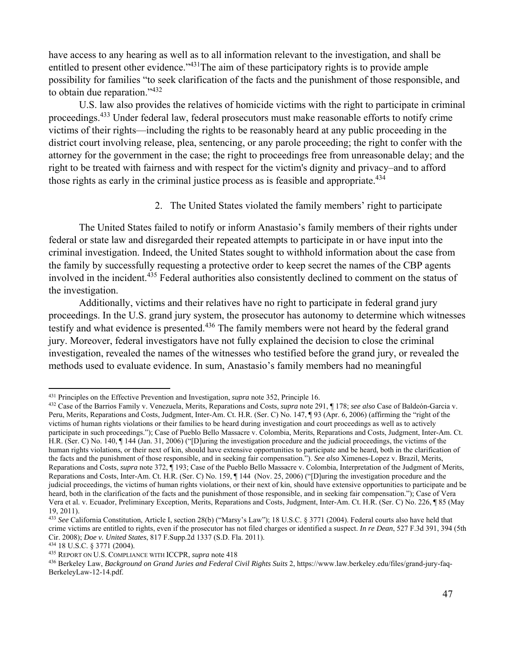have access to any hearing as well as to all information relevant to the investigation, and shall be entitled to present other evidence.<sup>2431</sup>The aim of these participatory rights is to provide ample possibility for families "to seek clarification of the facts and the punishment of those responsible, and to obtain due reparation."432

U.S. law also provides the relatives of homicide victims with the right to participate in criminal proceedings.433 Under federal law, federal prosecutors must make reasonable efforts to notify crime victims of their rights—including the rights to be reasonably heard at any public proceeding in the district court involving release, plea, sentencing, or any parole proceeding; the right to confer with the attorney for the government in the case; the right to proceedings free from unreasonable delay; and the right to be treated with fairness and with respect for the victim's dignity and privacy–and to afford those rights as early in the criminal justice process as is feasible and appropriate.<sup>434</sup>

## 2. The United States violated the family members' right to participate

The United States failed to notify or inform Anastasio's family members of their rights under federal or state law and disregarded their repeated attempts to participate in or have input into the criminal investigation. Indeed, the United States sought to withhold information about the case from the family by successfully requesting a protective order to keep secret the names of the CBP agents involved in the incident.435 Federal authorities also consistently declined to comment on the status of the investigation.

Additionally, victims and their relatives have no right to participate in federal grand jury proceedings. In the U.S. grand jury system, the prosecutor has autonomy to determine which witnesses testify and what evidence is presented.<sup>436</sup> The family members were not heard by the federal grand jury. Moreover, federal investigators have not fully explained the decision to close the criminal investigation, revealed the names of the witnesses who testified before the grand jury, or revealed the methods used to evaluate evidence. In sum, Anastasio's family members had no meaningful

<sup>&</sup>lt;sup>431</sup> Principles on the Effective Prevention and Investigation, *supra* note 352, Principle 16.<br><sup>432</sup> Case of the Barrios Family v. Venezuela, Merits, Reparations and Costs, *supra* note 291. If 178: *see also* Case of Ba Peru, Merits, Reparations and Costs, Judgment, Inter-Am. Ct. H.R. (Ser. C) No. 147, ¶ 93 (Apr. 6, 2006) (affirming the "right of the victims of human rights violations or their families to be heard during investigation and court proceedings as well as to actively participate in such proceedings."); Case of Pueblo Bello Massacre v. Colombia, Merits, Reparations and Costs, Judgment, Inter-Am. Ct. H.R. (Ser. C) No. 140, ¶ 144 (Jan. 31, 2006) ("[D]uring the investigation procedure and the judicial proceedings, the victims of the human rights violations, or their next of kin, should have extensive opportunities to participate and be heard, both in the clarification of the facts and the punishment of those responsible, and in seeking fair compensation."). *See also* Ximenes-Lopez v. Brazil, Merits, Reparations and Costs, *supra* note 372, ¶ 193; Case of the Pueblo Bello Massacre v. Colombia, Interpretation of the Judgment of Merits, Reparations and Costs, Inter-Am. Ct. H.R. (Ser. C) No. 159, ¶ 144 (Nov. 25, 2006) ("[D]uring the investigation procedure and the judicial proceedings, the victims of human rights violations, or their next of kin, should have extensive opportunities to participate and be heard, both in the clarification of the facts and the punishment of those responsible, and in seeking fair compensation."); Case of Vera Vera et al. v. Ecuador, Preliminary Exception, Merits, Reparations and Costs, Judgment, Inter-Am. Ct. H.R. (Ser. C) No. 226, ¶ 85 (May 19, 2011).

<sup>433</sup> *See* California Constitution, Article I, section 28(b) ("Marsy's Law"); 18 U.S.C. § 3771 (2004). Federal courts also have held that crime victims are entitled to rights, even if the prosecutor has not filed charges or identified a suspect. *In re Dean*, 527 F.3d 391, 394 (5th Cir. 2008); *Doe v. United States*, 817 F.Supp.2d 1337 (S.D. Fla. 2011).<br><sup>434</sup> 18 U.S.C. § 3771 (2004).<br><sup>435</sup> REPORT ON U.S. COMPLIANCE WITH ICCPR, *supra* note 418<br><sup>436</sup> Berkeley Law, *Background on Grand Juries and Feder* 

BerkeleyLaw-12-14.pdf.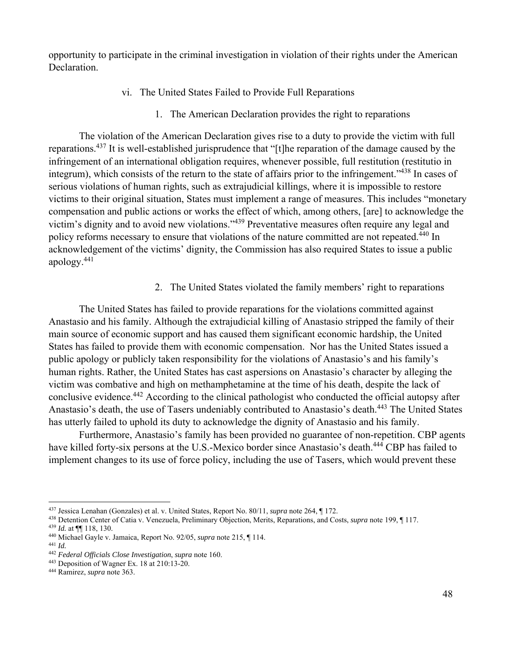opportunity to participate in the criminal investigation in violation of their rights under the American Declaration.

- vi. The United States Failed to Provide Full Reparations
	- 1. The American Declaration provides the right to reparations

The violation of the American Declaration gives rise to a duty to provide the victim with full reparations.437 It is well-established jurisprudence that "[t]he reparation of the damage caused by the infringement of an international obligation requires, whenever possible, full restitution (restitutio in integrum), which consists of the return to the state of affairs prior to the infringement."<sup>438</sup> In cases of serious violations of human rights, such as extrajudicial killings, where it is impossible to restore victims to their original situation, States must implement a range of measures. This includes "monetary compensation and public actions or works the effect of which, among others, [are] to acknowledge the victim's dignity and to avoid new violations."439 Preventative measures often require any legal and policy reforms necessary to ensure that violations of the nature committed are not repeated.<sup>440</sup> In acknowledgement of the victims' dignity, the Commission has also required States to issue a public apology.441

2. The United States violated the family members' right to reparations

The United States has failed to provide reparations for the violations committed against Anastasio and his family. Although the extrajudicial killing of Anastasio stripped the family of their main source of economic support and has caused them significant economic hardship, the United States has failed to provide them with economic compensation. Nor has the United States issued a public apology or publicly taken responsibility for the violations of Anastasio's and his family's human rights. Rather, the United States has cast aspersions on Anastasio's character by alleging the victim was combative and high on methamphetamine at the time of his death, despite the lack of conclusive evidence.442 According to the clinical pathologist who conducted the official autopsy after Anastasio's death, the use of Tasers undeniably contributed to Anastasio's death.<sup>443</sup> The United States has utterly failed to uphold its duty to acknowledge the dignity of Anastasio and his family.

Furthermore, Anastasio's family has been provided no guarantee of non-repetition. CBP agents have killed forty-six persons at the U.S.-Mexico border since Anastasio's death.<sup>444</sup> CBP has failed to implement changes to its use of force policy, including the use of Tasers, which would prevent these

<sup>&</sup>lt;sup>437</sup> Jessica Lenahan (Gonzales) et al. v. United States, Report No. 80/11, *supra* note 264, ¶ 172.<br><sup>438</sup> Detention Center of Catia v. Venezuela, Preliminary Objection, Merits, Reparations, and Costs, *supra* note 199, ¶

<sup>442</sup> *Federal Officials Close Investigation*, *supra* note 160. 443 Deposition of Wagner Ex. 18 at 210:13-20. 444 Ramirez, *supra* note 363.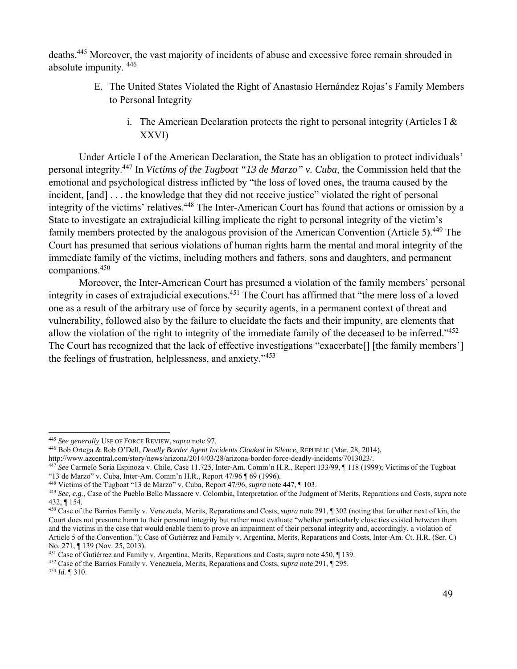deaths.445 Moreover, the vast majority of incidents of abuse and excessive force remain shrouded in absolute impunity. 446

- E. The United States Violated the Right of Anastasio Hernández Rojas's Family Members to Personal Integrity
	- i. The American Declaration protects the right to personal integrity (Articles I  $\&$ XXVI)

Under Article I of the American Declaration, the State has an obligation to protect individuals' personal integrity.447 In *Victims of the Tugboat "13 de Marzo" v. Cuba*, the Commission held that the emotional and psychological distress inflicted by "the loss of loved ones, the trauma caused by the incident, [and] . . . the knowledge that they did not receive justice" violated the right of personal integrity of the victims' relatives.448 The Inter-American Court has found that actions or omission by a State to investigate an extrajudicial killing implicate the right to personal integrity of the victim's family members protected by the analogous provision of the American Convention (Article 5).<sup>449</sup> The Court has presumed that serious violations of human rights harm the mental and moral integrity of the immediate family of the victims, including mothers and fathers, sons and daughters, and permanent companions.450

Moreover, the Inter-American Court has presumed a violation of the family members' personal integrity in cases of extrajudicial executions.<sup>451</sup> The Court has affirmed that "the mere loss of a loved one as a result of the arbitrary use of force by security agents, in a permanent context of threat and vulnerability, followed also by the failure to elucidate the facts and their impunity, are elements that allow the violation of the right to integrity of the immediate family of the deceased to be inferred."452 The Court has recognized that the lack of effective investigations "exacerbate[] [the family members'] the feelings of frustration, helplessness, and anxiety."453

- <sup>445</sup> *See generally* USE OF FORCE REVIEW, *supra* note 97.<br><sup>446</sup> Bob Ortega & Rob O'Dell, *Deadly Border Agent Incidents Cloaked in Silence*, REPUBLIC (Mar. 28, 2014),<br>http://www.azcentral.com/story/news/arizona/2014/03/2
- 

<sup>447</sup> See Carmelo Soria Espinoza v. Chile, Case 11.725, Inter-Am. Comm'n H.R., Report 133/99, ¶ 118 (1999); Victims of the Tugboat "13 de Marzo" v. Cuba, Inter-Am. Comm'n H.R., Report 47/96  $\parallel$  69 (1996).<br><sup>448</sup> Victims of the Tugboat "13 de Marzo" v. Cuba, Report 47/96, *supra* note 447,  $\parallel$  103.

<sup>449</sup> See, e.g., Case of the Pueblo Bello Massacre v. Colombia, Interpretation of the Judgment of Merits, Reparations and Costs, *supra* note 432, ¶ 154.

<sup>450</sup> Case of the Barrios Family v. Venezuela, Merits, Reparations and Costs, *supra* note 291, ¶ 302 (noting that for other next of kin, the Court does not presume harm to their personal integrity but rather must evaluate "whether particularly close ties existed between them and the victims in the case that would enable them to prove an impairment of their personal integrity and, accordingly, a violation of Article 5 of the Convention."); Case of Gutiérrez and Family v. Argentina, Merits, Reparations and Costs, Inter-Am. Ct. H.R. (Ser. C) No. 271, ¶ 139 (Nov. 25, 2013).<br><sup>451</sup> Case of Gutiérrez and Family v. Argentina, Merits, Reparations and Costs, *supra* note 450, ¶ 139.

<sup>&</sup>lt;sup>452</sup> Case of the Barrios Family v. Venezuela, Merits, Reparations and Costs, *supra* note 291,  $\oint$  295.<br><sup>453</sup> Id. ¶ 310.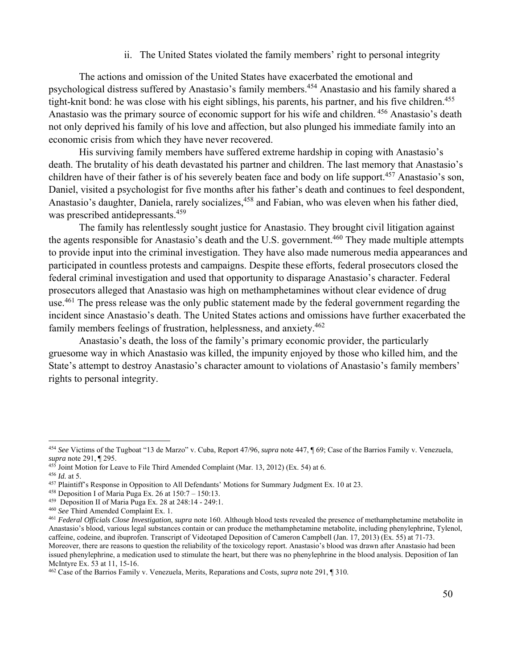ii. The United States violated the family members' right to personal integrity

The actions and omission of the United States have exacerbated the emotional and psychological distress suffered by Anastasio's family members.<sup>454</sup> Anastasio and his family shared a tight-knit bond: he was close with his eight siblings, his parents, his partner, and his five children.<sup>455</sup> Anastasio was the primary source of economic support for his wife and children. 456 Anastasio's death not only deprived his family of his love and affection, but also plunged his immediate family into an economic crisis from which they have never recovered.

His surviving family members have suffered extreme hardship in coping with Anastasio's death. The brutality of his death devastated his partner and children. The last memory that Anastasio's children have of their father is of his severely beaten face and body on life support.<sup>457</sup> Anastasio's son, Daniel, visited a psychologist for five months after his father's death and continues to feel despondent, Anastasio's daughter, Daniela, rarely socializes,<sup>458</sup> and Fabian, who was eleven when his father died, was prescribed antidepressants.<sup>459</sup>

The family has relentlessly sought justice for Anastasio. They brought civil litigation against the agents responsible for Anastasio's death and the U.S. government.<sup>460</sup> They made multiple attempts to provide input into the criminal investigation. They have also made numerous media appearances and participated in countless protests and campaigns. Despite these efforts, federal prosecutors closed the federal criminal investigation and used that opportunity to disparage Anastasio's character. Federal prosecutors alleged that Anastasio was high on methamphetamines without clear evidence of drug use.<sup>461</sup> The press release was the only public statement made by the federal government regarding the incident since Anastasio's death. The United States actions and omissions have further exacerbated the family members feelings of frustration, helplessness, and anxiety.462

Anastasio's death, the loss of the family's primary economic provider, the particularly gruesome way in which Anastasio was killed, the impunity enjoyed by those who killed him, and the State's attempt to destroy Anastasio's character amount to violations of Anastasio's family members' rights to personal integrity.

<sup>454</sup> *See* Victims of the Tugboat "13 de Marzo" v. Cuba, Report 47/96, *supra* note 447, ¶ 69; Case of the Barrios Family v. Venezuela, *supra* note 291, ¶ 295.<br><sup>455</sup> Joint Motion for Leave to File Third Amended Complaint (Mar. 13, 2012) (Ex. 54) at 6.

<sup>&</sup>lt;sup>456</sup> *Id.* at 5.<br><sup>457</sup> Plaintiff's Response in Opposition to All Defendants' Motions for Summary Judgment Ex. 10 at 23.<br><sup>458</sup> Deposition I of Maria Puga Ex. 26 at 150:7 – 150:13.<br><sup>459</sup> Deposition II of Maria Puga Ex. 28

Anastasio's blood, various legal substances contain or can produce the methamphetamine metabolite, including phenylephrine, Tylenol, caffeine, codeine, and ibuprofen. Transcript of Videotaped Deposition of Cameron Campbell (Jan. 17, 2013) (Ex. 55) at 71-73. Moreover, there are reasons to question the reliability of the toxicology report. Anastasio's blood was drawn after Anastasio had been issued phenylephrine, a medication used to stimulate the heart, but there was no phenylephrine in the blood analysis. Deposition of Ian McIntyre Ex. 53 at 11, 15-16.

<sup>462</sup> Case of the Barrios Family v. Venezuela, Merits, Reparations and Costs, *supra* note 291, ¶ 310.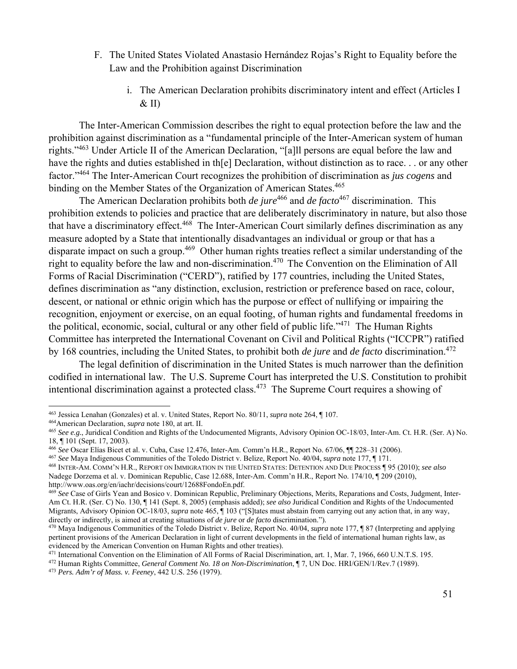- F. The United States Violated Anastasio Hernández Rojas's Right to Equality before the Law and the Prohibition against Discrimination
	- i. The American Declaration prohibits discriminatory intent and effect (Articles I  $&$  II)

The Inter-American Commission describes the right to equal protection before the law and the prohibition against discrimination as a "fundamental principle of the Inter-American system of human rights."463 Under Article II of the American Declaration, "[a]ll persons are equal before the law and have the rights and duties established in th[e] Declaration, without distinction as to race. . . or any other factor."464 The Inter-American Court recognizes the prohibition of discrimination as *jus cogens* and binding on the Member States of the Organization of American States.<sup>465</sup>

The American Declaration prohibits both *de jure*<sup>466</sup> and *de facto*<sup>467</sup> discrimination. This prohibition extends to policies and practice that are deliberately discriminatory in nature, but also those that have a discriminatory effect.468 The Inter-American Court similarly defines discrimination as any measure adopted by a State that intentionally disadvantages an individual or group or that has a disparate impact on such a group.<sup>469</sup> Other human rights treaties reflect a similar understanding of the right to equality before the law and non-discrimination.<sup>470</sup> The Convention on the Elimination of All Forms of Racial Discrimination ("CERD"), ratified by 177 countries, including the United States, defines discrimination as "any distinction, exclusion, restriction or preference based on race, colour, descent, or national or ethnic origin which has the purpose or effect of nullifying or impairing the recognition, enjoyment or exercise, on an equal footing, of human rights and fundamental freedoms in the political, economic, social, cultural or any other field of public life."471 The Human Rights Committee has interpreted the International Covenant on Civil and Political Rights ("ICCPR") ratified by 168 countries, including the United States, to prohibit both *de jure* and *de facto* discrimination.472

The legal definition of discrimination in the United States is much narrower than the definition codified in international law. The U.S. Supreme Court has interpreted the U.S. Constitution to prohibit intentional discrimination against a protected class.473 The Supreme Court requires a showing of

<sup>&</sup>lt;sup>463</sup> Jessica Lenahan (Gonzales) et al. v. United States, Report No. 80/11, *supra* note 264, ¶ 107.

<sup>&</sup>lt;sup>464</sup> American Declaration, *supra* note 180, at art. II.<br><sup>465</sup> See e.g., Juridical Condition and Rights of the Undocumented Migrants, Advisory Opinion OC-18/03, Inter-Am. Ct. H.R. (Ser. A) No. 18, ¶ 101 (Sept. 17, 2003).<br><sup>466</sup> See Oscar Elías Bicet et al. v. Cuba, Case 12.476, Inter-Am. Comm'n H.R., Report No. 67/06, ¶¶ 228–31 (2006).

<sup>&</sup>lt;sup>467</sup> See Maya Indigenous Communities of the Toledo District v. Belize, Report No. 40/04, *supra* note 177, ¶ 171.<br><sup>468</sup> INTER-AM. COMM'N H.R., REPORT ON IMMIGRATION IN THE UNITED STATES: DETENTION AND DUE PROCESS ¶ 95 (20

Nadege Dorzema et al. v. Dominican Republic, Case 12.688, Inter-Am. Comm'n H.R., Report No. 174/10, ¶ 209 (2010), http://www.oas.org/en/iachr/decisions/court/12688FondoEn.pdf.

<sup>&</sup>lt;sup>469</sup> See Case of Girls Yean and Bosico v. Dominican Republic, Preliminary Objections, Merits, Reparations and Costs, Judgment, Inter-Am Ct. H.R. (Ser. C) No. 130, ¶ 141 (Sept. 8, 2005) (emphasis added); *see also* Juridical Condition and Rights of the Undocumented Migrants, Advisory Opinion OC-18/03, *supra* note 465, ¶ 103 ("[S]tates must abstain from carrying out any action that, in any way, directly or indirectly, is aimed at creating situations of *de jure* or *de facto* discrimination.").<br><sup>470</sup> Maya Indigenous Communities of the Toledo District v. Belize, Report No. 40/04, *supra* note 177, ¶ 87 (Interpreti

pertinent provisions of the American Declaration in light of current developments in the field of international human rights law, as evidenced by the American Convention on Human Rights and other treaties).<br><sup>471</sup> International Convention on the Elimination of All Forms of Racial Discrimination, art. 1, Mar. 7, 1966, 660 U.N.T.S. 195.

<sup>&</sup>lt;sup>472</sup> Human Rights Committee, *General Comment No. 18 on Non-Discrimination*, ¶ 7, UN Doc. HRI/GEN/1/Rev.7 (1989).<br><sup>473</sup> Pers. Adm'r of Mass. v. Feeney, 442 U.S. 256 (1979).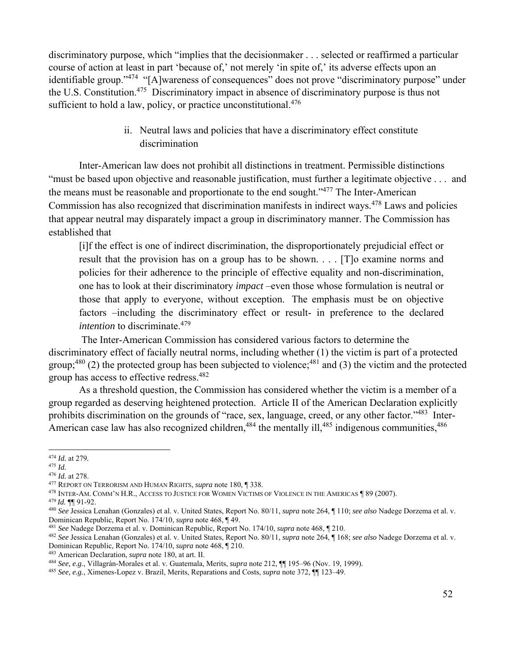discriminatory purpose, which "implies that the decisionmaker . . . selected or reaffirmed a particular course of action at least in part 'because of,' not merely 'in spite of,' its adverse effects upon an identifiable group."<sup>474</sup> "[A]wareness of consequences" does not prove "discriminatory purpose" under the U.S. Constitution.475 Discriminatory impact in absence of discriminatory purpose is thus not sufficient to hold a law, policy, or practice unconstitutional. $476$ 

> ii. Neutral laws and policies that have a discriminatory effect constitute discrimination

Inter-American law does not prohibit all distinctions in treatment. Permissible distinctions "must be based upon objective and reasonable justification, must further a legitimate objective . . . and the means must be reasonable and proportionate to the end sought."477 The Inter-American Commission has also recognized that discrimination manifests in indirect ways.<sup>478</sup> Laws and policies that appear neutral may disparately impact a group in discriminatory manner. The Commission has established that

[i]f the effect is one of indirect discrimination, the disproportionately prejudicial effect or result that the provision has on a group has to be shown. . . . [T]o examine norms and policies for their adherence to the principle of effective equality and non-discrimination, one has to look at their discriminatory *impact* –even those whose formulation is neutral or those that apply to everyone, without exception. The emphasis must be on objective factors –including the discriminatory effect or result- in preference to the declared *intention* to discriminate.<sup>479</sup>

 The Inter-American Commission has considered various factors to determine the discriminatory effect of facially neutral norms, including whether (1) the victim is part of a protected group;<sup>480</sup> (2) the protected group has been subjected to violence;<sup>481</sup> and (3) the victim and the protected group has access to effective redress.482

As a threshold question, the Commission has considered whether the victim is a member of a group regarded as deserving heightened protection. Article II of the American Declaration explicitly prohibits discrimination on the grounds of "race, sex, language, creed, or any other factor."483 Inter-American case law has also recognized children,<sup>484</sup> the mentally ill,<sup>485</sup> indigenous communities,<sup>486</sup>

<sup>474</sup> *Id.* at 279*.* 

<sup>&</sup>lt;sup>476</sup> *Id.* at 278.<br><sup>477</sup> REPORT ON TERRORISM AND HUMAN RIGHTS, *supra* note 180, ¶ 338.<br><sup>478</sup> INTER-AM. COMM'N H.R., ACCESS TO JUSTICE FOR WOMEN VICTIMS OF VIOLENCE IN THE AMERICAS ¶ 89 (2007).<br><sup>479</sup> *Id.* ¶¶ 91-92.<br><sup>480</sup>

Dominican Republic, Report No. 174/10, *supra* note 468, ¶49.<br><sup>481</sup> See Nadege Dorzema et al. v. Dominican Republic, Report No. 174/10, *supra* note 468, ¶ 210.<br><sup>482</sup> See Jessica Lenahan (Gonzales) et al. v. United States,

<sup>&</sup>lt;sup>483</sup> American Declaration, *supra* note 180, at art. II.<br><sup>484</sup> See, e.g., Villagrán-Morales et al. v. Guatemala, Merits, *supra* note 212,  $\P\P$  195–96 (Nov. 19, 1999).<br><sup>485</sup> See, e.g., Ximenes-Lopez v. Brazil, Merits, Re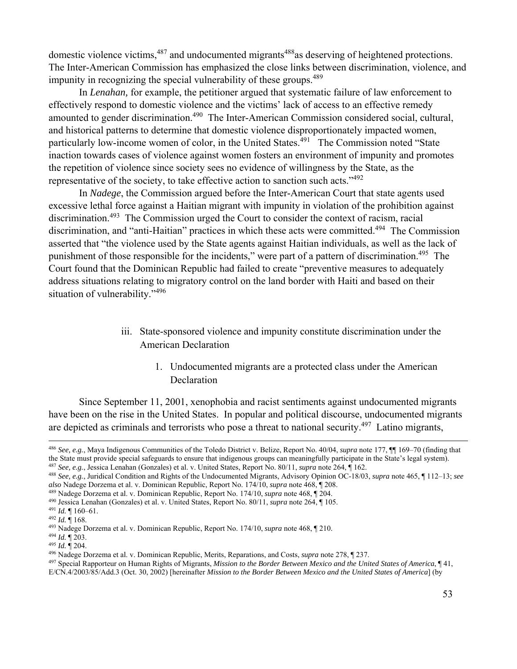domestic violence victims,<sup>487</sup> and undocumented migrants<sup>488</sup>as deserving of heightened protections. The Inter-American Commission has emphasized the close links between discrimination, violence, and impunity in recognizing the special vulnerability of these groups.<sup>489</sup>

In *Lenahan,* for example, the petitioner argued that systematic failure of law enforcement to effectively respond to domestic violence and the victims' lack of access to an effective remedy amounted to gender discrimination.<sup>490</sup> The Inter-American Commission considered social, cultural, and historical patterns to determine that domestic violence disproportionately impacted women, particularly low-income women of color, in the United States.<sup>491</sup> The Commission noted "State" inaction towards cases of violence against women fosters an environment of impunity and promotes the repetition of violence since society sees no evidence of willingness by the State, as the representative of the society, to take effective action to sanction such acts."492

In *Nadege*, the Commission argued before the Inter-American Court that state agents used excessive lethal force against a Haitian migrant with impunity in violation of the prohibition against discrimination.493 The Commission urged the Court to consider the context of racism, racial discrimination, and "anti-Haitian" practices in which these acts were committed.<sup>494</sup> The Commission asserted that "the violence used by the State agents against Haitian individuals, as well as the lack of punishment of those responsible for the incidents," were part of a pattern of discrimination.<sup>495</sup> The Court found that the Dominican Republic had failed to create "preventive measures to adequately address situations relating to migratory control on the land border with Haiti and based on their situation of vulnerability."<sup>496</sup>

- iii. State-sponsored violence and impunity constitute discrimination under the American Declaration
	- 1. Undocumented migrants are a protected class under the American Declaration

Since September 11, 2001, xenophobia and racist sentiments against undocumented migrants have been on the rise in the United States. In popular and political discourse, undocumented migrants are depicted as criminals and terrorists who pose a threat to national security.497 Latino migrants,

<u> 1989 - Andrea Santa Andrea Andrea Andrea Andrea Andrea Andrea Andrea Andrea Andrea Andrea Andrea Andrea Andr</u>

<sup>486</sup> *See, e.g.*, Maya Indigenous Communities of the Toledo District v. Belize, Report No. 40/04, *supra* note 177, ¶¶ 169–70 (finding that

the State must provide special safeguards to ensure that indigenous groups can meaningfully participate in the State's legal system).<br><sup>487</sup> See, e.g., Jessica Lenahan (Gonzales) et al. v. United States, Report No. 80/11,

also Nadege Dorzema et al. v. Dominican Republic, Report No. 174/10, *supra* note 468, ¶ 208.<br><sup>489</sup> Nadege Dorzema et al. v. Dominican Republic, Report No. 174/10, *supra* note 468, ¶ 204.<br><sup>490</sup> Jessica Lenahan (Gonzales) E/CN.4/2003/85/Add.3 (Oct. 30, 2002) [hereinafter *Mission to the Border Between Mexico and the United States of America*] (by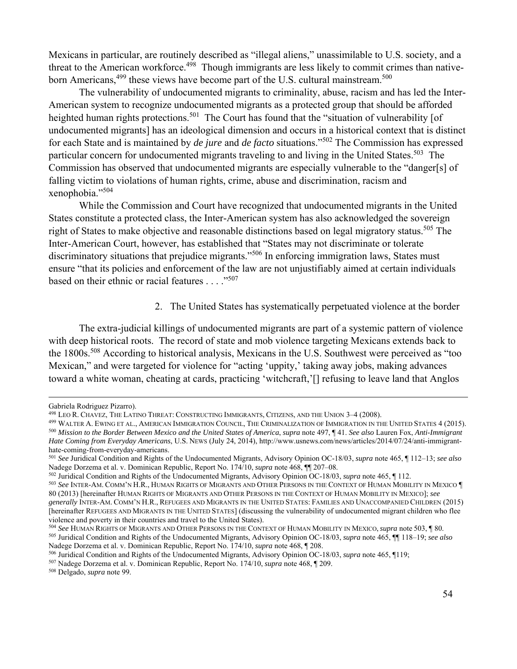Mexicans in particular, are routinely described as "illegal aliens," unassimilable to U.S. society, and a threat to the American workforce.<sup>498</sup> Though immigrants are less likely to commit crimes than nativeborn Americans,499 these views have become part of the U.S. cultural mainstream.500

The vulnerability of undocumented migrants to criminality, abuse, racism and has led the Inter-American system to recognize undocumented migrants as a protected group that should be afforded heighted human rights protections.<sup>501</sup> The Court has found that the "situation of vulnerability [of undocumented migrants] has an ideological dimension and occurs in a historical context that is distinct for each State and is maintained by *de jure* and *de facto* situations."502 The Commission has expressed particular concern for undocumented migrants traveling to and living in the United States.<sup>503</sup> The Commission has observed that undocumented migrants are especially vulnerable to the "danger[s] of falling victim to violations of human rights, crime, abuse and discrimination, racism and xenophobia."504

While the Commission and Court have recognized that undocumented migrants in the United States constitute a protected class, the Inter-American system has also acknowledged the sovereign right of States to make objective and reasonable distinctions based on legal migratory status.<sup>505</sup> The Inter-American Court, however, has established that "States may not discriminate or tolerate discriminatory situations that prejudice migrants."<sup>506</sup> In enforcing immigration laws, States must ensure "that its policies and enforcement of the law are not unjustifiably aimed at certain individuals based on their ethnic or racial features . . . . "<sup>507</sup>

## 2. The United States has systematically perpetuated violence at the border

The extra-judicial killings of undocumented migrants are part of a systemic pattern of violence with deep historical roots. The record of state and mob violence targeting Mexicans extends back to the 1800s.<sup>508</sup> According to historical analysis, Mexicans in the U.S. Southwest were perceived as "too Mexican," and were targeted for violence for "acting 'uppity,' taking away jobs, making advances toward a white woman, cheating at cards, practicing 'witchcraft,'[] refusing to leave land that Anglos

<u> 1989 - Andrea Santa Andrea Andrea Andrea Andrea Andrea Andrea Andrea Andrea Andrea Andrea Andrea Andrea Andr</u>

80 (2013) [hereinafter HUMAN RIGHTS OF MIGRANTS AND OTHER PERSONS IN THE CONTEXT OF HUMAN MOBILITY IN MEXICO]; *see generally* INTER-AM. COMM'N H.R., REFUGEES AND MIGRANTS IN THE UNITED STATES: FAMILIES AND UNACCOMPANIED CHILDREN (2015)

Nadege Dorzema et al. v. Dominican Republic, Report No. 174/10, *supra* note 468, ¶ 208.<br><sup>506</sup> Juridical Condition and Rights of the Undocumented Migrants, Advisory Opinion OC-18/03, *supra* note 465, ¶119;<br><sup>507</sup> Nadege Do

Gabriela Rodriguez Pizarro).<br><sup>498</sup> Leo R. Chavez, The Latino Threat: Constructing Immigrants, Citizens, and the Union 3–4 (2008).

<sup>&</sup>lt;sup>499</sup> WALTER A. EWING ET AL., AMERICAN IMMIGRATION COUNCIL, THE CRIMINALIZATION OF IMMIGRATION IN THE UNITED STATES 4 (2015).<br><sup>500</sup> Mission to the Border Between Mexico and the United States of America, supra note 497, ¶ 4 *Hate Coming from Everyday Americans*, U.S. NEWS (July 24, 2014), http://www.usnews.com/news/articles/2014/07/24/anti-immigranthate-coming-from-everyday-americans.

<sup>501</sup> *See* Juridical Condition and Rights of the Undocumented Migrants, Advisory Opinion OC-18/03, *supra* note 465, ¶ 112–13; *see also* 

<sup>&</sup>lt;sup>502</sup> Juridical Condition and Rights of the Undocumented Migrants, Advisory Opinion OC-18/03, *supra* note 465, ¶ 112.<br><sup>503</sup> See INTER-AM. COMM'N H.R., HUMAN RIGHTS OF MIGRANTS AND OTHER PERSONS IN THE CONTEXT OF HUMAN MO

<sup>[</sup>hereinafter REFUGEES AND MIGRANTS IN THE UNITED STATES] (discussing the vulnerability of undocumented migrant children who flee violence and poverty in their countries and travel to the United States).<br><sup>504</sup> See HUMAN RIGHTS OF MIGRANTS AND OTHER PERSONS IN THE CONTEXT OF HUMAN MOBILITY IN MEXICO, *supra* note 503, ¶ 80.

<sup>&</sup>lt;sup>505</sup> Juridical Condition and Rights of the Undocumented Migrants, Advisory Opinion OC-18/03, *supra* note 465, ¶ 118–19; *see also*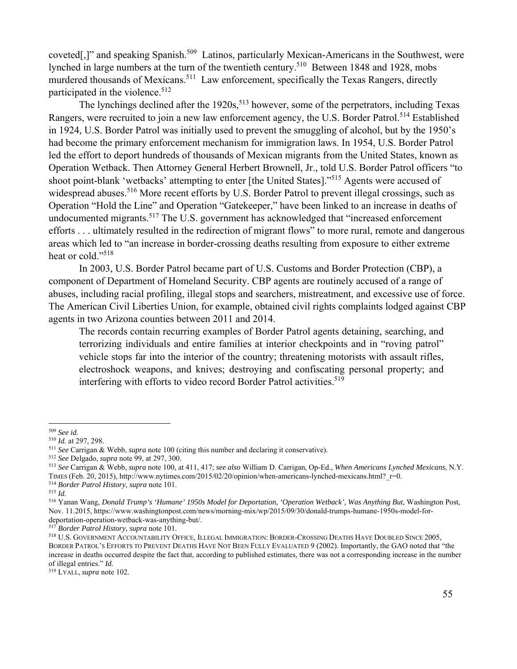coveted[,]" and speaking Spanish.<sup>509</sup> Latinos, particularly Mexican-Americans in the Southwest, were lynched in large numbers at the turn of the twentieth century.<sup>510</sup> Between 1848 and 1928, mobs murdered thousands of Mexicans.<sup>511</sup> Law enforcement, specifically the Texas Rangers, directly participated in the violence.<sup>512</sup>

The lynchings declined after the 1920s,<sup>513</sup> however, some of the perpetrators, including Texas Rangers, were recruited to join a new law enforcement agency, the U.S. Border Patrol.<sup>514</sup> Established in 1924, U.S. Border Patrol was initially used to prevent the smuggling of alcohol, but by the 1950's had become the primary enforcement mechanism for immigration laws. In 1954, U.S. Border Patrol led the effort to deport hundreds of thousands of Mexican migrants from the United States, known as Operation Wetback. Then Attorney General Herbert Brownell, Jr., told U.S. Border Patrol officers "to shoot point-blank 'wetbacks' attempting to enter [the United States]."515 Agents were accused of widespread abuses.<sup>516</sup> More recent efforts by U.S. Border Patrol to prevent illegal crossings, such as Operation "Hold the Line" and Operation "Gatekeeper," have been linked to an increase in deaths of undocumented migrants.<sup>517</sup> The U.S. government has acknowledged that "increased enforcement" efforts . . . ultimately resulted in the redirection of migrant flows" to more rural, remote and dangerous areas which led to "an increase in border-crossing deaths resulting from exposure to either extreme heat or cold."<sup>518</sup>

In 2003, U.S. Border Patrol became part of U.S. Customs and Border Protection (CBP), a component of Department of Homeland Security. CBP agents are routinely accused of a range of abuses, including racial profiling, illegal stops and searchers, mistreatment, and excessive use of force. The American Civil Liberties Union, for example, obtained civil rights complaints lodged against CBP agents in two Arizona counties between 2011 and 2014.

The records contain recurring examples of Border Patrol agents detaining, searching, and terrorizing individuals and entire families at interior checkpoints and in "roving patrol" vehicle stops far into the interior of the country; threatening motorists with assault rifles, electroshock weapons, and knives; destroying and confiscating personal property; and interfering with efforts to video record Border Patrol activities.<sup>519</sup>

519 LYALL, *supra* note 102.

<sup>509</sup> *See id.*

<sup>&</sup>lt;sup>511</sup> See Carrigan & Webb, *supra* note 100 (citing this number and declaring it conservative).<br><sup>512</sup> See Delgado, *supra* note 99, at 297, 300.<br><sup>513</sup> See Carrigan & Webb, *supra* note 100, at 411, 417; *see also* William TIMES (Feb. 20, 2015), http://www.nytimes.com/2015/02/20/opinion/when-americans-lynched-mexicans.html?\_r=0. 514 *Border Patrol History*, *supra* note 101. 515 *Id.*

<sup>516</sup> Yanan Wang, *Donald Trump's 'Humane' 1950s Model for Deportation, 'Operation Wetback', Was Anything But*, Washington Post, Nov. 11.2015, https://www.washingtonpost.com/news/morning-mix/wp/2015/09/30/donald-trumps-humane-1950s-model-fordeportation-operation-wetback-was-anything-but/.<br><sup>517</sup> Border Patrol History, supra note 101.

<sup>&</sup>lt;sup>518</sup> U.S. GOVERNMENT ACCOUNTABILITY OFFICE, ILLEGAL IMMIGRATION: BORDER-CROSSING DEATHS HAVE DOUBLED SINCE 2005, BORDER PATROL'S EFFORTS TO PREVENT DEATHS HAVE NOT BEEN FULLY EVALUATED 9 (2002). Importantly, the GAO noted that "the increase in deaths occurred despite the fact that, according to published estimates, there was not a corresponding increase in the number of illegal entries." *Id.*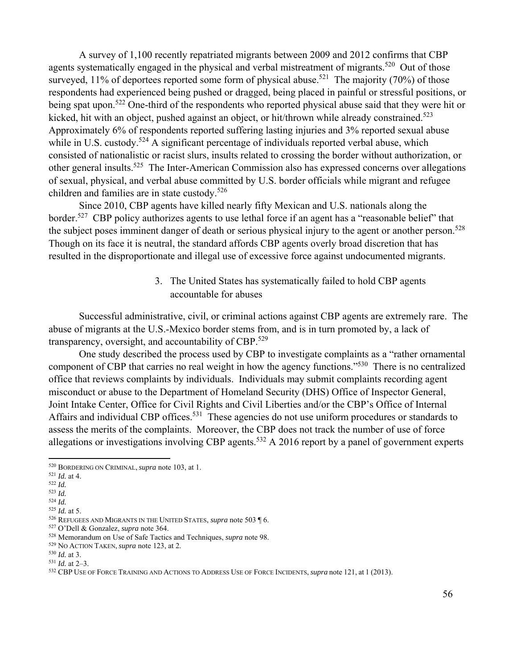A survey of 1,100 recently repatriated migrants between 2009 and 2012 confirms that CBP agents systematically engaged in the physical and verbal mistreatment of migrants.<sup>520</sup> Out of those surveyed, 11% of deportees reported some form of physical abuse.<sup>521</sup> The majority (70%) of those respondents had experienced being pushed or dragged, being placed in painful or stressful positions, or being spat upon.<sup>522</sup> One-third of the respondents who reported physical abuse said that they were hit or kicked, hit with an object, pushed against an object, or hit/thrown while already constrained.<sup>523</sup> Approximately 6% of respondents reported suffering lasting injuries and 3% reported sexual abuse while in U.S. custody.<sup>524</sup> A significant percentage of individuals reported verbal abuse, which consisted of nationalistic or racist slurs, insults related to crossing the border without authorization, or other general insults.525 The Inter-American Commission also has expressed concerns over allegations of sexual, physical, and verbal abuse committed by U.S. border officials while migrant and refugee children and families are in state custody.<sup>526</sup>

Since 2010, CBP agents have killed nearly fifty Mexican and U.S. nationals along the border.<sup>527</sup> CBP policy authorizes agents to use lethal force if an agent has a "reasonable belief" that the subject poses imminent danger of death or serious physical injury to the agent or another person.<sup>528</sup> Though on its face it is neutral, the standard affords CBP agents overly broad discretion that has resulted in the disproportionate and illegal use of excessive force against undocumented migrants.

> 3. The United States has systematically failed to hold CBP agents accountable for abuses

Successful administrative, civil, or criminal actions against CBP agents are extremely rare. The abuse of migrants at the U.S.-Mexico border stems from, and is in turn promoted by, a lack of transparency, oversight, and accountability of CBP. $529$ 

One study described the process used by CBP to investigate complaints as a "rather ornamental component of CBP that carries no real weight in how the agency functions."530 There is no centralized office that reviews complaints by individuals. Individuals may submit complaints recording agent misconduct or abuse to the Department of Homeland Security (DHS) Office of Inspector General, Joint Intake Center, Office for Civil Rights and Civil Liberties and/or the CBP's Office of Internal Affairs and individual CBP offices.<sup>531</sup> These agencies do not use uniform procedures or standards to assess the merits of the complaints. Moreover, the CBP does not track the number of use of force allegations or investigations involving CBP agents.<sup>532</sup> A 2016 report by a panel of government experts

<sup>520</sup> BORDERING ON CRIMINAL, *supra* note 103, at 1. 521 *Id.* at 4. 522 *Id.*

<sup>523</sup> *Id.*

 $^{524}$  *Id.* at 5.

<sup>525</sup> *Id.* at 5. 526 REFUGEES AND MIGRANTS IN THE UNITED STATES, *supra* note 503 ¶ 6. 527 O'Dell & Gonzalez, *supra* note 364.

<sup>&</sup>lt;sup>528</sup> Memorandum on Use of Safe Tactics and Techniques, *supra* note 98.<br><sup>529</sup> No ACTION TAKEN, *supra* note 123, at 2.<br><sup>530</sup> Id. at 3.<br><sup>531</sup> Id. at 2–3.<br><sup>531</sup> CBP USE OF FORCE TRAINING AND ACTIONS TO ADDRESS USE OF FORCE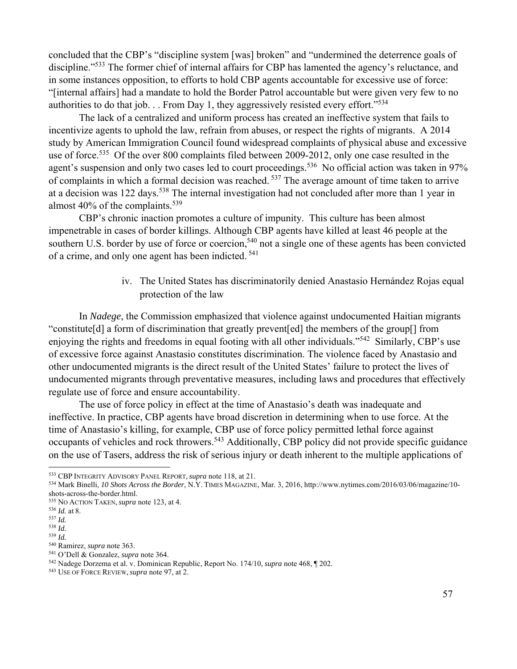concluded that the CBP's "discipline system [was] broken" and "undermined the deterrence goals of discipline."<sup>533</sup> The former chief of internal affairs for CBP has lamented the agency's reluctance, and in some instances opposition, to efforts to hold CBP agents accountable for excessive use of force: "[internal affairs] had a mandate to hold the Border Patrol accountable but were given very few to no authorities to do that job.  $\therefore$  From Day 1, they aggressively resisted every effort."<sup>534</sup>

The lack of a centralized and uniform process has created an ineffective system that fails to incentivize agents to uphold the law, refrain from abuses, or respect the rights of migrants. A 2014 study by American Immigration Council found widespread complaints of physical abuse and excessive use of force.<sup>535</sup> Of the over 800 complaints filed between 2009-2012, only one case resulted in the agent's suspension and only two cases led to court proceedings.<sup>536</sup> No official action was taken in 97% of complaints in which a formal decision was reached. 537 The average amount of time taken to arrive at a decision was 122 days.<sup>538</sup> The internal investigation had not concluded after more than 1 year in almost  $40\%$  of the complaints.<sup>539</sup>

CBP's chronic inaction promotes a culture of impunity. This culture has been almost impenetrable in cases of border killings. Although CBP agents have killed at least 46 people at the southern U.S. border by use of force or coercion,<sup>540</sup> not a single one of these agents has been convicted of a crime, and only one agent has been indicted. 541

> iv. The United States has discriminatorily denied Anastasio Hernández Rojas equal protection of the law

In *Nadege*, the Commission emphasized that violence against undocumented Haitian migrants "constitute[d] a form of discrimination that greatly prevent[ed] the members of the group[] from enjoying the rights and freedoms in equal footing with all other individuals."542 Similarly, CBP's use of excessive force against Anastasio constitutes discrimination. The violence faced by Anastasio and other undocumented migrants is the direct result of the United States' failure to protect the lives of undocumented migrants through preventative measures, including laws and procedures that effectively regulate use of force and ensure accountability.

The use of force policy in effect at the time of Anastasio's death was inadequate and ineffective. In practice, CBP agents have broad discretion in determining when to use force. At the time of Anastasio's killing, for example, CBP use of force policy permitted lethal force against occupants of vehicles and rock throwers.<sup>543</sup> Additionally, CBP policy did not provide specific guidance on the use of Tasers, address the risk of serious injury or death inherent to the multiple applications of

<sup>533</sup> CBP INTEGRITY ADVISORY PANEL REPORT, *supra* note 118, at 21. 534 Mark Binelli, *10 Shots Across the Border*, N.Y. TIMES MAGAZINE, Mar. 3, 2016, http://www.nytimes.com/2016/03/06/magazine/10 shots-across-the-border.html.

<sup>535</sup> NO ACTION TAKEN, *supra* note 123, at 4. 536 *Id.* at 8. 537 *Id.* 

<sup>538</sup> *Id.*

<sup>&</sup>lt;sup>539</sup> *Id.* Ramirez, *supra* note 363.

<sup>&</sup>lt;sup>541</sup> O'Dell & Gonzalez, *supra* note 364.<br><sup>542</sup> Nadege Dorzema et al. v. Dominican Republic, Report No. 174/10, *supra* note 468, ¶ 202.<br><sup>543</sup> USE OF FORCE REVIEW, *supra* note 97, at 2.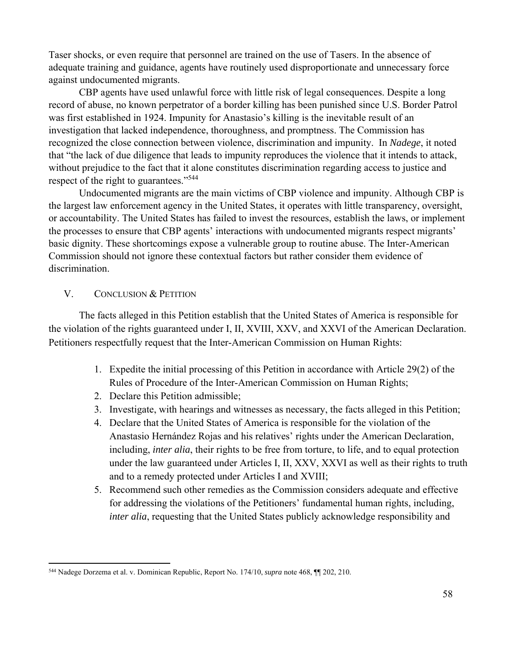Taser shocks, or even require that personnel are trained on the use of Tasers. In the absence of adequate training and guidance, agents have routinely used disproportionate and unnecessary force against undocumented migrants.

CBP agents have used unlawful force with little risk of legal consequences. Despite a long record of abuse, no known perpetrator of a border killing has been punished since U.S. Border Patrol was first established in 1924. Impunity for Anastasio's killing is the inevitable result of an investigation that lacked independence, thoroughness, and promptness. The Commission has recognized the close connection between violence, discrimination and impunity. In *Nadege*, it noted that "the lack of due diligence that leads to impunity reproduces the violence that it intends to attack, without prejudice to the fact that it alone constitutes discrimination regarding access to justice and respect of the right to guarantees."544

Undocumented migrants are the main victims of CBP violence and impunity. Although CBP is the largest law enforcement agency in the United States, it operates with little transparency, oversight, or accountability. The United States has failed to invest the resources, establish the laws, or implement the processes to ensure that CBP agents' interactions with undocumented migrants respect migrants' basic dignity. These shortcomings expose a vulnerable group to routine abuse. The Inter-American Commission should not ignore these contextual factors but rather consider them evidence of discrimination.

# V. CONCLUSION & PETITION

The facts alleged in this Petition establish that the United States of America is responsible for the violation of the rights guaranteed under I, II, XVIII, XXV, and XXVI of the American Declaration. Petitioners respectfully request that the Inter-American Commission on Human Rights:

- 1. Expedite the initial processing of this Petition in accordance with Article 29(2) of the Rules of Procedure of the Inter-American Commission on Human Rights;
- 2. Declare this Petition admissible;
- 3. Investigate, with hearings and witnesses as necessary, the facts alleged in this Petition;
- 4. Declare that the United States of America is responsible for the violation of the Anastasio Hernández Rojas and his relatives' rights under the American Declaration, including, *inter alia*, their rights to be free from torture, to life, and to equal protection under the law guaranteed under Articles I, II, XXV, XXVI as well as their rights to truth and to a remedy protected under Articles I and XVIII;
- 5. Recommend such other remedies as the Commission considers adequate and effective for addressing the violations of the Petitioners' fundamental human rights, including, *inter alia*, requesting that the United States publicly acknowledge responsibility and

 544 Nadege Dorzema et al. v. Dominican Republic, Report No. 174/10, *supra* note 468, ¶¶ 202, 210.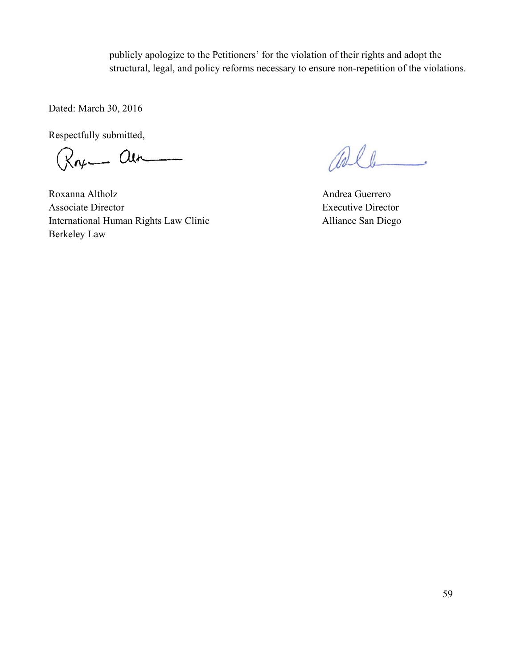publicly apologize to the Petitioners' for the violation of their rights and adopt the structural, legal, and policy reforms necessary to ensure non-repetition of the violations.

Dated: March 30, 2016

Respectfully submitted,<br> $\bigotimes_{\mathcal{M}}$   $\bigotimes_{\mathcal{M}}$ 

Roxanna Altholz **Andrea Guerrero** Associate Director Executive Director International Human Rights Law Clinic Alliance San Diego Berkeley Law

alle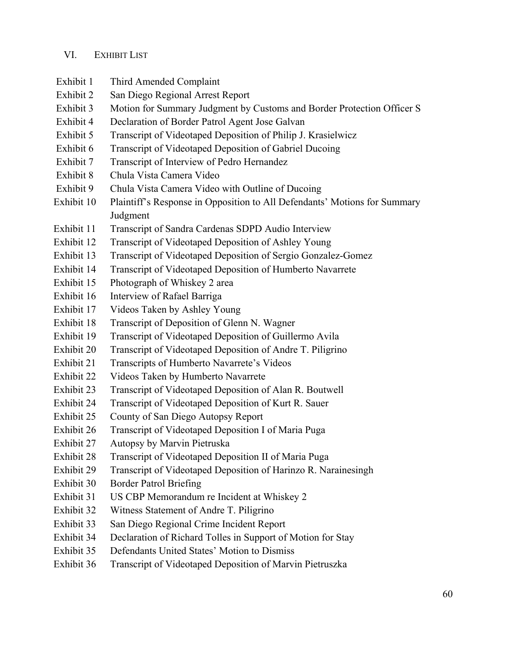# VI. EXHIBIT LIST

- Exhibit 1 Third Amended Complaint Exhibit 2 San Diego Regional Arrest Report Exhibit 3 Motion for Summary Judgment by Customs and Border Protection Officer S Exhibit 4 Declaration of Border Patrol Agent Jose Galvan Exhibit 5 Transcript of Videotaped Deposition of Philip J. Krasielwicz Exhibit 6 Transcript of Videotaped Deposition of Gabriel Ducoing Exhibit 7 Transcript of Interview of Pedro Hernandez Exhibit 8 Chula Vista Camera Video Exhibit 9 Chula Vista Camera Video with Outline of Ducoing Exhibit 10 Plaintiff's Response in Opposition to All Defendants' Motions for Summary Judgment Exhibit 11 Transcript of Sandra Cardenas SDPD Audio Interview Exhibit 12 Transcript of Videotaped Deposition of Ashley Young Exhibit 13 Transcript of Videotaped Deposition of Sergio Gonzalez-Gomez Exhibit 14 Transcript of Videotaped Deposition of Humberto Navarrete Exhibit 15 Photograph of Whiskey 2 area Exhibit 16 Interview of Rafael Barriga Exhibit 17 Videos Taken by Ashley Young Exhibit 18 Transcript of Deposition of Glenn N. Wagner Exhibit 19 Transcript of Videotaped Deposition of Guillermo Avila Exhibit 20 Transcript of Videotaped Deposition of Andre T. Piligrino Exhibit 21 Transcripts of Humberto Navarrete's Videos Exhibit 22 Videos Taken by Humberto Navarrete Exhibit 23 Transcript of Videotaped Deposition of Alan R. Boutwell Exhibit 24 Transcript of Videotaped Deposition of Kurt R. Sauer Exhibit 25 County of San Diego Autopsy Report Exhibit 26 Transcript of Videotaped Deposition I of Maria Puga Exhibit 27 Autopsy by Marvin Pietruska Exhibit 28 Transcript of Videotaped Deposition II of Maria Puga Exhibit 29 Transcript of Videotaped Deposition of Harinzo R. Narainesingh Exhibit 30 Border Patrol Briefing Exhibit 31 US CBP Memorandum re Incident at Whiskey 2 Exhibit 32 Witness Statement of Andre T. Piligrino Exhibit 33 San Diego Regional Crime Incident Report Exhibit 34 Declaration of Richard Tolles in Support of Motion for Stay Exhibit 35 Defendants United States' Motion to Dismiss
- Exhibit 36 Transcript of Videotaped Deposition of Marvin Pietruszka